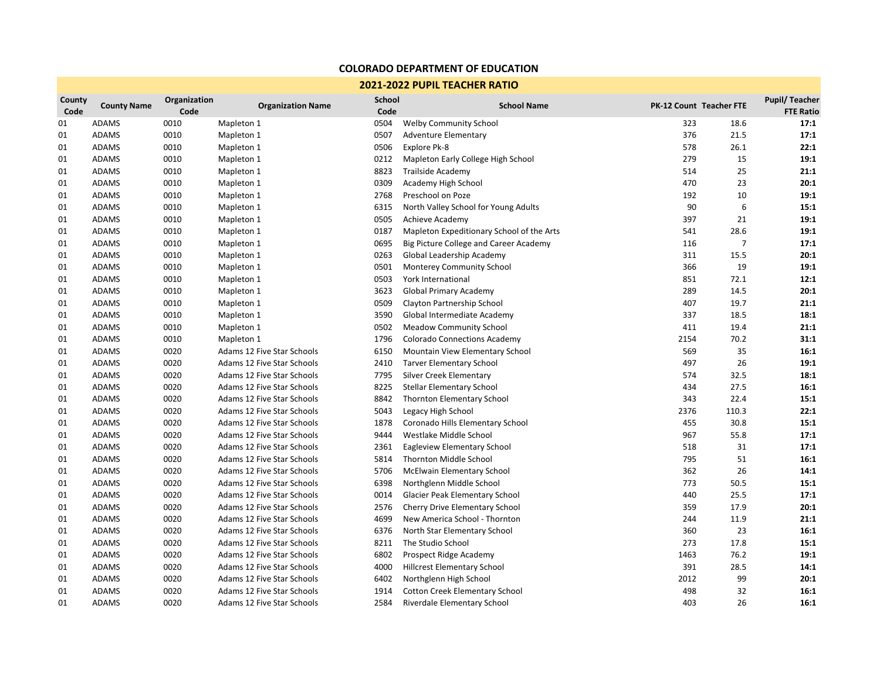## **COLORADO DEPARTMENT OF EDUCATION**

## **2021-2022 PUPIL TEACHER RATIO**

| County<br>Code | <b>County Name</b> | Organization<br>Code | <b>Organization Name</b>   | <b>School</b><br>Code | <b>School Name</b>                        |      | <b>PK-12 Count Teacher FTE</b> | <b>Pupil/Teacher</b><br><b>FTE Ratio</b> |
|----------------|--------------------|----------------------|----------------------------|-----------------------|-------------------------------------------|------|--------------------------------|------------------------------------------|
| 01             | ADAMS              | 0010                 | Mapleton 1                 | 0504                  | <b>Welby Community School</b>             | 323  | 18.6                           | 17:1                                     |
| 01             | <b>ADAMS</b>       | 0010                 | Mapleton 1                 | 0507                  | <b>Adventure Elementary</b>               | 376  | 21.5                           | 17:1                                     |
| 01             | <b>ADAMS</b>       | 0010                 | Mapleton 1                 | 0506                  | Explore Pk-8                              | 578  | 26.1                           | 22:1                                     |
| 01             | <b>ADAMS</b>       | 0010                 | Mapleton 1                 | 0212                  | Mapleton Early College High School        | 279  | 15                             | 19:1                                     |
| 01             | <b>ADAMS</b>       | 0010                 | Mapleton 1                 | 8823                  | Trailside Academy                         | 514  | 25                             | 21:1                                     |
| 01             | ADAMS              | 0010                 | Mapleton 1                 | 0309                  | Academy High School                       | 470  | 23                             | 20:1                                     |
| 01             | <b>ADAMS</b>       | 0010                 | Mapleton 1                 | 2768                  | Preschool on Poze                         | 192  | 10                             | 19:1                                     |
| 01             | <b>ADAMS</b>       | 0010                 | Mapleton 1                 | 6315                  | North Valley School for Young Adults      | 90   | 6                              | 15:1                                     |
| 01             | ADAMS              | 0010                 | Mapleton 1                 | 0505                  | Achieve Academy                           | 397  | 21                             | 19:1                                     |
| 01             | <b>ADAMS</b>       | 0010                 | Mapleton 1                 | 0187                  | Mapleton Expeditionary School of the Arts | 541  | 28.6                           | 19:1                                     |
| 01             | <b>ADAMS</b>       | 0010                 | Mapleton 1                 | 0695                  | Big Picture College and Career Academy    | 116  | $\overline{7}$                 | 17:1                                     |
| 01             | <b>ADAMS</b>       | 0010                 | Mapleton 1                 | 0263                  | Global Leadership Academy                 | 311  | 15.5                           | 20:1                                     |
| 01             | <b>ADAMS</b>       | 0010                 | Mapleton 1                 | 0501                  | <b>Monterey Community School</b>          | 366  | 19                             | 19:1                                     |
| 01             | <b>ADAMS</b>       | 0010                 | Mapleton 1                 | 0503                  | York International                        | 851  | 72.1                           | 12:1                                     |
| 01             | <b>ADAMS</b>       | 0010                 | Mapleton 1                 | 3623                  | <b>Global Primary Academy</b>             | 289  | 14.5                           | 20:1                                     |
| 01             | <b>ADAMS</b>       | 0010                 | Mapleton 1                 | 0509                  | Clayton Partnership School                | 407  | 19.7                           | 21:1                                     |
| 01             | <b>ADAMS</b>       | 0010                 | Mapleton 1                 | 3590                  | Global Intermediate Academy               | 337  | 18.5                           | 18:1                                     |
| 01             | ADAMS              | 0010                 | Mapleton 1                 | 0502                  | <b>Meadow Community School</b>            | 411  | 19.4                           | 21:1                                     |
| 01             | <b>ADAMS</b>       | 0010                 | Mapleton 1                 | 1796                  | <b>Colorado Connections Academy</b>       | 2154 | 70.2                           | 31:1                                     |
| 01             | <b>ADAMS</b>       | 0020                 | Adams 12 Five Star Schools | 6150                  | Mountain View Elementary School           | 569  | 35                             | 16:1                                     |
| 01             | <b>ADAMS</b>       | 0020                 | Adams 12 Five Star Schools | 2410                  | <b>Tarver Elementary School</b>           | 497  | 26                             | 19:1                                     |
| 01             | <b>ADAMS</b>       | 0020                 | Adams 12 Five Star Schools | 7795                  | Silver Creek Elementary                   | 574  | 32.5                           | 18:1                                     |
| 01             | <b>ADAMS</b>       | 0020                 | Adams 12 Five Star Schools | 8225                  | <b>Stellar Elementary School</b>          | 434  | 27.5                           | 16:1                                     |
| 01             | <b>ADAMS</b>       | 0020                 | Adams 12 Five Star Schools | 8842                  | Thornton Elementary School                | 343  | 22.4                           | 15:1                                     |
| 01             | <b>ADAMS</b>       | 0020                 | Adams 12 Five Star Schools | 5043                  | Legacy High School                        | 2376 | 110.3                          | 22:1                                     |
| 01             | <b>ADAMS</b>       | 0020                 | Adams 12 Five Star Schools | 1878                  | Coronado Hills Elementary School          | 455  | 30.8                           | 15:1                                     |
| 01             | <b>ADAMS</b>       | 0020                 | Adams 12 Five Star Schools | 9444                  | Westlake Middle School                    | 967  | 55.8                           | 17:1                                     |
| 01             | <b>ADAMS</b>       | 0020                 | Adams 12 Five Star Schools | 2361                  | Eagleview Elementary School               | 518  | 31                             | 17:1                                     |
| 01             | <b>ADAMS</b>       | 0020                 | Adams 12 Five Star Schools | 5814                  | Thornton Middle School                    | 795  | 51                             | 16:1                                     |
| 01             | <b>ADAMS</b>       | 0020                 | Adams 12 Five Star Schools | 5706                  | <b>McElwain Elementary School</b>         | 362  | 26                             | 14:1                                     |
| 01             | <b>ADAMS</b>       | 0020                 | Adams 12 Five Star Schools | 6398                  | Northglenn Middle School                  | 773  | 50.5                           | 15:1                                     |
| 01             | <b>ADAMS</b>       | 0020                 | Adams 12 Five Star Schools | 0014                  | Glacier Peak Elementary School            | 440  | 25.5                           | 17:1                                     |
| 01             | <b>ADAMS</b>       | 0020                 | Adams 12 Five Star Schools | 2576                  | Cherry Drive Elementary School            | 359  | 17.9                           | 20:1                                     |
| 01             | ADAMS              | 0020                 | Adams 12 Five Star Schools | 4699                  | New America School - Thornton             | 244  | 11.9                           | 21:1                                     |
| 01             | <b>ADAMS</b>       | 0020                 | Adams 12 Five Star Schools | 6376                  | North Star Elementary School              | 360  | 23                             | 16:1                                     |
| 01             | <b>ADAMS</b>       | 0020                 | Adams 12 Five Star Schools | 8211                  | The Studio School                         | 273  | 17.8                           | 15:1                                     |
| 01             | <b>ADAMS</b>       | 0020                 | Adams 12 Five Star Schools | 6802                  | Prospect Ridge Academy                    | 1463 | 76.2                           | 19:1                                     |
| 01             | <b>ADAMS</b>       | 0020                 | Adams 12 Five Star Schools | 4000                  | Hillcrest Elementary School               | 391  | 28.5                           | 14:1                                     |
| 01             | <b>ADAMS</b>       | 0020                 | Adams 12 Five Star Schools | 6402                  | Northglenn High School                    | 2012 | 99                             | 20:1                                     |
| 01             | <b>ADAMS</b>       | 0020                 | Adams 12 Five Star Schools | 1914                  | <b>Cotton Creek Elementary School</b>     | 498  | 32                             | 16:1                                     |
| 01             | <b>ADAMS</b>       | 0020                 | Adams 12 Five Star Schools | 2584                  | Riverdale Elementary School               | 403  | 26                             | 16:1                                     |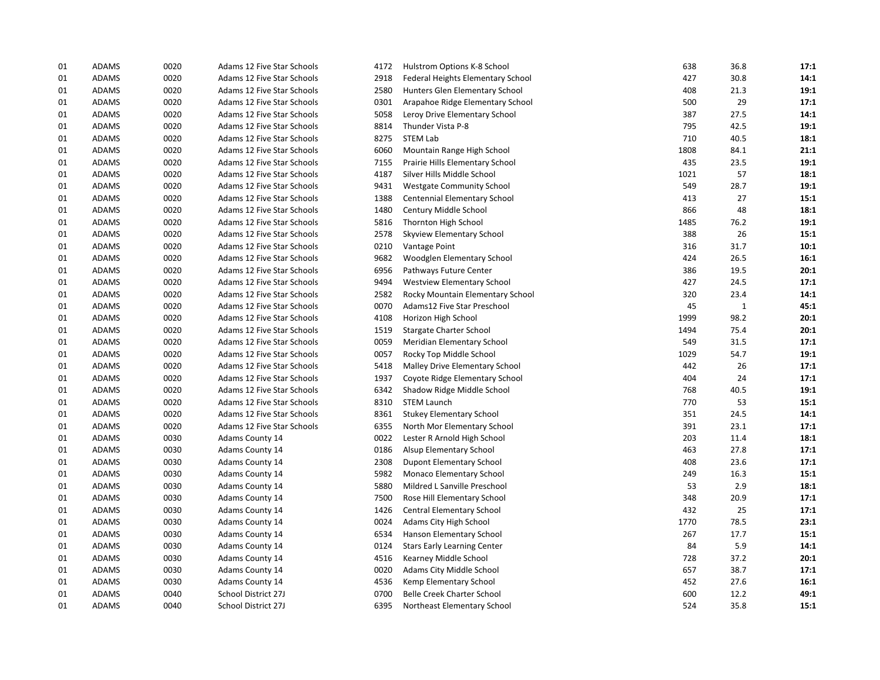| 01 | <b>ADAMS</b> | 0020 | Adams 12 Five Star Schools | 4172 | Hulstrom Options K-8 School        | 638  | 36.8         | 17:1 |
|----|--------------|------|----------------------------|------|------------------------------------|------|--------------|------|
| 01 | <b>ADAMS</b> | 0020 | Adams 12 Five Star Schools | 2918 | Federal Heights Elementary School  | 427  | 30.8         | 14:1 |
| 01 | ADAMS        | 0020 | Adams 12 Five Star Schools | 2580 | Hunters Glen Elementary School     | 408  | 21.3         | 19:1 |
| 01 | <b>ADAMS</b> | 0020 | Adams 12 Five Star Schools | 0301 | Arapahoe Ridge Elementary School   | 500  | 29           | 17:1 |
| 01 | ADAMS        | 0020 | Adams 12 Five Star Schools | 5058 | Leroy Drive Elementary School      | 387  | 27.5         | 14:1 |
| 01 | <b>ADAMS</b> | 0020 | Adams 12 Five Star Schools | 8814 | Thunder Vista P-8                  | 795  | 42.5         | 19:1 |
| 01 | ADAMS        | 0020 | Adams 12 Five Star Schools | 8275 | <b>STEM Lab</b>                    | 710  | 40.5         | 18:1 |
| 01 | <b>ADAMS</b> | 0020 | Adams 12 Five Star Schools | 6060 | Mountain Range High School         | 1808 | 84.1         | 21:1 |
| 01 | <b>ADAMS</b> | 0020 | Adams 12 Five Star Schools | 7155 | Prairie Hills Elementary School    | 435  | 23.5         | 19:1 |
| 01 | ADAMS        | 0020 | Adams 12 Five Star Schools | 4187 | Silver Hills Middle School         | 1021 | 57           | 18:1 |
| 01 | <b>ADAMS</b> | 0020 | Adams 12 Five Star Schools | 9431 | <b>Westgate Community School</b>   | 549  | 28.7         | 19:1 |
| 01 | <b>ADAMS</b> | 0020 | Adams 12 Five Star Schools | 1388 | Centennial Elementary School       | 413  | 27           | 15:1 |
| 01 | ADAMS        | 0020 | Adams 12 Five Star Schools | 1480 | Century Middle School              | 866  | 48           | 18:1 |
| 01 | ADAMS        | 0020 | Adams 12 Five Star Schools | 5816 | Thornton High School               | 1485 | 76.2         | 19:1 |
| 01 | ADAMS        | 0020 | Adams 12 Five Star Schools | 2578 | Skyview Elementary School          | 388  | 26           | 15:1 |
| 01 | ADAMS        | 0020 | Adams 12 Five Star Schools | 0210 | Vantage Point                      | 316  | 31.7         | 10:1 |
| 01 | <b>ADAMS</b> | 0020 | Adams 12 Five Star Schools | 9682 | Woodglen Elementary School         | 424  | 26.5         | 16:1 |
| 01 | ADAMS        | 0020 | Adams 12 Five Star Schools | 6956 | Pathways Future Center             | 386  | 19.5         | 20:1 |
| 01 | <b>ADAMS</b> | 0020 | Adams 12 Five Star Schools | 9494 | <b>Westview Elementary School</b>  | 427  | 24.5         | 17:1 |
| 01 | <b>ADAMS</b> | 0020 | Adams 12 Five Star Schools | 2582 | Rocky Mountain Elementary School   | 320  | 23.4         | 14:1 |
| 01 | ADAMS        | 0020 | Adams 12 Five Star Schools | 0070 | Adams12 Five Star Preschool        | 45   | $\mathbf{1}$ | 45:1 |
| 01 | ADAMS        | 0020 | Adams 12 Five Star Schools | 4108 | Horizon High School                | 1999 | 98.2         | 20:1 |
| 01 | ADAMS        | 0020 | Adams 12 Five Star Schools | 1519 | Stargate Charter School            | 1494 | 75.4         | 20:1 |
| 01 | ADAMS        | 0020 | Adams 12 Five Star Schools | 0059 | Meridian Elementary School         | 549  | 31.5         | 17:1 |
| 01 | <b>ADAMS</b> | 0020 | Adams 12 Five Star Schools | 0057 | Rocky Top Middle School            | 1029 | 54.7         | 19:1 |
| 01 | ADAMS        | 0020 | Adams 12 Five Star Schools | 5418 | Malley Drive Elementary School     | 442  | 26           | 17:1 |
| 01 | <b>ADAMS</b> | 0020 | Adams 12 Five Star Schools | 1937 | Coyote Ridge Elementary School     | 404  | 24           | 17:1 |
| 01 | <b>ADAMS</b> | 0020 | Adams 12 Five Star Schools | 6342 | Shadow Ridge Middle School         | 768  | 40.5         | 19:1 |
| 01 | ADAMS        | 0020 | Adams 12 Five Star Schools | 8310 | <b>STEM Launch</b>                 | 770  | 53           | 15:1 |
| 01 | ADAMS        | 0020 | Adams 12 Five Star Schools | 8361 | <b>Stukey Elementary School</b>    | 351  | 24.5         | 14:1 |
| 01 | ADAMS        | 0020 | Adams 12 Five Star Schools | 6355 | North Mor Elementary School        | 391  | 23.1         | 17:1 |
| 01 | ADAMS        | 0030 | <b>Adams County 14</b>     | 0022 | Lester R Arnold High School        | 203  | 11.4         | 18:1 |
| 01 | ADAMS        | 0030 | Adams County 14            | 0186 | Alsup Elementary School            | 463  | 27.8         | 17:1 |
| 01 | ADAMS        | 0030 | Adams County 14            | 2308 | <b>Dupont Elementary School</b>    | 408  | 23.6         | 17:1 |
| 01 | ADAMS        | 0030 | Adams County 14            | 5982 | Monaco Elementary School           | 249  | 16.3         | 15:1 |
| 01 | <b>ADAMS</b> | 0030 | <b>Adams County 14</b>     | 5880 | Mildred L Sanville Preschool       | 53   | 2.9          | 18:1 |
| 01 | ADAMS        | 0030 | Adams County 14            | 7500 | Rose Hill Elementary School        | 348  | 20.9         | 17:1 |
| 01 | <b>ADAMS</b> | 0030 | Adams County 14            | 1426 | Central Elementary School          | 432  | 25           | 17:1 |
| 01 | <b>ADAMS</b> | 0030 | <b>Adams County 14</b>     | 0024 | Adams City High School             | 1770 | 78.5         | 23:1 |
| 01 | ADAMS        | 0030 | Adams County 14            | 6534 | Hanson Elementary School           | 267  | 17.7         | 15:1 |
| 01 | <b>ADAMS</b> | 0030 | Adams County 14            | 0124 | <b>Stars Early Learning Center</b> | 84   | 5.9          | 14:1 |
| 01 | <b>ADAMS</b> | 0030 | <b>Adams County 14</b>     | 4516 | Kearney Middle School              | 728  | 37.2         | 20:1 |
| 01 | ADAMS        | 0030 | Adams County 14            | 0020 | Adams City Middle School           | 657  | 38.7         | 17:1 |
| 01 | <b>ADAMS</b> | 0030 | Adams County 14            | 4536 | Kemp Elementary School             | 452  | 27.6         | 16:1 |
| 01 | <b>ADAMS</b> | 0040 | School District 27J        | 0700 | <b>Belle Creek Charter School</b>  | 600  | 12.2         | 49:1 |
| 01 | <b>ADAMS</b> | 0040 | School District 27J        | 6395 | Northeast Elementary School        | 524  | 35.8         | 15:1 |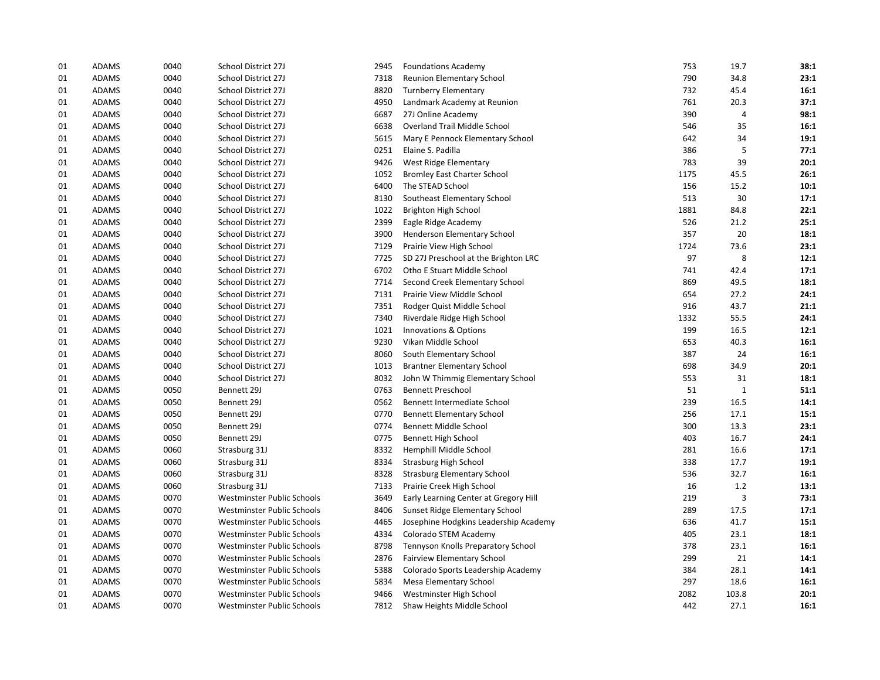| 01 | <b>ADAMS</b> | 0040 | School District 27J        | 2945 | <b>Foundations Academy</b>            | 753  | 19.7         | 38:1 |
|----|--------------|------|----------------------------|------|---------------------------------------|------|--------------|------|
| 01 | <b>ADAMS</b> | 0040 | School District 27J        | 7318 | Reunion Elementary School             | 790  | 34.8         | 23:1 |
| 01 | ADAMS        | 0040 | School District 27J        | 8820 | <b>Turnberry Elementary</b>           | 732  | 45.4         | 16:1 |
| 01 | ADAMS        | 0040 | School District 27J        | 4950 | Landmark Academy at Reunion           | 761  | 20.3         | 37:1 |
| 01 | ADAMS        | 0040 | School District 27J        | 6687 | 27J Online Academy                    | 390  | 4            | 98:1 |
| 01 | <b>ADAMS</b> | 0040 | School District 27J        | 6638 | Overland Trail Middle School          | 546  | 35           | 16:1 |
| 01 | ADAMS        | 0040 | School District 27J        | 5615 | Mary E Pennock Elementary School      | 642  | 34           | 19:1 |
| 01 | ADAMS        | 0040 | School District 27J        | 0251 | Elaine S. Padilla                     | 386  | 5            | 77:1 |
| 01 | <b>ADAMS</b> | 0040 | School District 27J        | 9426 | West Ridge Elementary                 | 783  | 39           | 20:1 |
| 01 | ADAMS        | 0040 | School District 27J        | 1052 | <b>Bromley East Charter School</b>    | 1175 | 45.5         | 26:1 |
| 01 | <b>ADAMS</b> | 0040 | School District 27J        | 6400 | The STEAD School                      | 156  | 15.2         | 10:1 |
| 01 | <b>ADAMS</b> | 0040 | School District 27J        | 8130 | Southeast Elementary School           | 513  | 30           | 17:1 |
| 01 | ADAMS        | 0040 | School District 27J        | 1022 | Brighton High School                  | 1881 | 84.8         | 22:1 |
| 01 | <b>ADAMS</b> | 0040 | School District 27J        | 2399 | Eagle Ridge Academy                   | 526  | 21.2         | 25:1 |
| 01 | <b>ADAMS</b> | 0040 | School District 27J        | 3900 | Henderson Elementary School           | 357  | 20           | 18:1 |
| 01 | ADAMS        | 0040 | School District 27J        | 7129 | Prairie View High School              | 1724 | 73.6         | 23:1 |
| 01 | <b>ADAMS</b> | 0040 | School District 27J        | 7725 | SD 27J Preschool at the Brighton LRC  | 97   | 8            | 12:1 |
| 01 | ADAMS        | 0040 | School District 27J        | 6702 | Otho E Stuart Middle School           | 741  | 42.4         | 17:1 |
| 01 | ADAMS        | 0040 | School District 27J        | 7714 | Second Creek Elementary School        | 869  | 49.5         | 18:1 |
| 01 | ADAMS        | 0040 | School District 27J        | 7131 | Prairie View Middle School            | 654  | 27.2         | 24:1 |
| 01 | ADAMS        | 0040 | School District 27J        | 7351 | Rodger Quist Middle School            | 916  | 43.7         | 21:1 |
| 01 | ADAMS        | 0040 | School District 27J        | 7340 | Riverdale Ridge High School           | 1332 | 55.5         | 24:1 |
| 01 | ADAMS        | 0040 | School District 27J        | 1021 | Innovations & Options                 | 199  | 16.5         | 12:1 |
| 01 | ADAMS        | 0040 | School District 27J        | 9230 | Vikan Middle School                   | 653  | 40.3         | 16:1 |
| 01 | <b>ADAMS</b> | 0040 | School District 27J        | 8060 | South Elementary School               | 387  | 24           | 16:1 |
| 01 | ADAMS        | 0040 | School District 27J        | 1013 | <b>Brantner Elementary School</b>     | 698  | 34.9         | 20:1 |
| 01 | <b>ADAMS</b> | 0040 | School District 27J        | 8032 | John W Thimmig Elementary School      | 553  | 31           | 18:1 |
| 01 | ADAMS        | 0050 | Bennett 29J                | 0763 | <b>Bennett Preschool</b>              | 51   | $\mathbf{1}$ | 51:1 |
| 01 | ADAMS        | 0050 | Bennett 29J                | 0562 | Bennett Intermediate School           | 239  | 16.5         | 14:1 |
| 01 | ADAMS        | 0050 | Bennett 29J                | 0770 | <b>Bennett Elementary School</b>      | 256  | 17.1         | 15:1 |
| 01 | ADAMS        | 0050 | Bennett 29J                | 0774 | Bennett Middle School                 | 300  | 13.3         | 23:1 |
| 01 | ADAMS        | 0050 | Bennett 29J                | 0775 | Bennett High School                   | 403  | 16.7         | 24:1 |
| 01 | <b>ADAMS</b> | 0060 | Strasburg 31J              | 8332 | Hemphill Middle School                | 281  | 16.6         | 17:1 |
| 01 | <b>ADAMS</b> | 0060 | Strasburg 31J              | 8334 | <b>Strasburg High School</b>          | 338  | 17.7         | 19:1 |
| 01 | <b>ADAMS</b> | 0060 | Strasburg 31J              | 8328 | <b>Strasburg Elementary School</b>    | 536  | 32.7         | 16:1 |
| 01 | <b>ADAMS</b> | 0060 | Strasburg 31J              | 7133 | Prairie Creek High School             | 16   | 1.2          | 13:1 |
| 01 | ADAMS        | 0070 | Westminster Public Schools | 3649 | Early Learning Center at Gregory Hill | 219  | 3            | 73:1 |
| 01 | ADAMS        | 0070 | Westminster Public Schools | 8406 | Sunset Ridge Elementary School        | 289  | 17.5         | 17:1 |
| 01 | <b>ADAMS</b> | 0070 | Westminster Public Schools | 4465 | Josephine Hodgkins Leadership Academy | 636  | 41.7         | 15:1 |
| 01 | <b>ADAMS</b> | 0070 | Westminster Public Schools | 4334 | Colorado STEM Academy                 | 405  | 23.1         | 18:1 |
| 01 | ADAMS        | 0070 | Westminster Public Schools | 8798 | Tennyson Knolls Preparatory School    | 378  | 23.1         | 16:1 |
| 01 | <b>ADAMS</b> | 0070 | Westminster Public Schools | 2876 | <b>Fairview Elementary School</b>     | 299  | 21           | 14:1 |
| 01 | ADAMS        | 0070 | Westminster Public Schools | 5388 | Colorado Sports Leadership Academy    | 384  | 28.1         | 14:1 |
| 01 | ADAMS        | 0070 | Westminster Public Schools | 5834 | Mesa Elementary School                | 297  | 18.6         | 16:1 |
| 01 | ADAMS        | 0070 | Westminster Public Schools | 9466 | Westminster High School               | 2082 | 103.8        | 20:1 |
| 01 | <b>ADAMS</b> | 0070 | Westminster Public Schools | 7812 | Shaw Heights Middle School            | 442  | 27.1         | 16:1 |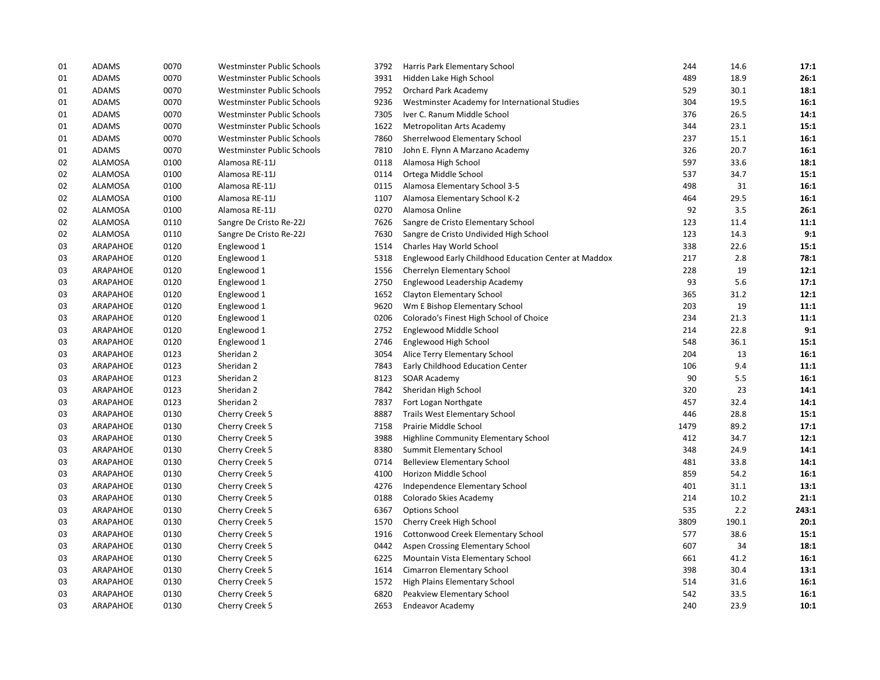| 01 | <b>ADAMS</b>   | 0070 | Westminster Public Schools | 3792 | Harris Park Elementary School                        | 244  | 14.6  | 17:1  |
|----|----------------|------|----------------------------|------|------------------------------------------------------|------|-------|-------|
| 01 | <b>ADAMS</b>   | 0070 | Westminster Public Schools | 3931 | Hidden Lake High School                              | 489  | 18.9  | 26:1  |
| 01 | <b>ADAMS</b>   | 0070 | Westminster Public Schools | 7952 | Orchard Park Academy                                 | 529  | 30.1  | 18:1  |
| 01 | <b>ADAMS</b>   | 0070 | Westminster Public Schools | 9236 | Westminster Academy for International Studies        | 304  | 19.5  | 16:1  |
| 01 | <b>ADAMS</b>   | 0070 | Westminster Public Schools | 7305 | Iver C. Ranum Middle School                          | 376  | 26.5  | 14:1  |
| 01 | <b>ADAMS</b>   | 0070 | Westminster Public Schools | 1622 | Metropolitan Arts Academy                            | 344  | 23.1  | 15:1  |
| 01 | <b>ADAMS</b>   | 0070 | Westminster Public Schools | 7860 | Sherrelwood Elementary School                        | 237  | 15.1  | 16:1  |
| 01 | <b>ADAMS</b>   | 0070 | Westminster Public Schools | 7810 | John E. Flynn A Marzano Academy                      | 326  | 20.7  | 16:1  |
| 02 | <b>ALAMOSA</b> | 0100 | Alamosa RE-11J             | 0118 | Alamosa High School                                  | 597  | 33.6  | 18:1  |
| 02 | ALAMOSA        | 0100 | Alamosa RE-11J             | 0114 | Ortega Middle School                                 | 537  | 34.7  | 15:1  |
| 02 | <b>ALAMOSA</b> | 0100 | Alamosa RE-11J             | 0115 | Alamosa Elementary School 3-5                        | 498  | 31    | 16:1  |
| 02 | <b>ALAMOSA</b> | 0100 | Alamosa RE-11J             | 1107 | Alamosa Elementary School K-2                        | 464  | 29.5  | 16:1  |
| 02 | ALAMOSA        | 0100 | Alamosa RE-11J             | 0270 | Alamosa Online                                       | 92   | 3.5   | 26:1  |
| 02 | <b>ALAMOSA</b> | 0110 | Sangre De Cristo Re-22J    | 7626 | Sangre de Cristo Elementary School                   | 123  | 11.4  | 11:1  |
| 02 | <b>ALAMOSA</b> | 0110 | Sangre De Cristo Re-22J    | 7630 | Sangre de Cristo Undivided High School               | 123  | 14.3  | 9:1   |
| 03 | ARAPAHOE       | 0120 | Englewood 1                | 1514 | Charles Hay World School                             | 338  | 22.6  | 15:1  |
| 03 | ARAPAHOE       | 0120 | Englewood 1                | 5318 | Englewood Early Childhood Education Center at Maddox | 217  | 2.8   | 78:1  |
| 03 | ARAPAHOE       | 0120 | Englewood 1                | 1556 | Cherrelyn Elementary School                          | 228  | 19    | 12:1  |
| 03 | ARAPAHOE       | 0120 | Englewood 1                | 2750 | Englewood Leadership Academy                         | 93   | 5.6   | 17:1  |
| 03 | ARAPAHOE       | 0120 | Englewood 1                | 1652 | Clayton Elementary School                            | 365  | 31.2  | 12:1  |
| 03 | ARAPAHOE       | 0120 | Englewood 1                | 9620 | Wm E Bishop Elementary School                        | 203  | 19    | 11:1  |
| 03 | ARAPAHOE       | 0120 | Englewood 1                | 0206 | Colorado's Finest High School of Choice              | 234  | 21.3  | 11:1  |
| 03 | ARAPAHOE       | 0120 | Englewood 1                | 2752 | Englewood Middle School                              | 214  | 22.8  | 9:1   |
| 03 | ARAPAHOE       | 0120 | Englewood 1                | 2746 | Englewood High School                                | 548  | 36.1  | 15:1  |
| 03 | ARAPAHOE       | 0123 | Sheridan 2                 | 3054 | Alice Terry Elementary School                        | 204  | 13    | 16:1  |
| 03 | ARAPAHOE       | 0123 | Sheridan 2                 | 7843 | Early Childhood Education Center                     | 106  | 9.4   | 11:1  |
| 03 | ARAPAHOE       | 0123 | Sheridan 2                 | 8123 | <b>SOAR Academy</b>                                  | 90   | 5.5   | 16:1  |
| 03 | ARAPAHOE       | 0123 | Sheridan 2                 | 7842 | Sheridan High School                                 | 320  | 23    | 14:1  |
| 03 | ARAPAHOE       | 0123 | Sheridan 2                 | 7837 | Fort Logan Northgate                                 | 457  | 32.4  | 14:1  |
| 03 | ARAPAHOE       | 0130 | Cherry Creek 5             | 8887 | <b>Trails West Elementary School</b>                 | 446  | 28.8  | 15:1  |
| 03 | ARAPAHOE       | 0130 | Cherry Creek 5             | 7158 | Prairie Middle School                                | 1479 | 89.2  | 17:1  |
| 03 | ARAPAHOE       | 0130 | Cherry Creek 5             | 3988 | Highline Community Elementary School                 | 412  | 34.7  | 12:1  |
| 03 | ARAPAHOE       | 0130 | Cherry Creek 5             | 8380 | <b>Summit Elementary School</b>                      | 348  | 24.9  | 14:1  |
| 03 | ARAPAHOE       | 0130 | Cherry Creek 5             | 0714 | <b>Belleview Elementary School</b>                   | 481  | 33.8  | 14:1  |
| 03 | ARAPAHOE       | 0130 | Cherry Creek 5             | 4100 | Horizon Middle School                                | 859  | 54.2  | 16:1  |
| 03 | ARAPAHOE       | 0130 | Cherry Creek 5             | 4276 | Independence Elementary School                       | 401  | 31.1  | 13:1  |
| 03 | ARAPAHOE       | 0130 | Cherry Creek 5             | 0188 | Colorado Skies Academy                               | 214  | 10.2  | 21:1  |
| 03 | ARAPAHOE       | 0130 | Cherry Creek 5             | 6367 | <b>Options School</b>                                | 535  | 2.2   | 243:1 |
| 03 | ARAPAHOE       | 0130 | Cherry Creek 5             | 1570 | Cherry Creek High School                             | 3809 | 190.1 | 20:1  |
| 03 | ARAPAHOE       | 0130 | Cherry Creek 5             | 1916 | Cottonwood Creek Elementary School                   | 577  | 38.6  | 15:1  |
| 03 | ARAPAHOE       | 0130 | Cherry Creek 5             | 0442 | Aspen Crossing Elementary School                     | 607  | 34    | 18:1  |
| 03 | ARAPAHOE       | 0130 | Cherry Creek 5             | 6225 | Mountain Vista Elementary School                     | 661  | 41.2  | 16:1  |
| 03 | ARAPAHOE       | 0130 | Cherry Creek 5             | 1614 | Cimarron Elementary School                           | 398  | 30.4  | 13:1  |
| 03 | ARAPAHOE       | 0130 | Cherry Creek 5             | 1572 | High Plains Elementary School                        | 514  | 31.6  | 16:1  |
| 03 | ARAPAHOE       | 0130 | Cherry Creek 5             | 6820 | Peakview Elementary School                           | 542  | 33.5  | 16:1  |
| 03 | ARAPAHOE       | 0130 | Cherry Creek 5             | 2653 | Endeavor Academy                                     | 240  | 23.9  | 10:1  |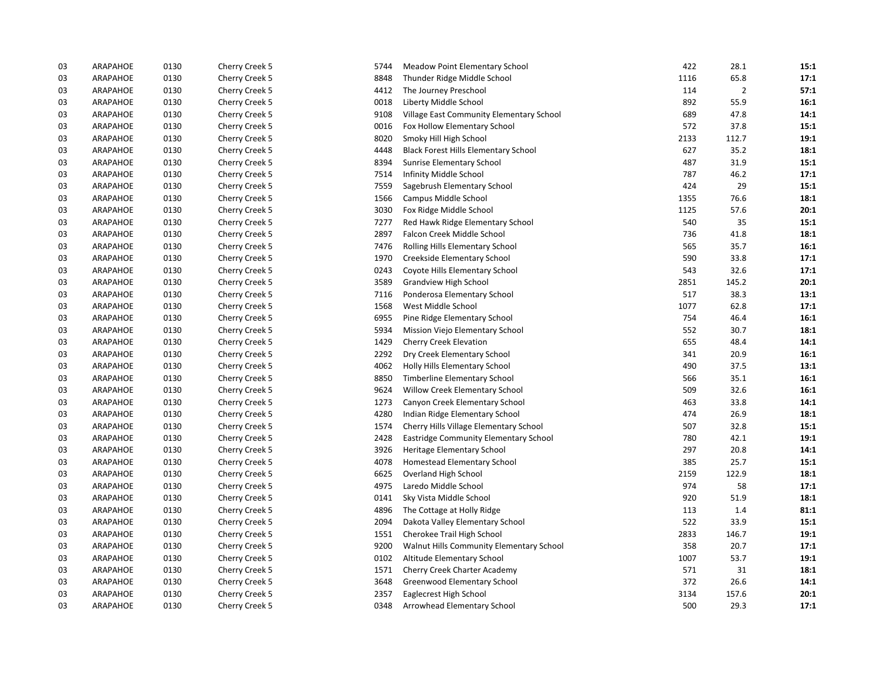| 03 | ARAPAHOE | 0130 | Cherry Creek 5 | 5744 | Meadow Point Elementary School              | 422  | 28.1  | 15:1 |
|----|----------|------|----------------|------|---------------------------------------------|------|-------|------|
| 03 | ARAPAHOE | 0130 | Cherry Creek 5 | 8848 | Thunder Ridge Middle School                 | 1116 | 65.8  | 17:1 |
| 03 | ARAPAHOE | 0130 | Cherry Creek 5 | 4412 | The Journey Preschool                       | 114  | 2     | 57:1 |
| 03 | ARAPAHOE | 0130 | Cherry Creek 5 | 0018 | Liberty Middle School                       | 892  | 55.9  | 16:1 |
| 03 | ARAPAHOE | 0130 | Cherry Creek 5 | 9108 | Village East Community Elementary School    | 689  | 47.8  | 14:1 |
| 03 | ARAPAHOE | 0130 | Cherry Creek 5 | 0016 | Fox Hollow Elementary School                | 572  | 37.8  | 15:1 |
| 03 | ARAPAHOE | 0130 | Cherry Creek 5 | 8020 | Smoky Hill High School                      | 2133 | 112.7 | 19:1 |
| 03 | ARAPAHOE | 0130 | Cherry Creek 5 | 4448 | <b>Black Forest Hills Elementary School</b> | 627  | 35.2  | 18:1 |
| 03 | ARAPAHOE | 0130 | Cherry Creek 5 | 8394 | Sunrise Elementary School                   | 487  | 31.9  | 15:1 |
| 03 | ARAPAHOE | 0130 | Cherry Creek 5 | 7514 | Infinity Middle School                      | 787  | 46.2  | 17:1 |
| 03 | ARAPAHOE | 0130 | Cherry Creek 5 | 7559 | Sagebrush Elementary School                 | 424  | 29    | 15:1 |
| 03 | ARAPAHOE | 0130 | Cherry Creek 5 | 1566 | Campus Middle School                        | 1355 | 76.6  | 18:1 |
| 03 | ARAPAHOE | 0130 | Cherry Creek 5 | 3030 | Fox Ridge Middle School                     | 1125 | 57.6  | 20:1 |
| 03 | ARAPAHOE | 0130 | Cherry Creek 5 | 7277 | Red Hawk Ridge Elementary School            | 540  | 35    | 15:1 |
| 03 | ARAPAHOE | 0130 | Cherry Creek 5 | 2897 | Falcon Creek Middle School                  | 736  | 41.8  | 18:1 |
| 03 | ARAPAHOE | 0130 | Cherry Creek 5 | 7476 | Rolling Hills Elementary School             | 565  | 35.7  | 16:1 |
| 03 | ARAPAHOE | 0130 | Cherry Creek 5 | 1970 | Creekside Elementary School                 | 590  | 33.8  | 17:1 |
| 03 | ARAPAHOE | 0130 | Cherry Creek 5 | 0243 | Coyote Hills Elementary School              | 543  | 32.6  | 17:1 |
| 03 | ARAPAHOE | 0130 | Cherry Creek 5 | 3589 | <b>Grandview High School</b>                | 2851 | 145.2 | 20:1 |
| 03 | ARAPAHOE | 0130 | Cherry Creek 5 | 7116 | Ponderosa Elementary School                 | 517  | 38.3  | 13:1 |
| 03 | ARAPAHOE | 0130 | Cherry Creek 5 | 1568 | West Middle School                          | 1077 | 62.8  | 17:1 |
| 03 | ARAPAHOE | 0130 | Cherry Creek 5 | 6955 | Pine Ridge Elementary School                | 754  | 46.4  | 16:1 |
| 03 | ARAPAHOE | 0130 | Cherry Creek 5 | 5934 | Mission Viejo Elementary School             | 552  | 30.7  | 18:1 |
| 03 | ARAPAHOE | 0130 | Cherry Creek 5 | 1429 | Cherry Creek Elevation                      | 655  | 48.4  | 14:1 |
| 03 | ARAPAHOE | 0130 | Cherry Creek 5 | 2292 | Dry Creek Elementary School                 | 341  | 20.9  | 16:1 |
| 03 | ARAPAHOE | 0130 | Cherry Creek 5 | 4062 | Holly Hills Elementary School               | 490  | 37.5  | 13:1 |
| 03 | ARAPAHOE | 0130 | Cherry Creek 5 | 8850 | Timberline Elementary School                | 566  | 35.1  | 16:1 |
| 03 | ARAPAHOE | 0130 | Cherry Creek 5 | 9624 | Willow Creek Elementary School              | 509  | 32.6  | 16:1 |
| 03 | ARAPAHOE | 0130 | Cherry Creek 5 | 1273 | Canyon Creek Elementary School              | 463  | 33.8  | 14:1 |
| 03 | ARAPAHOE | 0130 | Cherry Creek 5 | 4280 | Indian Ridge Elementary School              | 474  | 26.9  | 18:1 |
| 03 | ARAPAHOE | 0130 | Cherry Creek 5 | 1574 | Cherry Hills Village Elementary School      | 507  | 32.8  | 15:1 |
| 03 | ARAPAHOE | 0130 | Cherry Creek 5 | 2428 | Eastridge Community Elementary School       | 780  | 42.1  | 19:1 |
| 03 | ARAPAHOE | 0130 | Cherry Creek 5 | 3926 | Heritage Elementary School                  | 297  | 20.8  | 14:1 |
| 03 | ARAPAHOE | 0130 | Cherry Creek 5 | 4078 | Homestead Elementary School                 | 385  | 25.7  | 15:1 |
| 03 | ARAPAHOE | 0130 | Cherry Creek 5 | 6625 | Overland High School                        | 2159 | 122.9 | 18:1 |
| 03 | ARAPAHOE | 0130 | Cherry Creek 5 | 4975 | Laredo Middle School                        | 974  | 58    | 17:1 |
| 03 | ARAPAHOE | 0130 | Cherry Creek 5 | 0141 | Sky Vista Middle School                     | 920  | 51.9  | 18:1 |
| 03 | ARAPAHOE | 0130 | Cherry Creek 5 | 4896 | The Cottage at Holly Ridge                  | 113  | 1.4   | 81:1 |
| 03 | ARAPAHOE | 0130 | Cherry Creek 5 | 2094 | Dakota Valley Elementary School             | 522  | 33.9  | 15:1 |
| 03 | ARAPAHOE | 0130 | Cherry Creek 5 | 1551 | Cherokee Trail High School                  | 2833 | 146.7 | 19:1 |
| 03 | ARAPAHOE | 0130 | Cherry Creek 5 | 9200 | Walnut Hills Community Elementary School    | 358  | 20.7  | 17:1 |
| 03 | ARAPAHOE | 0130 | Cherry Creek 5 | 0102 | Altitude Elementary School                  | 1007 | 53.7  | 19:1 |
| 03 | ARAPAHOE | 0130 | Cherry Creek 5 | 1571 | Cherry Creek Charter Academy                | 571  | 31    | 18:1 |
| 03 | ARAPAHOE | 0130 | Cherry Creek 5 | 3648 | Greenwood Elementary School                 | 372  | 26.6  | 14:1 |
| 03 | ARAPAHOE | 0130 | Cherry Creek 5 | 2357 | Eaglecrest High School                      | 3134 | 157.6 | 20:1 |
| 03 | ARAPAHOE | 0130 | Cherry Creek 5 | 0348 | Arrowhead Elementary School                 | 500  | 29.3  | 17:1 |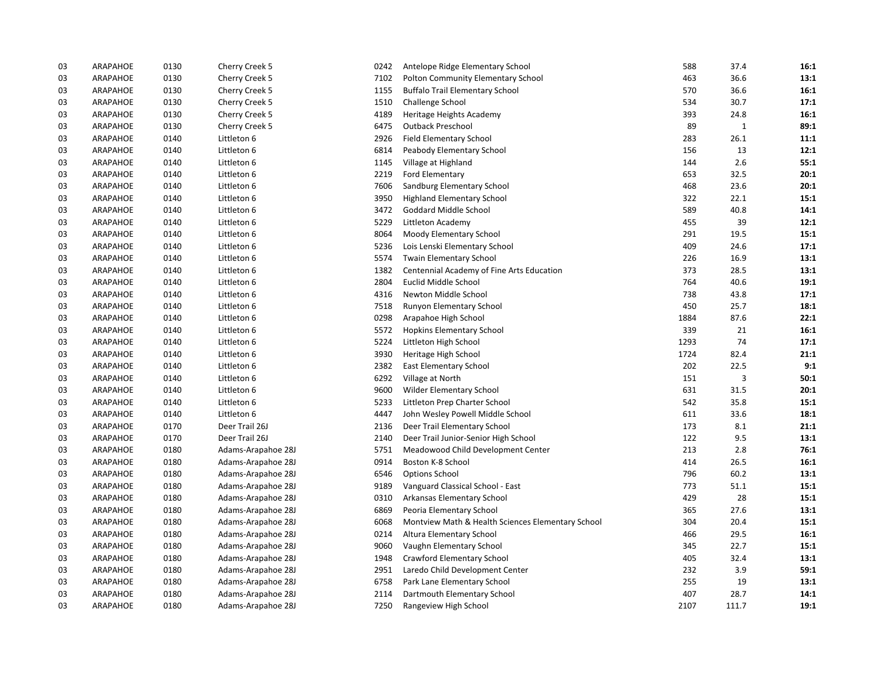| 03 | ARAPAHOE | 0130 | Cherry Creek 5     | 0242 | Antelope Ridge Elementary School                  | 588  | 37.4         | 16:1 |
|----|----------|------|--------------------|------|---------------------------------------------------|------|--------------|------|
| 03 | ARAPAHOE | 0130 | Cherry Creek 5     | 7102 | Polton Community Elementary School                | 463  | 36.6         | 13:1 |
| 03 | ARAPAHOE | 0130 | Cherry Creek 5     | 1155 | <b>Buffalo Trail Elementary School</b>            | 570  | 36.6         | 16:1 |
| 03 | ARAPAHOE | 0130 | Cherry Creek 5     | 1510 | Challenge School                                  | 534  | 30.7         | 17:1 |
| 03 | ARAPAHOE | 0130 | Cherry Creek 5     | 4189 | Heritage Heights Academy                          | 393  | 24.8         | 16:1 |
| 03 | ARAPAHOE | 0130 | Cherry Creek 5     | 6475 | <b>Outback Preschool</b>                          | 89   | $\mathbf{1}$ | 89:1 |
| 03 | ARAPAHOE | 0140 | Littleton 6        | 2926 | <b>Field Elementary School</b>                    | 283  | 26.1         | 11:1 |
| 03 | ARAPAHOE | 0140 | Littleton 6        | 6814 | Peabody Elementary School                         | 156  | 13           | 12:1 |
| 03 | ARAPAHOE | 0140 | Littleton 6        | 1145 | Village at Highland                               | 144  | 2.6          | 55:1 |
| 03 | ARAPAHOE | 0140 | Littleton 6        | 2219 | Ford Elementary                                   | 653  | 32.5         | 20:1 |
| 03 | ARAPAHOE | 0140 | Littleton 6        | 7606 | Sandburg Elementary School                        | 468  | 23.6         | 20:1 |
| 03 | ARAPAHOE | 0140 | Littleton 6        | 3950 | <b>Highland Elementary School</b>                 | 322  | 22.1         | 15:1 |
| 03 | ARAPAHOE | 0140 | Littleton 6        | 3472 | Goddard Middle School                             | 589  | 40.8         | 14:1 |
| 03 | ARAPAHOE | 0140 | Littleton 6        | 5229 | Littleton Academy                                 | 455  | 39           | 12:1 |
| 03 | ARAPAHOE | 0140 | Littleton 6        | 8064 | Moody Elementary School                           | 291  | 19.5         | 15:1 |
| 03 | ARAPAHOE | 0140 | Littleton 6        | 5236 | Lois Lenski Elementary School                     | 409  | 24.6         | 17:1 |
| 03 | ARAPAHOE | 0140 | Littleton 6        | 5574 | Twain Elementary School                           | 226  | 16.9         | 13:1 |
| 03 | ARAPAHOE | 0140 | Littleton 6        | 1382 | Centennial Academy of Fine Arts Education         | 373  | 28.5         | 13:1 |
| 03 | ARAPAHOE | 0140 | Littleton 6        | 2804 | Euclid Middle School                              | 764  | 40.6         | 19:1 |
| 03 | ARAPAHOE | 0140 | Littleton 6        | 4316 | Newton Middle School                              | 738  | 43.8         | 17:1 |
| 03 | ARAPAHOE | 0140 | Littleton 6        | 7518 | Runyon Elementary School                          | 450  | 25.7         | 18:1 |
| 03 | ARAPAHOE | 0140 | Littleton 6        | 0298 | Arapahoe High School                              | 1884 | 87.6         | 22:1 |
| 03 | ARAPAHOE | 0140 | Littleton 6        | 5572 | <b>Hopkins Elementary School</b>                  | 339  | 21           | 16:1 |
| 03 | ARAPAHOE | 0140 | Littleton 6        | 5224 | Littleton High School                             | 1293 | 74           | 17:1 |
| 03 | ARAPAHOE | 0140 | Littleton 6        | 3930 | Heritage High School                              | 1724 | 82.4         | 21:1 |
| 03 | ARAPAHOE | 0140 | Littleton 6        | 2382 | <b>East Elementary School</b>                     | 202  | 22.5         | 9:1  |
| 03 | ARAPAHOE | 0140 | Littleton 6        | 6292 | Village at North                                  | 151  | 3            | 50:1 |
| 03 | ARAPAHOE | 0140 | Littleton 6        | 9600 | Wilder Elementary School                          | 631  | 31.5         | 20:1 |
| 03 | ARAPAHOE | 0140 | Littleton 6        | 5233 | Littleton Prep Charter School                     | 542  | 35.8         | 15:1 |
| 03 | ARAPAHOE | 0140 | Littleton 6        | 4447 | John Wesley Powell Middle School                  | 611  | 33.6         | 18:1 |
| 03 | ARAPAHOE | 0170 | Deer Trail 26J     | 2136 | Deer Trail Elementary School                      | 173  | 8.1          | 21:1 |
| 03 | ARAPAHOE | 0170 | Deer Trail 26J     | 2140 | Deer Trail Junior-Senior High School              | 122  | 9.5          | 13:1 |
| 03 | ARAPAHOE | 0180 | Adams-Arapahoe 28J | 5751 | Meadowood Child Development Center                | 213  | 2.8          | 76:1 |
| 03 | ARAPAHOE | 0180 | Adams-Arapahoe 28J | 0914 | Boston K-8 School                                 | 414  | 26.5         | 16:1 |
| 03 | ARAPAHOE | 0180 | Adams-Arapahoe 28J | 6546 | <b>Options School</b>                             | 796  | 60.2         | 13:1 |
| 03 | ARAPAHOE | 0180 | Adams-Arapahoe 28J | 9189 | Vanguard Classical School - East                  | 773  | 51.1         | 15:1 |
| 03 | ARAPAHOE | 0180 | Adams-Arapahoe 28J | 0310 | Arkansas Elementary School                        | 429  | 28           | 15:1 |
| 03 | ARAPAHOE | 0180 | Adams-Arapahoe 28J | 6869 | Peoria Elementary School                          | 365  | 27.6         | 13:1 |
| 03 | ARAPAHOE | 0180 | Adams-Arapahoe 28J | 6068 | Montview Math & Health Sciences Elementary School | 304  | 20.4         | 15:1 |
| 03 | ARAPAHOE | 0180 | Adams-Arapahoe 28J | 0214 | Altura Elementary School                          | 466  | 29.5         | 16:1 |
| 03 | ARAPAHOE | 0180 | Adams-Arapahoe 28J | 9060 | Vaughn Elementary School                          | 345  | 22.7         | 15:1 |
| 03 | ARAPAHOE | 0180 | Adams-Arapahoe 28J | 1948 | Crawford Elementary School                        | 405  | 32.4         | 13:1 |
| 03 | ARAPAHOE | 0180 | Adams-Arapahoe 28J | 2951 | Laredo Child Development Center                   | 232  | 3.9          | 59:1 |
| 03 | ARAPAHOE | 0180 | Adams-Arapahoe 28J | 6758 | Park Lane Elementary School                       | 255  | 19           | 13:1 |
| 03 | ARAPAHOE | 0180 | Adams-Arapahoe 28J | 2114 | Dartmouth Elementary School                       | 407  | 28.7         | 14:1 |
| 03 | ARAPAHOE | 0180 | Adams-Arapahoe 28J | 7250 | Rangeview High School                             | 2107 | 111.7        | 19:1 |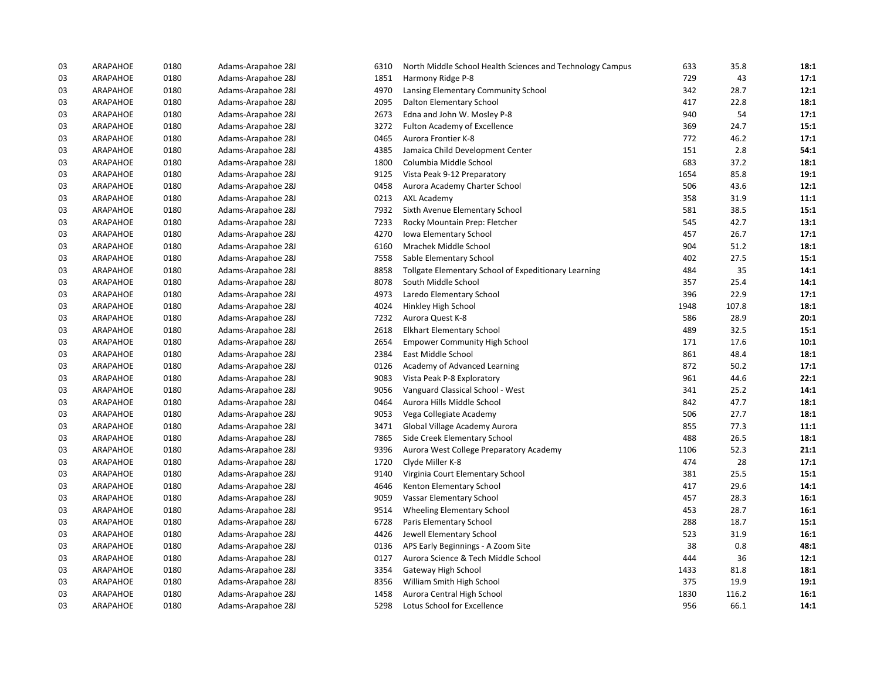| 03 | ARAPAHOE | 0180 | Adams-Arapahoe 28J | 6310 | North Middle School Health Sciences and Technology Campus | 633  | 35.8  | 18:1 |
|----|----------|------|--------------------|------|-----------------------------------------------------------|------|-------|------|
| 03 | ARAPAHOE | 0180 | Adams-Arapahoe 28J | 1851 | Harmony Ridge P-8                                         | 729  | 43    | 17:1 |
| 03 | ARAPAHOE | 0180 | Adams-Arapahoe 28J | 4970 | Lansing Elementary Community School                       | 342  | 28.7  | 12:1 |
| 03 | ARAPAHOE | 0180 | Adams-Arapahoe 28J | 2095 | Dalton Elementary School                                  | 417  | 22.8  | 18:1 |
| 03 | ARAPAHOE | 0180 | Adams-Arapahoe 28J | 2673 | Edna and John W. Mosley P-8                               | 940  | 54    | 17:1 |
| 03 | ARAPAHOE | 0180 | Adams-Arapahoe 28J | 3272 | Fulton Academy of Excellence                              | 369  | 24.7  | 15:1 |
| 03 | ARAPAHOE | 0180 | Adams-Arapahoe 28J | 0465 | Aurora Frontier K-8                                       | 772  | 46.2  | 17:1 |
| 03 | ARAPAHOE | 0180 | Adams-Arapahoe 28J | 4385 | Jamaica Child Development Center                          | 151  | 2.8   | 54:1 |
| 03 | ARAPAHOE | 0180 | Adams-Arapahoe 28J | 1800 | Columbia Middle School                                    | 683  | 37.2  | 18:1 |
| 03 | ARAPAHOE | 0180 | Adams-Arapahoe 28J | 9125 | Vista Peak 9-12 Preparatory                               | 1654 | 85.8  | 19:1 |
| 03 | ARAPAHOE | 0180 | Adams-Arapahoe 28J | 0458 | Aurora Academy Charter School                             | 506  | 43.6  | 12:1 |
| 03 | ARAPAHOE | 0180 | Adams-Arapahoe 28J | 0213 | <b>AXL Academy</b>                                        | 358  | 31.9  | 11:1 |
| 03 | ARAPAHOE | 0180 | Adams-Arapahoe 28J | 7932 | Sixth Avenue Elementary School                            | 581  | 38.5  | 15:1 |
| 03 | ARAPAHOE | 0180 | Adams-Arapahoe 28J | 7233 | Rocky Mountain Prep: Fletcher                             | 545  | 42.7  | 13:1 |
| 03 | ARAPAHOE | 0180 | Adams-Arapahoe 28J | 4270 | Iowa Elementary School                                    | 457  | 26.7  | 17:1 |
| 03 | ARAPAHOE | 0180 | Adams-Arapahoe 28J | 6160 | Mrachek Middle School                                     | 904  | 51.2  | 18:1 |
| 03 | ARAPAHOE | 0180 | Adams-Arapahoe 28J | 7558 | Sable Elementary School                                   | 402  | 27.5  | 15:1 |
| 03 | ARAPAHOE | 0180 | Adams-Arapahoe 28J | 8858 | Tollgate Elementary School of Expeditionary Learning      | 484  | 35    | 14:1 |
| 03 | ARAPAHOE | 0180 | Adams-Arapahoe 28J | 8078 | South Middle School                                       | 357  | 25.4  | 14:1 |
| 03 | ARAPAHOE | 0180 | Adams-Arapahoe 28J | 4973 | Laredo Elementary School                                  | 396  | 22.9  | 17:1 |
| 03 | ARAPAHOE | 0180 | Adams-Arapahoe 28J | 4024 | Hinkley High School                                       | 1948 | 107.8 | 18:1 |
| 03 | ARAPAHOE | 0180 | Adams-Arapahoe 28J | 7232 | Aurora Quest K-8                                          | 586  | 28.9  | 20:1 |
| 03 | ARAPAHOE | 0180 | Adams-Arapahoe 28J | 2618 | <b>Elkhart Elementary School</b>                          | 489  | 32.5  | 15:1 |
| 03 | ARAPAHOE | 0180 | Adams-Arapahoe 28J | 2654 | <b>Empower Community High School</b>                      | 171  | 17.6  | 10:1 |
| 03 | ARAPAHOE | 0180 | Adams-Arapahoe 28J | 2384 | East Middle School                                        | 861  | 48.4  | 18:1 |
| 03 | ARAPAHOE | 0180 | Adams-Arapahoe 28J | 0126 | Academy of Advanced Learning                              | 872  | 50.2  | 17:1 |
| 03 | ARAPAHOE | 0180 | Adams-Arapahoe 28J | 9083 | Vista Peak P-8 Exploratory                                | 961  | 44.6  | 22:1 |
| 03 | ARAPAHOE | 0180 | Adams-Arapahoe 28J | 9056 | Vanguard Classical School - West                          | 341  | 25.2  | 14:1 |
| 03 | ARAPAHOE | 0180 | Adams-Arapahoe 28J | 0464 | Aurora Hills Middle School                                | 842  | 47.7  | 18:1 |
| 03 | ARAPAHOE | 0180 | Adams-Arapahoe 28J | 9053 | Vega Collegiate Academy                                   | 506  | 27.7  | 18:1 |
| 03 | ARAPAHOE | 0180 | Adams-Arapahoe 28J | 3471 | Global Village Academy Aurora                             | 855  | 77.3  | 11:1 |
| 03 | ARAPAHOE | 0180 | Adams-Arapahoe 28J | 7865 | Side Creek Elementary School                              | 488  | 26.5  | 18:1 |
| 03 | ARAPAHOE | 0180 | Adams-Arapahoe 28J | 9396 | Aurora West College Preparatory Academy                   | 1106 | 52.3  | 21:1 |
| 03 | ARAPAHOE | 0180 | Adams-Arapahoe 28J | 1720 | Clyde Miller K-8                                          | 474  | 28    | 17:1 |
| 03 | ARAPAHOE | 0180 | Adams-Arapahoe 28J | 9140 | Virginia Court Elementary School                          | 381  | 25.5  | 15:1 |
| 03 | ARAPAHOE | 0180 | Adams-Arapahoe 28J | 4646 | Kenton Elementary School                                  | 417  | 29.6  | 14:1 |
| 03 | ARAPAHOE | 0180 | Adams-Arapahoe 28J | 9059 | Vassar Elementary School                                  | 457  | 28.3  | 16:1 |
| 03 | ARAPAHOE | 0180 | Adams-Arapahoe 28J | 9514 | Wheeling Elementary School                                | 453  | 28.7  | 16:1 |
| 03 | ARAPAHOE | 0180 | Adams-Arapahoe 28J | 6728 | Paris Elementary School                                   | 288  | 18.7  | 15:1 |
| 03 | ARAPAHOE | 0180 | Adams-Arapahoe 28J | 4426 | Jewell Elementary School                                  | 523  | 31.9  | 16:1 |
| 03 | ARAPAHOE | 0180 | Adams-Arapahoe 28J | 0136 | APS Early Beginnings - A Zoom Site                        | 38   | 0.8   | 48:1 |
| 03 | ARAPAHOE | 0180 | Adams-Arapahoe 28J | 0127 | Aurora Science & Tech Middle School                       | 444  | 36    | 12:1 |
| 03 | ARAPAHOE | 0180 | Adams-Arapahoe 28J | 3354 | Gateway High School                                       | 1433 | 81.8  | 18:1 |
| 03 | ARAPAHOE | 0180 | Adams-Arapahoe 28J | 8356 | William Smith High School                                 | 375  | 19.9  | 19:1 |
| 03 | ARAPAHOE | 0180 | Adams-Arapahoe 28J | 1458 | Aurora Central High School                                | 1830 | 116.2 | 16:1 |
| 03 | ARAPAHOE | 0180 | Adams-Arapahoe 28J | 5298 | Lotus School for Excellence                               | 956  | 66.1  | 14:1 |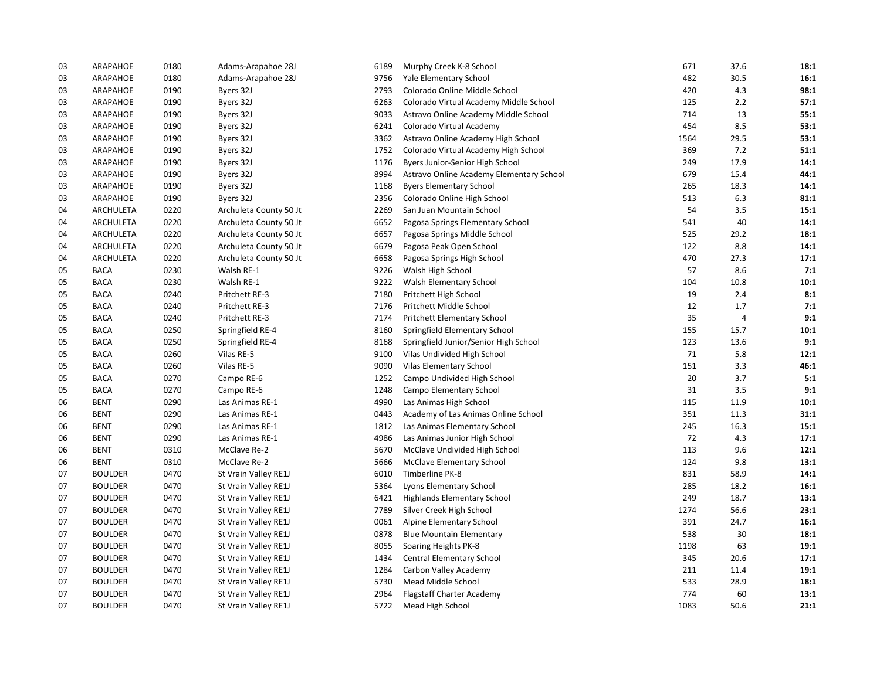| 03 | ARAPAHOE         | 0180 | Adams-Arapahoe 28J     | 6189 | Murphy Creek K-8 School                  | 671  | 37.6 | 18:1 |
|----|------------------|------|------------------------|------|------------------------------------------|------|------|------|
| 03 | ARAPAHOE         | 0180 | Adams-Arapahoe 28J     | 9756 | Yale Elementary School                   | 482  | 30.5 | 16:1 |
| 03 | ARAPAHOE         | 0190 | Byers 32J              | 2793 | Colorado Online Middle School            | 420  | 4.3  | 98:1 |
| 03 | ARAPAHOE         | 0190 | Byers 32J              | 6263 | Colorado Virtual Academy Middle School   | 125  | 2.2  | 57:1 |
| 03 | ARAPAHOE         | 0190 | Byers 32J              | 9033 | Astravo Online Academy Middle School     | 714  | 13   | 55:1 |
| 03 | ARAPAHOE         | 0190 | Byers 32J              | 6241 | Colorado Virtual Academy                 | 454  | 8.5  | 53:1 |
| 03 | ARAPAHOE         | 0190 | Byers 32J              | 3362 | Astravo Online Academy High School       | 1564 | 29.5 | 53:1 |
| 03 | ARAPAHOE         | 0190 | Byers 32J              | 1752 | Colorado Virtual Academy High School     | 369  | 7.2  | 51:1 |
| 03 | ARAPAHOE         | 0190 | Byers 32J              | 1176 | Byers Junior-Senior High School          | 249  | 17.9 | 14:1 |
| 03 | ARAPAHOE         | 0190 | Byers 32J              | 8994 | Astravo Online Academy Elementary School | 679  | 15.4 | 44:1 |
| 03 | ARAPAHOE         | 0190 | Byers 32J              | 1168 | <b>Byers Elementary School</b>           | 265  | 18.3 | 14:1 |
| 03 | ARAPAHOE         | 0190 | Byers 32J              | 2356 | Colorado Online High School              | 513  | 6.3  | 81:1 |
| 04 | ARCHULETA        | 0220 | Archuleta County 50 Jt | 2269 | San Juan Mountain School                 | 54   | 3.5  | 15:1 |
| 04 | ARCHULETA        | 0220 | Archuleta County 50 Jt | 6652 | Pagosa Springs Elementary School         | 541  | 40   | 14:1 |
| 04 | ARCHULETA        | 0220 | Archuleta County 50 Jt | 6657 | Pagosa Springs Middle School             | 525  | 29.2 | 18:1 |
| 04 | ARCHULETA        | 0220 | Archuleta County 50 Jt | 6679 | Pagosa Peak Open School                  | 122  | 8.8  | 14:1 |
| 04 | <b>ARCHULETA</b> | 0220 | Archuleta County 50 Jt | 6658 | Pagosa Springs High School               | 470  | 27.3 | 17:1 |
| 05 | <b>BACA</b>      | 0230 | Walsh RE-1             | 9226 | Walsh High School                        | 57   | 8.6  | 7:1  |
| 05 | <b>BACA</b>      | 0230 | Walsh RE-1             | 9222 | Walsh Elementary School                  | 104  | 10.8 | 10:1 |
| 05 | <b>BACA</b>      | 0240 | Pritchett RE-3         | 7180 | Pritchett High School                    | 19   | 2.4  | 8:1  |
| 05 | <b>BACA</b>      | 0240 | Pritchett RE-3         | 7176 | Pritchett Middle School                  | 12   | 1.7  | 7:1  |
| 05 | <b>BACA</b>      | 0240 | Pritchett RE-3         | 7174 | <b>Pritchett Elementary School</b>       | 35   | 4    | 9:1  |
| 05 | <b>BACA</b>      | 0250 | Springfield RE-4       | 8160 | Springfield Elementary School            | 155  | 15.7 | 10:1 |
| 05 | <b>BACA</b>      | 0250 | Springfield RE-4       | 8168 | Springfield Junior/Senior High School    | 123  | 13.6 | 9:1  |
| 05 | <b>BACA</b>      | 0260 | Vilas RE-5             | 9100 | Vilas Undivided High School              | 71   | 5.8  | 12:1 |
| 05 | <b>BACA</b>      | 0260 | Vilas RE-5             | 9090 | Vilas Elementary School                  | 151  | 3.3  | 46:1 |
| 05 | <b>BACA</b>      | 0270 | Campo RE-6             | 1252 | Campo Undivided High School              | 20   | 3.7  | 5:1  |
| 05 | <b>BACA</b>      | 0270 | Campo RE-6             | 1248 | Campo Elementary School                  | 31   | 3.5  | 9:1  |
| 06 | <b>BENT</b>      | 0290 | Las Animas RE-1        | 4990 | Las Animas High School                   | 115  | 11.9 | 10:1 |
| 06 | <b>BENT</b>      | 0290 | Las Animas RE-1        | 0443 | Academy of Las Animas Online School      | 351  | 11.3 | 31:1 |
| 06 | <b>BENT</b>      | 0290 | Las Animas RE-1        | 1812 | Las Animas Elementary School             | 245  | 16.3 | 15:1 |
| 06 | <b>BENT</b>      | 0290 | Las Animas RE-1        | 4986 | Las Animas Junior High School            | 72   | 4.3  | 17:1 |
| 06 | <b>BENT</b>      | 0310 | McClave Re-2           | 5670 | McClave Undivided High School            | 113  | 9.6  | 12:1 |
| 06 | <b>BENT</b>      | 0310 | McClave Re-2           | 5666 | McClave Elementary School                | 124  | 9.8  | 13:1 |
| 07 | <b>BOULDER</b>   | 0470 | St Vrain Valley RE1J   | 6010 | Timberline PK-8                          | 831  | 58.9 | 14:1 |
| 07 | <b>BOULDER</b>   | 0470 | St Vrain Valley RE1J   | 5364 | Lyons Elementary School                  | 285  | 18.2 | 16:1 |
| 07 | <b>BOULDER</b>   | 0470 | St Vrain Valley RE1J   | 6421 | Highlands Elementary School              | 249  | 18.7 | 13:1 |
| 07 | <b>BOULDER</b>   | 0470 | St Vrain Valley RE1J   | 7789 | Silver Creek High School                 | 1274 | 56.6 | 23:1 |
| 07 | <b>BOULDER</b>   | 0470 | St Vrain Valley RE1J   | 0061 | Alpine Elementary School                 | 391  | 24.7 | 16:1 |
| 07 | <b>BOULDER</b>   | 0470 | St Vrain Valley RE1J   | 0878 | <b>Blue Mountain Elementary</b>          | 538  | 30   | 18:1 |
| 07 | <b>BOULDER</b>   | 0470 | St Vrain Valley RE1J   | 8055 | Soaring Heights PK-8                     | 1198 | 63   | 19:1 |
| 07 | <b>BOULDER</b>   | 0470 | St Vrain Valley RE1J   | 1434 | Central Elementary School                | 345  | 20.6 | 17:1 |
| 07 | <b>BOULDER</b>   | 0470 | St Vrain Valley RE1J   | 1284 | Carbon Valley Academy                    | 211  | 11.4 | 19:1 |
| 07 | <b>BOULDER</b>   | 0470 | St Vrain Valley RE1J   | 5730 | Mead Middle School                       | 533  | 28.9 | 18:1 |
| 07 | <b>BOULDER</b>   | 0470 | St Vrain Valley RE1J   | 2964 | <b>Flagstaff Charter Academy</b>         | 774  | 60   | 13:1 |
| 07 | <b>BOULDER</b>   | 0470 | St Vrain Valley RE1J   | 5722 | Mead High School                         | 1083 | 50.6 | 21:1 |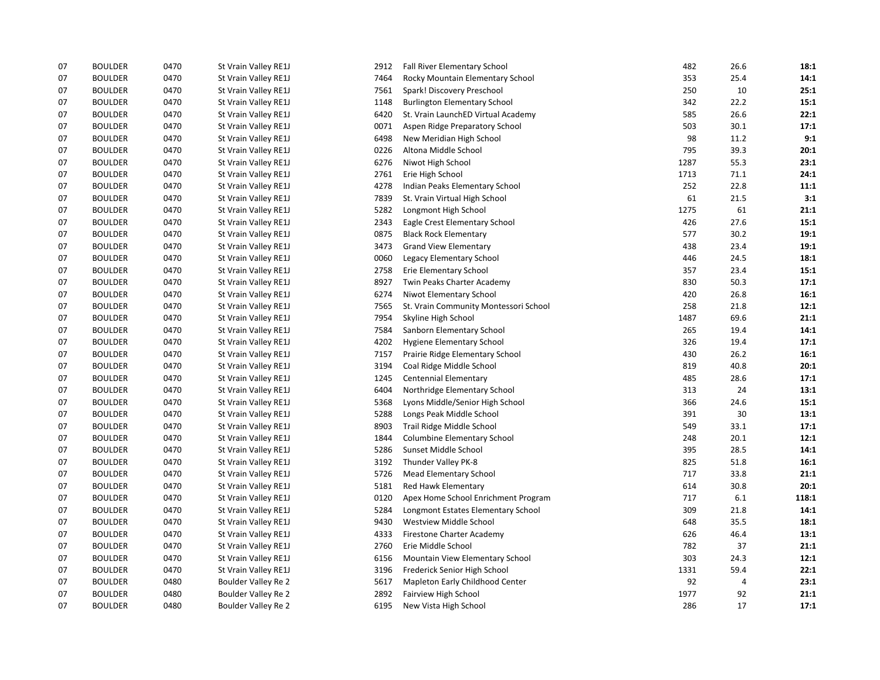| 07 | <b>BOULDER</b> | 0470 | St Vrain Valley RE1J | 2912 | Fall River Elementary School          | 482  | 26.6 | 18:1  |
|----|----------------|------|----------------------|------|---------------------------------------|------|------|-------|
| 07 | <b>BOULDER</b> | 0470 | St Vrain Valley RE1J | 7464 | Rocky Mountain Elementary School      | 353  | 25.4 | 14:1  |
| 07 | <b>BOULDER</b> | 0470 | St Vrain Valley RE1J | 7561 | Spark! Discovery Preschool            | 250  | 10   | 25:1  |
| 07 | <b>BOULDER</b> | 0470 | St Vrain Valley RE1J | 1148 | <b>Burlington Elementary School</b>   | 342  | 22.2 | 15:1  |
| 07 | <b>BOULDER</b> | 0470 | St Vrain Valley RE1J | 6420 | St. Vrain LaunchED Virtual Academy    | 585  | 26.6 | 22:1  |
| 07 | <b>BOULDER</b> | 0470 | St Vrain Valley RE1J | 0071 | Aspen Ridge Preparatory School        | 503  | 30.1 | 17:1  |
| 07 | <b>BOULDER</b> | 0470 | St Vrain Valley RE1J | 6498 | New Meridian High School              | 98   | 11.2 | 9:1   |
| 07 | <b>BOULDER</b> | 0470 | St Vrain Valley RE1J | 0226 | Altona Middle School                  | 795  | 39.3 | 20:1  |
| 07 | <b>BOULDER</b> | 0470 | St Vrain Valley RE1J | 6276 | Niwot High School                     | 1287 | 55.3 | 23:1  |
| 07 | <b>BOULDER</b> | 0470 | St Vrain Valley RE1J | 2761 | Erie High School                      | 1713 | 71.1 | 24:1  |
| 07 | <b>BOULDER</b> | 0470 | St Vrain Valley RE1J | 4278 | Indian Peaks Elementary School        | 252  | 22.8 | 11:1  |
| 07 | <b>BOULDER</b> | 0470 | St Vrain Valley RE1J | 7839 | St. Vrain Virtual High School         | 61   | 21.5 | 3:1   |
| 07 | <b>BOULDER</b> | 0470 | St Vrain Valley RE1J | 5282 | Longmont High School                  | 1275 | 61   | 21:1  |
| 07 | <b>BOULDER</b> | 0470 | St Vrain Valley RE1J | 2343 | Eagle Crest Elementary School         | 426  | 27.6 | 15:1  |
| 07 | <b>BOULDER</b> | 0470 | St Vrain Valley RE1J | 0875 | <b>Black Rock Elementary</b>          | 577  | 30.2 | 19:1  |
| 07 | <b>BOULDER</b> | 0470 | St Vrain Valley RE1J | 3473 | <b>Grand View Elementary</b>          | 438  | 23.4 | 19:1  |
| 07 | <b>BOULDER</b> | 0470 | St Vrain Valley RE1J | 0060 | Legacy Elementary School              | 446  | 24.5 | 18:1  |
| 07 | <b>BOULDER</b> | 0470 | St Vrain Valley RE1J | 2758 | Erie Elementary School                | 357  | 23.4 | 15:1  |
| 07 | <b>BOULDER</b> | 0470 | St Vrain Valley RE1J | 8927 | Twin Peaks Charter Academy            | 830  | 50.3 | 17:1  |
| 07 | <b>BOULDER</b> | 0470 | St Vrain Valley RE1J | 6274 | Niwot Elementary School               | 420  | 26.8 | 16:1  |
| 07 | <b>BOULDER</b> | 0470 | St Vrain Valley RE1J | 7565 | St. Vrain Community Montessori School | 258  | 21.8 | 12:1  |
| 07 | <b>BOULDER</b> | 0470 | St Vrain Valley RE1J | 7954 | Skyline High School                   | 1487 | 69.6 | 21:1  |
| 07 | <b>BOULDER</b> | 0470 | St Vrain Valley RE1J | 7584 | Sanborn Elementary School             | 265  | 19.4 | 14:1  |
| 07 | <b>BOULDER</b> | 0470 | St Vrain Valley RE1J | 4202 | Hygiene Elementary School             | 326  | 19.4 | 17:1  |
| 07 | <b>BOULDER</b> | 0470 | St Vrain Valley RE1J | 7157 | Prairie Ridge Elementary School       | 430  | 26.2 | 16:1  |
| 07 | <b>BOULDER</b> | 0470 | St Vrain Valley RE1J | 3194 | Coal Ridge Middle School              | 819  | 40.8 | 20:1  |
| 07 | <b>BOULDER</b> | 0470 | St Vrain Valley RE1J | 1245 | <b>Centennial Elementary</b>          | 485  | 28.6 | 17:1  |
| 07 | <b>BOULDER</b> | 0470 | St Vrain Valley RE1J | 6404 | Northridge Elementary School          | 313  | 24   | 13:1  |
| 07 | <b>BOULDER</b> | 0470 | St Vrain Valley RE1J | 5368 | Lyons Middle/Senior High School       | 366  | 24.6 | 15:1  |
| 07 | <b>BOULDER</b> | 0470 | St Vrain Valley RE1J | 5288 | Longs Peak Middle School              | 391  | 30   | 13:1  |
| 07 | <b>BOULDER</b> | 0470 | St Vrain Valley RE1J | 8903 | Trail Ridge Middle School             | 549  | 33.1 | 17:1  |
| 07 | <b>BOULDER</b> | 0470 | St Vrain Valley RE1J | 1844 | Columbine Elementary School           | 248  | 20.1 | 12:1  |
| 07 | <b>BOULDER</b> | 0470 | St Vrain Valley RE1J | 5286 | Sunset Middle School                  | 395  | 28.5 | 14:1  |
| 07 | <b>BOULDER</b> | 0470 | St Vrain Valley RE1J | 3192 | Thunder Valley PK-8                   | 825  | 51.8 | 16:1  |
| 07 | <b>BOULDER</b> | 0470 | St Vrain Valley RE1J | 5726 | <b>Mead Elementary School</b>         | 717  | 33.8 | 21:1  |
| 07 | <b>BOULDER</b> | 0470 | St Vrain Valley RE1J | 5181 | Red Hawk Elementary                   | 614  | 30.8 | 20:1  |
| 07 | <b>BOULDER</b> | 0470 | St Vrain Valley RE1J | 0120 | Apex Home School Enrichment Program   | 717  | 6.1  | 118:1 |
| 07 | <b>BOULDER</b> | 0470 | St Vrain Valley RE1J | 5284 | Longmont Estates Elementary School    | 309  | 21.8 | 14:1  |
| 07 | <b>BOULDER</b> | 0470 | St Vrain Valley RE1J | 9430 | Westview Middle School                | 648  | 35.5 | 18:1  |
| 07 | <b>BOULDER</b> | 0470 | St Vrain Valley RE1J | 4333 | Firestone Charter Academy             | 626  | 46.4 | 13:1  |
| 07 | <b>BOULDER</b> | 0470 | St Vrain Valley RE1J | 2760 | Erie Middle School                    | 782  | 37   | 21:1  |
| 07 | <b>BOULDER</b> | 0470 | St Vrain Valley RE1J | 6156 | Mountain View Elementary School       | 303  | 24.3 | 12:1  |
| 07 | <b>BOULDER</b> | 0470 | St Vrain Valley RE1J | 3196 | Frederick Senior High School          | 1331 | 59.4 | 22:1  |
| 07 | <b>BOULDER</b> | 0480 | Boulder Valley Re 2  | 5617 | Mapleton Early Childhood Center       | 92   | 4    | 23:1  |
| 07 | <b>BOULDER</b> | 0480 | Boulder Valley Re 2  | 2892 | Fairview High School                  | 1977 | 92   | 21:1  |
| 07 | <b>BOULDER</b> | 0480 | Boulder Valley Re 2  | 6195 | New Vista High School                 | 286  | 17   | 17:1  |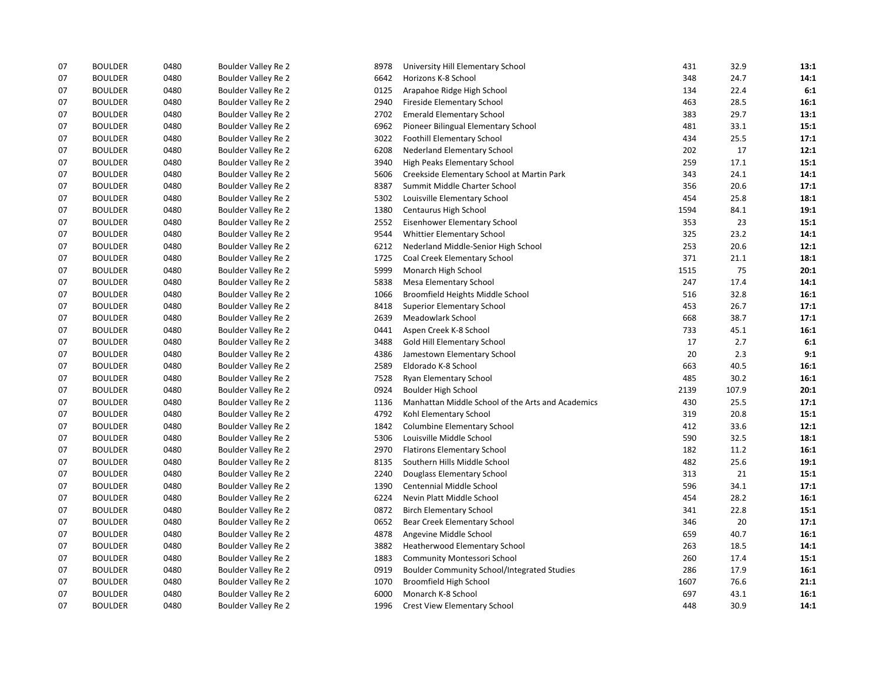| 07 | <b>BOULDER</b> | 0480 | Boulder Valley Re 2 | 8978 | University Hill Elementary School                  | 431  | 32.9  | 13:1 |
|----|----------------|------|---------------------|------|----------------------------------------------------|------|-------|------|
| 07 | <b>BOULDER</b> | 0480 | Boulder Valley Re 2 | 6642 | Horizons K-8 School                                | 348  | 24.7  | 14:1 |
| 07 | <b>BOULDER</b> | 0480 | Boulder Valley Re 2 | 0125 | Arapahoe Ridge High School                         | 134  | 22.4  | 6:1  |
| 07 | <b>BOULDER</b> | 0480 | Boulder Valley Re 2 | 2940 | Fireside Elementary School                         | 463  | 28.5  | 16:1 |
| 07 | <b>BOULDER</b> | 0480 | Boulder Valley Re 2 | 2702 | <b>Emerald Elementary School</b>                   | 383  | 29.7  | 13:1 |
| 07 | <b>BOULDER</b> | 0480 | Boulder Valley Re 2 | 6962 | Pioneer Bilingual Elementary School                | 481  | 33.1  | 15:1 |
| 07 | <b>BOULDER</b> | 0480 | Boulder Valley Re 2 | 3022 | <b>Foothill Elementary School</b>                  | 434  | 25.5  | 17:1 |
| 07 | <b>BOULDER</b> | 0480 | Boulder Valley Re 2 | 6208 | Nederland Elementary School                        | 202  | 17    | 12:1 |
| 07 | <b>BOULDER</b> | 0480 | Boulder Valley Re 2 | 3940 | High Peaks Elementary School                       | 259  | 17.1  | 15:1 |
| 07 | <b>BOULDER</b> | 0480 | Boulder Valley Re 2 | 5606 | Creekside Elementary School at Martin Park         | 343  | 24.1  | 14:1 |
| 07 | <b>BOULDER</b> | 0480 | Boulder Valley Re 2 | 8387 | Summit Middle Charter School                       | 356  | 20.6  | 17:1 |
| 07 | <b>BOULDER</b> | 0480 | Boulder Valley Re 2 | 5302 | Louisville Elementary School                       | 454  | 25.8  | 18:1 |
| 07 | <b>BOULDER</b> | 0480 | Boulder Valley Re 2 | 1380 | Centaurus High School                              | 1594 | 84.1  | 19:1 |
| 07 | <b>BOULDER</b> | 0480 | Boulder Valley Re 2 | 2552 | Eisenhower Elementary School                       | 353  | 23    | 15:1 |
| 07 | <b>BOULDER</b> | 0480 | Boulder Valley Re 2 | 9544 | Whittier Elementary School                         | 325  | 23.2  | 14:1 |
| 07 | <b>BOULDER</b> | 0480 | Boulder Valley Re 2 | 6212 | Nederland Middle-Senior High School                | 253  | 20.6  | 12:1 |
| 07 | <b>BOULDER</b> | 0480 | Boulder Valley Re 2 | 1725 | Coal Creek Elementary School                       | 371  | 21.1  | 18:1 |
| 07 | <b>BOULDER</b> | 0480 | Boulder Valley Re 2 | 5999 | Monarch High School                                | 1515 | 75    | 20:1 |
| 07 | <b>BOULDER</b> | 0480 | Boulder Valley Re 2 | 5838 | Mesa Elementary School                             | 247  | 17.4  | 14:1 |
| 07 | <b>BOULDER</b> | 0480 | Boulder Valley Re 2 | 1066 | Broomfield Heights Middle School                   | 516  | 32.8  | 16:1 |
| 07 | <b>BOULDER</b> | 0480 | Boulder Valley Re 2 | 8418 | <b>Superior Elementary School</b>                  | 453  | 26.7  | 17:1 |
| 07 | <b>BOULDER</b> | 0480 | Boulder Valley Re 2 | 2639 | Meadowlark School                                  | 668  | 38.7  | 17:1 |
| 07 | <b>BOULDER</b> | 0480 | Boulder Valley Re 2 | 0441 | Aspen Creek K-8 School                             | 733  | 45.1  | 16:1 |
| 07 | <b>BOULDER</b> | 0480 | Boulder Valley Re 2 | 3488 | Gold Hill Elementary School                        | 17   | 2.7   | 6:1  |
| 07 | <b>BOULDER</b> | 0480 | Boulder Valley Re 2 | 4386 | Jamestown Elementary School                        | 20   | 2.3   | 9:1  |
| 07 | <b>BOULDER</b> | 0480 | Boulder Valley Re 2 | 2589 | Eldorado K-8 School                                | 663  | 40.5  | 16:1 |
| 07 | <b>BOULDER</b> | 0480 | Boulder Valley Re 2 | 7528 | Ryan Elementary School                             | 485  | 30.2  | 16:1 |
| 07 | <b>BOULDER</b> | 0480 | Boulder Valley Re 2 | 0924 | Boulder High School                                | 2139 | 107.9 | 20:1 |
| 07 | <b>BOULDER</b> | 0480 | Boulder Valley Re 2 | 1136 | Manhattan Middle School of the Arts and Academics  | 430  | 25.5  | 17:1 |
| 07 | <b>BOULDER</b> | 0480 | Boulder Valley Re 2 | 4792 | Kohl Elementary School                             | 319  | 20.8  | 15:1 |
| 07 | <b>BOULDER</b> | 0480 | Boulder Valley Re 2 | 1842 | <b>Columbine Elementary School</b>                 | 412  | 33.6  | 12:1 |
| 07 | <b>BOULDER</b> | 0480 | Boulder Valley Re 2 | 5306 | Louisville Middle School                           | 590  | 32.5  | 18:1 |
| 07 | <b>BOULDER</b> | 0480 | Boulder Valley Re 2 | 2970 | <b>Flatirons Elementary School</b>                 | 182  | 11.2  | 16:1 |
| 07 | <b>BOULDER</b> | 0480 | Boulder Valley Re 2 | 8135 | Southern Hills Middle School                       | 482  | 25.6  | 19:1 |
| 07 | <b>BOULDER</b> | 0480 | Boulder Valley Re 2 | 2240 | Douglass Elementary School                         | 313  | 21    | 15:1 |
| 07 | <b>BOULDER</b> | 0480 | Boulder Valley Re 2 | 1390 | Centennial Middle School                           | 596  | 34.1  | 17:1 |
| 07 | <b>BOULDER</b> | 0480 | Boulder Valley Re 2 | 6224 | Nevin Platt Middle School                          | 454  | 28.2  | 16:1 |
| 07 | <b>BOULDER</b> | 0480 | Boulder Valley Re 2 | 0872 | <b>Birch Elementary School</b>                     | 341  | 22.8  | 15:1 |
| 07 | <b>BOULDER</b> | 0480 | Boulder Valley Re 2 | 0652 | Bear Creek Elementary School                       | 346  | 20    | 17:1 |
| 07 | <b>BOULDER</b> | 0480 | Boulder Valley Re 2 | 4878 | Angevine Middle School                             | 659  | 40.7  | 16:1 |
| 07 | <b>BOULDER</b> | 0480 | Boulder Valley Re 2 | 3882 | <b>Heatherwood Elementary School</b>               | 263  | 18.5  | 14:1 |
| 07 | <b>BOULDER</b> | 0480 | Boulder Valley Re 2 | 1883 | Community Montessori School                        | 260  | 17.4  | 15:1 |
| 07 | <b>BOULDER</b> | 0480 | Boulder Valley Re 2 | 0919 | <b>Boulder Community School/Integrated Studies</b> | 286  | 17.9  | 16:1 |
| 07 | <b>BOULDER</b> | 0480 | Boulder Valley Re 2 | 1070 | Broomfield High School                             | 1607 | 76.6  | 21:1 |
| 07 | <b>BOULDER</b> | 0480 | Boulder Valley Re 2 | 6000 | Monarch K-8 School                                 | 697  | 43.1  | 16:1 |
| 07 | <b>BOULDER</b> | 0480 | Boulder Valley Re 2 | 1996 | <b>Crest View Elementary School</b>                | 448  | 30.9  | 14:1 |
|    |                |      |                     |      |                                                    |      |       |      |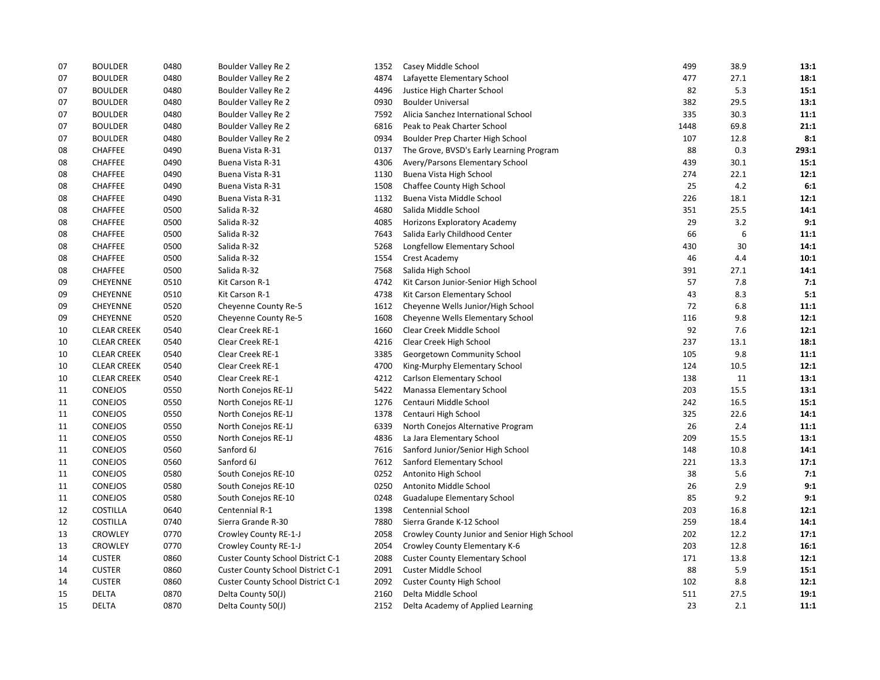| 07 | <b>BOULDER</b>     | 0480 | Boulder Valley Re 2               | 1352 | Casey Middle School                          | 499  | 38.9 | 13:1  |
|----|--------------------|------|-----------------------------------|------|----------------------------------------------|------|------|-------|
| 07 | <b>BOULDER</b>     | 0480 | Boulder Valley Re 2               | 4874 | Lafayette Elementary School                  | 477  | 27.1 | 18:1  |
| 07 | <b>BOULDER</b>     | 0480 | <b>Boulder Valley Re 2</b>        | 4496 | Justice High Charter School                  | 82   | 5.3  | 15:1  |
| 07 | <b>BOULDER</b>     | 0480 | Boulder Valley Re 2               | 0930 | <b>Boulder Universal</b>                     | 382  | 29.5 | 13:1  |
| 07 | <b>BOULDER</b>     | 0480 | Boulder Valley Re 2               | 7592 | Alicia Sanchez International School          | 335  | 30.3 | 11:1  |
| 07 | <b>BOULDER</b>     | 0480 | Boulder Valley Re 2               | 6816 | Peak to Peak Charter School                  | 1448 | 69.8 | 21:1  |
| 07 | <b>BOULDER</b>     | 0480 | <b>Boulder Valley Re 2</b>        | 0934 | Boulder Prep Charter High School             | 107  | 12.8 | 8:1   |
| 08 | <b>CHAFFEE</b>     | 0490 | Buena Vista R-31                  | 0137 | The Grove, BVSD's Early Learning Program     | 88   | 0.3  | 293:1 |
| 08 | <b>CHAFFEE</b>     | 0490 | Buena Vista R-31                  | 4306 | Avery/Parsons Elementary School              | 439  | 30.1 | 15:1  |
| 08 | CHAFFEE            | 0490 | Buena Vista R-31                  | 1130 | Buena Vista High School                      | 274  | 22.1 | 12:1  |
| 08 | CHAFFEE            | 0490 | Buena Vista R-31                  | 1508 | Chaffee County High School                   | 25   | 4.2  | 6:1   |
| 08 | <b>CHAFFEE</b>     | 0490 | Buena Vista R-31                  | 1132 | Buena Vista Middle School                    | 226  | 18.1 | 12:1  |
| 08 | CHAFFEE            | 0500 | Salida R-32                       | 4680 | Salida Middle School                         | 351  | 25.5 | 14:1  |
| 08 | CHAFFEE            | 0500 | Salida R-32                       | 4085 | Horizons Exploratory Academy                 | 29   | 3.2  | 9:1   |
| 08 | <b>CHAFFEE</b>     | 0500 | Salida R-32                       | 7643 | Salida Early Childhood Center                | 66   | 6    | 11:1  |
| 08 | CHAFFEE            | 0500 | Salida R-32                       | 5268 | Longfellow Elementary School                 | 430  | 30   | 14:1  |
| 08 | CHAFFEE            | 0500 | Salida R-32                       | 1554 | Crest Academy                                | 46   | 4.4  | 10:1  |
| 08 | <b>CHAFFEE</b>     | 0500 | Salida R-32                       | 7568 | Salida High School                           | 391  | 27.1 | 14:1  |
| 09 | <b>CHEYENNE</b>    | 0510 | Kit Carson R-1                    | 4742 | Kit Carson Junior-Senior High School         | 57   | 7.8  | 7:1   |
| 09 | CHEYENNE           | 0510 | Kit Carson R-1                    | 4738 | Kit Carson Elementary School                 | 43   | 8.3  | 5:1   |
| 09 | CHEYENNE           | 0520 | Cheyenne County Re-5              | 1612 | Cheyenne Wells Junior/High School            | 72   | 6.8  | 11:1  |
| 09 | <b>CHEYENNE</b>    | 0520 | Cheyenne County Re-5              | 1608 | Cheyenne Wells Elementary School             | 116  | 9.8  | 12:1  |
| 10 | <b>CLEAR CREEK</b> | 0540 | Clear Creek RE-1                  | 1660 | Clear Creek Middle School                    | 92   | 7.6  | 12:1  |
| 10 | <b>CLEAR CREEK</b> | 0540 | Clear Creek RE-1                  | 4216 | Clear Creek High School                      | 237  | 13.1 | 18:1  |
| 10 | <b>CLEAR CREEK</b> | 0540 | Clear Creek RE-1                  | 3385 | Georgetown Community School                  | 105  | 9.8  | 11:1  |
| 10 | <b>CLEAR CREEK</b> | 0540 | Clear Creek RE-1                  | 4700 | King-Murphy Elementary School                | 124  | 10.5 | 12:1  |
| 10 | <b>CLEAR CREEK</b> | 0540 | Clear Creek RE-1                  | 4212 | Carlson Elementary School                    | 138  | 11   | 13:1  |
| 11 | CONEJOS            | 0550 | North Conejos RE-1J               | 5422 | Manassa Elementary School                    | 203  | 15.5 | 13:1  |
| 11 | <b>CONEJOS</b>     | 0550 | North Conejos RE-1J               | 1276 | Centauri Middle School                       | 242  | 16.5 | 15:1  |
| 11 | CONEJOS            | 0550 | North Conejos RE-1J               | 1378 | Centauri High School                         | 325  | 22.6 | 14:1  |
| 11 | CONEJOS            | 0550 | North Conejos RE-1J               | 6339 | North Conejos Alternative Program            | 26   | 2.4  | 11:1  |
| 11 | CONEJOS            | 0550 | North Conejos RE-1J               | 4836 | La Jara Elementary School                    | 209  | 15.5 | 13:1  |
| 11 | CONEJOS            | 0560 | Sanford 6J                        | 7616 | Sanford Junior/Senior High School            | 148  | 10.8 | 14:1  |
| 11 | CONEJOS            | 0560 | Sanford 6J                        | 7612 | Sanford Elementary School                    | 221  | 13.3 | 17:1  |
| 11 | <b>CONEJOS</b>     | 0580 | South Conejos RE-10               | 0252 | Antonito High School                         | 38   | 5.6  | 7:1   |
| 11 | CONEJOS            | 0580 | South Conejos RE-10               | 0250 | Antonito Middle School                       | 26   | 2.9  | 9:1   |
| 11 | CONEJOS            | 0580 | South Conejos RE-10               | 0248 | <b>Guadalupe Elementary School</b>           | 85   | 9.2  | 9:1   |
| 12 | <b>COSTILLA</b>    | 0640 | Centennial R-1                    | 1398 | Centennial School                            | 203  | 16.8 | 12:1  |
| 12 | <b>COSTILLA</b>    | 0740 | Sierra Grande R-30                | 7880 | Sierra Grande K-12 School                    | 259  | 18.4 | 14:1  |
| 13 | CROWLEY            | 0770 | Crowley County RE-1-J             | 2058 | Crowley County Junior and Senior High School | 202  | 12.2 | 17:1  |
| 13 | <b>CROWLEY</b>     | 0770 | Crowley County RE-1-J             | 2054 | Crowley County Elementary K-6                | 203  | 12.8 | 16:1  |
| 14 | <b>CUSTER</b>      | 0860 | Custer County School District C-1 | 2088 | <b>Custer County Elementary School</b>       | 171  | 13.8 | 12:1  |
| 14 | <b>CUSTER</b>      | 0860 | Custer County School District C-1 | 2091 | Custer Middle School                         | 88   | 5.9  | 15:1  |
| 14 | <b>CUSTER</b>      | 0860 | Custer County School District C-1 | 2092 | Custer County High School                    | 102  | 8.8  | 12:1  |
| 15 | <b>DELTA</b>       | 0870 | Delta County 50(J)                | 2160 | Delta Middle School                          | 511  | 27.5 | 19:1  |
| 15 | <b>DELTA</b>       | 0870 | Delta County 50(J)                | 2152 | Delta Academy of Applied Learning            | 23   | 2.1  | 11:1  |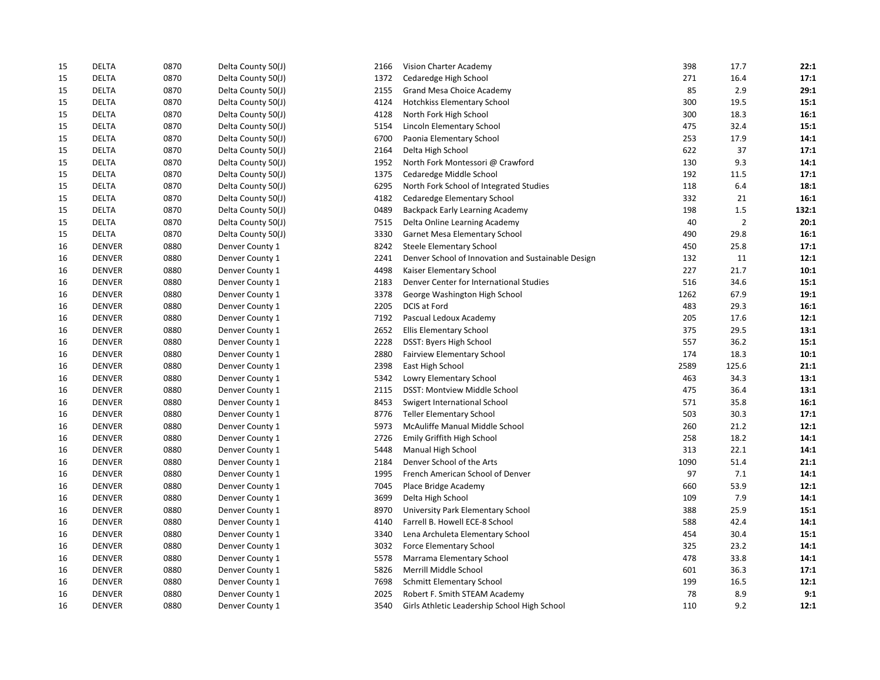| 15 | <b>DELTA</b>  | 0870 | Delta County 50(J) | 2166 | Vision Charter Academy                             | 398  | 17.7           | 22:1  |
|----|---------------|------|--------------------|------|----------------------------------------------------|------|----------------|-------|
| 15 | <b>DELTA</b>  | 0870 | Delta County 50(J) | 1372 | Cedaredge High School                              | 271  | 16.4           | 17:1  |
| 15 | <b>DELTA</b>  | 0870 | Delta County 50(J) | 2155 | Grand Mesa Choice Academy                          | 85   | 2.9            | 29:1  |
| 15 | <b>DELTA</b>  | 0870 | Delta County 50(J) | 4124 | <b>Hotchkiss Elementary School</b>                 | 300  | 19.5           | 15:1  |
| 15 | <b>DELTA</b>  | 0870 | Delta County 50(J) | 4128 | North Fork High School                             | 300  | 18.3           | 16:1  |
| 15 | <b>DELTA</b>  | 0870 | Delta County 50(J) | 5154 | Lincoln Elementary School                          | 475  | 32.4           | 15:1  |
| 15 | <b>DELTA</b>  | 0870 | Delta County 50(J) | 6700 | Paonia Elementary School                           | 253  | 17.9           | 14:1  |
| 15 | <b>DELTA</b>  | 0870 | Delta County 50(J) | 2164 | Delta High School                                  | 622  | 37             | 17:1  |
| 15 | <b>DELTA</b>  | 0870 | Delta County 50(J) | 1952 | North Fork Montessori @ Crawford                   | 130  | 9.3            | 14:1  |
| 15 | <b>DELTA</b>  | 0870 | Delta County 50(J) | 1375 | Cedaredge Middle School                            | 192  | 11.5           | 17:1  |
| 15 | <b>DELTA</b>  | 0870 | Delta County 50(J) | 6295 | North Fork School of Integrated Studies            | 118  | 6.4            | 18:1  |
| 15 | <b>DELTA</b>  | 0870 | Delta County 50(J) | 4182 | Cedaredge Elementary School                        | 332  | 21             | 16:1  |
| 15 | <b>DELTA</b>  | 0870 | Delta County 50(J) | 0489 | <b>Backpack Early Learning Academy</b>             | 198  | 1.5            | 132:1 |
| 15 | <b>DELTA</b>  | 0870 | Delta County 50(J) | 7515 | Delta Online Learning Academy                      | 40   | $\overline{2}$ | 20:1  |
| 15 | <b>DELTA</b>  | 0870 | Delta County 50(J) | 3330 | Garnet Mesa Elementary School                      | 490  | 29.8           | 16:1  |
| 16 | <b>DENVER</b> | 0880 | Denver County 1    | 8242 | Steele Elementary School                           | 450  | 25.8           | 17:1  |
| 16 | <b>DENVER</b> | 0880 | Denver County 1    | 2241 | Denver School of Innovation and Sustainable Design | 132  | 11             | 12:1  |
| 16 | <b>DENVER</b> | 0880 | Denver County 1    | 4498 | Kaiser Elementary School                           | 227  | 21.7           | 10:1  |
| 16 | <b>DENVER</b> | 0880 | Denver County 1    | 2183 | Denver Center for International Studies            | 516  | 34.6           | 15:1  |
| 16 | <b>DENVER</b> | 0880 | Denver County 1    | 3378 | George Washington High School                      | 1262 | 67.9           | 19:1  |
| 16 | <b>DENVER</b> | 0880 | Denver County 1    | 2205 | DCIS at Ford                                       | 483  | 29.3           | 16:1  |
| 16 | <b>DENVER</b> | 0880 | Denver County 1    | 7192 | Pascual Ledoux Academy                             | 205  | 17.6           | 12:1  |
| 16 | <b>DENVER</b> | 0880 | Denver County 1    | 2652 | Ellis Elementary School                            | 375  | 29.5           | 13:1  |
| 16 | <b>DENVER</b> | 0880 | Denver County 1    | 2228 | DSST: Byers High School                            | 557  | 36.2           | 15:1  |
| 16 | <b>DENVER</b> | 0880 | Denver County 1    | 2880 | <b>Fairview Elementary School</b>                  | 174  | 18.3           | 10:1  |
| 16 | <b>DENVER</b> | 0880 | Denver County 1    | 2398 | East High School                                   | 2589 | 125.6          | 21:1  |
| 16 | <b>DENVER</b> | 0880 | Denver County 1    | 5342 | Lowry Elementary School                            | 463  | 34.3           | 13:1  |
| 16 | <b>DENVER</b> | 0880 | Denver County 1    | 2115 | DSST: Montview Middle School                       | 475  | 36.4           | 13:1  |
| 16 | <b>DENVER</b> | 0880 | Denver County 1    | 8453 | Swigert International School                       | 571  | 35.8           | 16:1  |
| 16 | <b>DENVER</b> | 0880 | Denver County 1    | 8776 | <b>Teller Elementary School</b>                    | 503  | 30.3           | 17:1  |
| 16 | <b>DENVER</b> | 0880 | Denver County 1    | 5973 | McAuliffe Manual Middle School                     | 260  | 21.2           | 12:1  |
| 16 | <b>DENVER</b> | 0880 | Denver County 1    | 2726 | Emily Griffith High School                         | 258  | 18.2           | 14:1  |
| 16 | <b>DENVER</b> | 0880 | Denver County 1    | 5448 | Manual High School                                 | 313  | 22.1           | 14:1  |
| 16 | <b>DENVER</b> | 0880 | Denver County 1    | 2184 | Denver School of the Arts                          | 1090 | 51.4           | 21:1  |
| 16 | <b>DENVER</b> | 0880 | Denver County 1    | 1995 | French American School of Denver                   | 97   | 7.1            | 14:1  |
| 16 | <b>DENVER</b> | 0880 | Denver County 1    | 7045 | Place Bridge Academy                               | 660  | 53.9           | 12:1  |
| 16 | <b>DENVER</b> | 0880 | Denver County 1    | 3699 | Delta High School                                  | 109  | 7.9            | 14:1  |
| 16 | <b>DENVER</b> | 0880 | Denver County 1    | 8970 | University Park Elementary School                  | 388  | 25.9           | 15:1  |
| 16 | <b>DENVER</b> | 0880 | Denver County 1    | 4140 | Farrell B. Howell ECE-8 School                     | 588  | 42.4           | 14:1  |
| 16 | <b>DENVER</b> | 0880 | Denver County 1    | 3340 | Lena Archuleta Elementary School                   | 454  | 30.4           | 15:1  |
| 16 | <b>DENVER</b> | 0880 | Denver County 1    | 3032 | <b>Force Elementary School</b>                     | 325  | 23.2           | 14:1  |
| 16 | <b>DENVER</b> | 0880 | Denver County 1    | 5578 | Marrama Elementary School                          | 478  | 33.8           | 14:1  |
| 16 | <b>DENVER</b> | 0880 | Denver County 1    | 5826 | Merrill Middle School                              | 601  | 36.3           | 17:1  |
| 16 | <b>DENVER</b> | 0880 | Denver County 1    | 7698 | <b>Schmitt Elementary School</b>                   | 199  | 16.5           | 12:1  |
| 16 | <b>DENVER</b> | 0880 | Denver County 1    | 2025 | Robert F. Smith STEAM Academy                      | 78   | 8.9            | 9:1   |
| 16 | <b>DENVER</b> | 0880 | Denver County 1    | 3540 | Girls Athletic Leadership School High School       | 110  | 9.2            | 12:1  |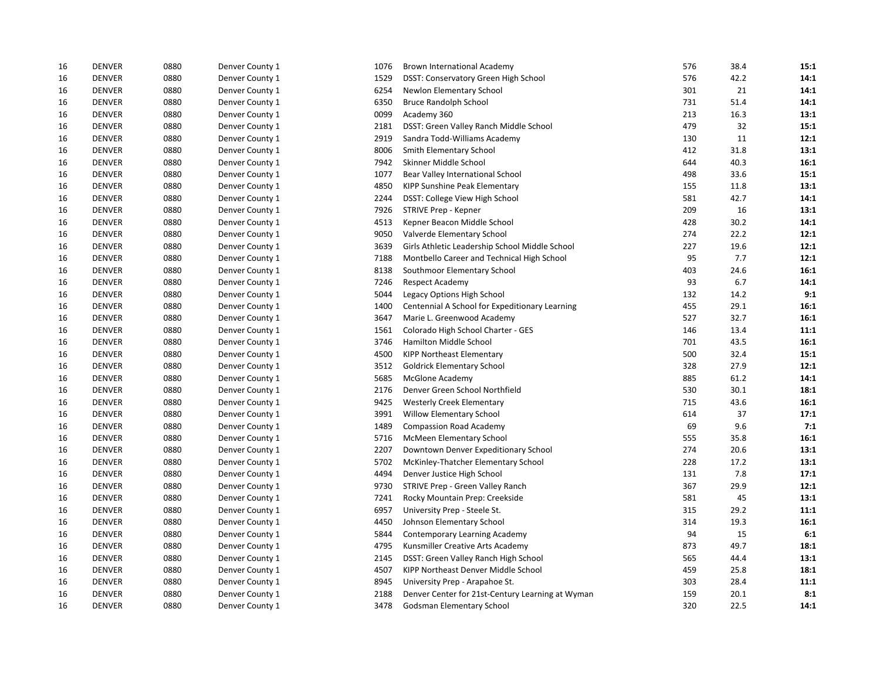| 16 | <b>DENVER</b> | 0880 | Denver County 1 | 1076 | <b>Brown International Academy</b>               | 576 | 38.4 | 15:1 |
|----|---------------|------|-----------------|------|--------------------------------------------------|-----|------|------|
| 16 | <b>DENVER</b> | 0880 | Denver County 1 | 1529 | DSST: Conservatory Green High School             | 576 | 42.2 | 14:1 |
| 16 | <b>DENVER</b> | 0880 | Denver County 1 | 6254 | Newlon Elementary School                         | 301 | 21   | 14:1 |
| 16 | <b>DENVER</b> | 0880 | Denver County 1 | 6350 | <b>Bruce Randolph School</b>                     | 731 | 51.4 | 14:1 |
| 16 | <b>DENVER</b> | 0880 | Denver County 1 | 0099 | Academy 360                                      | 213 | 16.3 | 13:1 |
| 16 | <b>DENVER</b> | 0880 | Denver County 1 | 2181 | DSST: Green Valley Ranch Middle School           | 479 | 32   | 15:1 |
| 16 | <b>DENVER</b> | 0880 | Denver County 1 | 2919 | Sandra Todd-Williams Academy                     | 130 | 11   | 12:1 |
| 16 | <b>DENVER</b> | 0880 | Denver County 1 | 8006 | Smith Elementary School                          | 412 | 31.8 | 13:1 |
| 16 | <b>DENVER</b> | 0880 | Denver County 1 | 7942 | Skinner Middle School                            | 644 | 40.3 | 16:1 |
| 16 | <b>DENVER</b> | 0880 | Denver County 1 | 1077 | Bear Valley International School                 | 498 | 33.6 | 15:1 |
| 16 | <b>DENVER</b> | 0880 | Denver County 1 | 4850 | KIPP Sunshine Peak Elementary                    | 155 | 11.8 | 13:1 |
| 16 | <b>DENVER</b> | 0880 | Denver County 1 | 2244 | DSST: College View High School                   | 581 | 42.7 | 14:1 |
| 16 | <b>DENVER</b> | 0880 | Denver County 1 | 7926 | STRIVE Prep - Kepner                             | 209 | 16   | 13:1 |
| 16 | <b>DENVER</b> | 0880 | Denver County 1 | 4513 | Kepner Beacon Middle School                      | 428 | 30.2 | 14:1 |
| 16 | <b>DENVER</b> | 0880 | Denver County 1 | 9050 | Valverde Elementary School                       | 274 | 22.2 | 12:1 |
| 16 | <b>DENVER</b> | 0880 | Denver County 1 | 3639 | Girls Athletic Leadership School Middle School   | 227 | 19.6 | 12:1 |
| 16 | <b>DENVER</b> | 0880 | Denver County 1 | 7188 | Montbello Career and Technical High School       | 95  | 7.7  | 12:1 |
| 16 | <b>DENVER</b> | 0880 | Denver County 1 | 8138 | Southmoor Elementary School                      | 403 | 24.6 | 16:1 |
| 16 | <b>DENVER</b> | 0880 | Denver County 1 | 7246 | <b>Respect Academy</b>                           | 93  | 6.7  | 14:1 |
| 16 | <b>DENVER</b> | 0880 | Denver County 1 | 5044 | Legacy Options High School                       | 132 | 14.2 | 9:1  |
| 16 | <b>DENVER</b> | 0880 | Denver County 1 | 1400 | Centennial A School for Expeditionary Learning   | 455 | 29.1 | 16:1 |
| 16 | <b>DENVER</b> | 0880 | Denver County 1 | 3647 | Marie L. Greenwood Academy                       | 527 | 32.7 | 16:1 |
| 16 | <b>DENVER</b> | 0880 | Denver County 1 | 1561 | Colorado High School Charter - GES               | 146 | 13.4 | 11:1 |
| 16 | <b>DENVER</b> | 0880 | Denver County 1 | 3746 | Hamilton Middle School                           | 701 | 43.5 | 16:1 |
| 16 | <b>DENVER</b> | 0880 | Denver County 1 | 4500 | <b>KIPP Northeast Elementary</b>                 | 500 | 32.4 | 15:1 |
| 16 | <b>DENVER</b> | 0880 | Denver County 1 | 3512 | <b>Goldrick Elementary School</b>                | 328 | 27.9 | 12:1 |
| 16 | <b>DENVER</b> | 0880 | Denver County 1 | 5685 | <b>McGlone Academy</b>                           | 885 | 61.2 | 14:1 |
| 16 | <b>DENVER</b> | 0880 | Denver County 1 | 2176 | Denver Green School Northfield                   | 530 | 30.1 | 18:1 |
| 16 | <b>DENVER</b> | 0880 | Denver County 1 | 9425 | <b>Westerly Creek Elementary</b>                 | 715 | 43.6 | 16:1 |
| 16 | <b>DENVER</b> | 0880 | Denver County 1 | 3991 | <b>Willow Elementary School</b>                  | 614 | 37   | 17:1 |
| 16 | <b>DENVER</b> | 0880 | Denver County 1 | 1489 | <b>Compassion Road Academy</b>                   | 69  | 9.6  | 7:1  |
| 16 | <b>DENVER</b> | 0880 | Denver County 1 | 5716 | McMeen Elementary School                         | 555 | 35.8 | 16:1 |
| 16 | <b>DENVER</b> | 0880 | Denver County 1 | 2207 | Downtown Denver Expeditionary School             | 274 | 20.6 | 13:1 |
| 16 | <b>DENVER</b> | 0880 | Denver County 1 | 5702 | McKinley-Thatcher Elementary School              | 228 | 17.2 | 13:1 |
| 16 | <b>DENVER</b> | 0880 | Denver County 1 | 4494 | Denver Justice High School                       | 131 | 7.8  | 17:1 |
| 16 | <b>DENVER</b> | 0880 | Denver County 1 | 9730 | STRIVE Prep - Green Valley Ranch                 | 367 | 29.9 | 12:1 |
| 16 | <b>DENVER</b> | 0880 | Denver County 1 | 7241 | Rocky Mountain Prep: Creekside                   | 581 | 45   | 13:1 |
| 16 | <b>DENVER</b> | 0880 | Denver County 1 | 6957 | University Prep - Steele St.                     | 315 | 29.2 | 11:1 |
| 16 | <b>DENVER</b> | 0880 | Denver County 1 | 4450 | Johnson Elementary School                        | 314 | 19.3 | 16:1 |
| 16 | <b>DENVER</b> | 0880 | Denver County 1 | 5844 | Contemporary Learning Academy                    | 94  | 15   | 6:1  |
| 16 | <b>DENVER</b> | 0880 | Denver County 1 | 4795 | Kunsmiller Creative Arts Academy                 | 873 | 49.7 | 18:1 |
| 16 | <b>DENVER</b> | 0880 | Denver County 1 | 2145 | DSST: Green Valley Ranch High School             | 565 | 44.4 | 13:1 |
| 16 | <b>DENVER</b> | 0880 | Denver County 1 | 4507 | KIPP Northeast Denver Middle School              | 459 | 25.8 | 18:1 |
| 16 | <b>DENVER</b> | 0880 | Denver County 1 | 8945 | University Prep - Arapahoe St.                   | 303 | 28.4 | 11:1 |
| 16 | <b>DENVER</b> | 0880 | Denver County 1 | 2188 | Denver Center for 21st-Century Learning at Wyman | 159 | 20.1 | 8:1  |
| 16 | <b>DENVER</b> | 0880 | Denver County 1 | 3478 | Godsman Elementary School                        | 320 | 22.5 | 14:1 |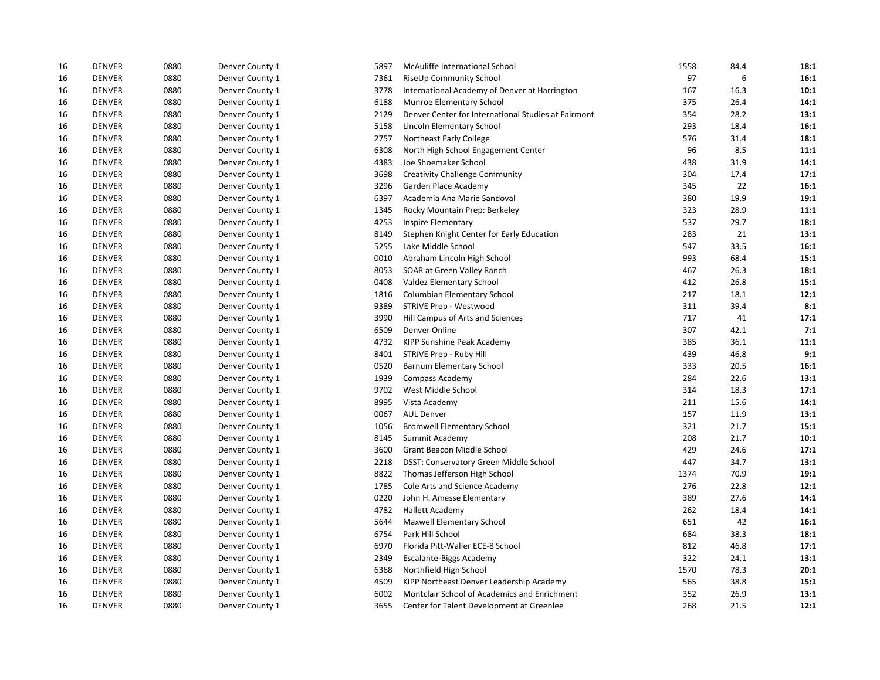| 16 | <b>DENVER</b> | 0880 | Denver County 1 | 5897 | McAuliffe International School                      | 1558 | 84.4 | 18:1 |
|----|---------------|------|-----------------|------|-----------------------------------------------------|------|------|------|
| 16 | <b>DENVER</b> | 0880 | Denver County 1 | 7361 | RiseUp Community School                             | 97   | 6    | 16:1 |
| 16 | <b>DENVER</b> | 0880 | Denver County 1 | 3778 | International Academy of Denver at Harrington       | 167  | 16.3 | 10:1 |
| 16 | <b>DENVER</b> | 0880 | Denver County 1 | 6188 | Munroe Elementary School                            | 375  | 26.4 | 14:1 |
| 16 | <b>DENVER</b> | 0880 | Denver County 1 | 2129 | Denver Center for International Studies at Fairmont | 354  | 28.2 | 13:1 |
| 16 | <b>DENVER</b> | 0880 | Denver County 1 | 5158 | Lincoln Elementary School                           | 293  | 18.4 | 16:1 |
| 16 | <b>DENVER</b> | 0880 | Denver County 1 | 2757 | Northeast Early College                             | 576  | 31.4 | 18:1 |
| 16 | <b>DENVER</b> | 0880 | Denver County 1 | 6308 | North High School Engagement Center                 | 96   | 8.5  | 11:1 |
| 16 | <b>DENVER</b> | 0880 | Denver County 1 | 4383 | Joe Shoemaker School                                | 438  | 31.9 | 14:1 |
| 16 | <b>DENVER</b> | 0880 | Denver County 1 | 3698 | <b>Creativity Challenge Community</b>               | 304  | 17.4 | 17:1 |
| 16 | <b>DENVER</b> | 0880 | Denver County 1 | 3296 | Garden Place Academy                                | 345  | 22   | 16:1 |
| 16 | <b>DENVER</b> | 0880 | Denver County 1 | 6397 | Academia Ana Marie Sandoval                         | 380  | 19.9 | 19:1 |
| 16 | <b>DENVER</b> | 0880 | Denver County 1 | 1345 | Rocky Mountain Prep: Berkeley                       | 323  | 28.9 | 11:1 |
| 16 | <b>DENVER</b> | 0880 | Denver County 1 | 4253 | Inspire Elementary                                  | 537  | 29.7 | 18:1 |
| 16 | <b>DENVER</b> | 0880 | Denver County 1 | 8149 | Stephen Knight Center for Early Education           | 283  | 21   | 13:1 |
| 16 | <b>DENVER</b> | 0880 | Denver County 1 | 5255 | Lake Middle School                                  | 547  | 33.5 | 16:1 |
| 16 | <b>DENVER</b> | 0880 | Denver County 1 | 0010 | Abraham Lincoln High School                         | 993  | 68.4 | 15:1 |
| 16 | <b>DENVER</b> | 0880 | Denver County 1 | 8053 | SOAR at Green Valley Ranch                          | 467  | 26.3 | 18:1 |
| 16 | <b>DENVER</b> | 0880 | Denver County 1 | 0408 | Valdez Elementary School                            | 412  | 26.8 | 15:1 |
| 16 | <b>DENVER</b> | 0880 | Denver County 1 | 1816 | Columbian Elementary School                         | 217  | 18.1 | 12:1 |
| 16 | <b>DENVER</b> | 0880 | Denver County 1 | 9389 | STRIVE Prep - Westwood                              | 311  | 39.4 | 8:1  |
| 16 | <b>DENVER</b> | 0880 | Denver County 1 | 3990 | Hill Campus of Arts and Sciences                    | 717  | 41   | 17:1 |
| 16 | <b>DENVER</b> | 0880 | Denver County 1 | 6509 | Denver Online                                       | 307  | 42.1 | 7:1  |
| 16 | <b>DENVER</b> | 0880 | Denver County 1 | 4732 | KIPP Sunshine Peak Academy                          | 385  | 36.1 | 11:1 |
| 16 | <b>DENVER</b> | 0880 | Denver County 1 | 8401 | STRIVE Prep - Ruby Hill                             | 439  | 46.8 | 9:1  |
| 16 | <b>DENVER</b> | 0880 | Denver County 1 | 0520 | Barnum Elementary School                            | 333  | 20.5 | 16:1 |
| 16 | <b>DENVER</b> | 0880 | Denver County 1 | 1939 | Compass Academy                                     | 284  | 22.6 | 13:1 |
| 16 | <b>DENVER</b> | 0880 | Denver County 1 | 9702 | West Middle School                                  | 314  | 18.3 | 17:1 |
| 16 | <b>DENVER</b> | 0880 | Denver County 1 | 8995 | Vista Academy                                       | 211  | 15.6 | 14:1 |
| 16 | <b>DENVER</b> | 0880 | Denver County 1 | 0067 | <b>AUL Denver</b>                                   | 157  | 11.9 | 13:1 |
| 16 | <b>DENVER</b> | 0880 | Denver County 1 | 1056 | <b>Bromwell Elementary School</b>                   | 321  | 21.7 | 15:1 |
| 16 | <b>DENVER</b> | 0880 | Denver County 1 | 8145 | Summit Academy                                      | 208  | 21.7 | 10:1 |
| 16 | <b>DENVER</b> | 0880 | Denver County 1 | 3600 | Grant Beacon Middle School                          | 429  | 24.6 | 17:1 |
| 16 | <b>DENVER</b> | 0880 | Denver County 1 | 2218 | DSST: Conservatory Green Middle School              | 447  | 34.7 | 13:1 |
| 16 | <b>DENVER</b> | 0880 | Denver County 1 | 8822 | Thomas Jefferson High School                        | 1374 | 70.9 | 19:1 |
| 16 | <b>DENVER</b> | 0880 | Denver County 1 | 1785 | Cole Arts and Science Academy                       | 276  | 22.8 | 12:1 |
| 16 | <b>DENVER</b> | 0880 | Denver County 1 | 0220 | John H. Amesse Elementary                           | 389  | 27.6 | 14:1 |
| 16 | <b>DENVER</b> | 0880 | Denver County 1 | 4782 | Hallett Academy                                     | 262  | 18.4 | 14:1 |
| 16 | <b>DENVER</b> | 0880 | Denver County 1 | 5644 | <b>Maxwell Elementary School</b>                    | 651  | 42   | 16:1 |
| 16 | <b>DENVER</b> | 0880 | Denver County 1 | 6754 | Park Hill School                                    | 684  | 38.3 | 18:1 |
| 16 | <b>DENVER</b> | 0880 | Denver County 1 | 6970 | Florida Pitt-Waller ECE-8 School                    | 812  | 46.8 | 17:1 |
| 16 | <b>DENVER</b> | 0880 | Denver County 1 | 2349 | Escalante-Biggs Academy                             | 322  | 24.1 | 13:1 |
| 16 | <b>DENVER</b> | 0880 | Denver County 1 | 6368 | Northfield High School                              | 1570 | 78.3 | 20:1 |
| 16 | <b>DENVER</b> | 0880 | Denver County 1 | 4509 | KIPP Northeast Denver Leadership Academy            | 565  | 38.8 | 15:1 |
| 16 | <b>DENVER</b> | 0880 | Denver County 1 | 6002 | Montclair School of Academics and Enrichment        | 352  | 26.9 | 13:1 |
| 16 | <b>DENVER</b> | 0880 | Denver County 1 | 3655 | Center for Talent Development at Greenlee           | 268  | 21.5 | 12:1 |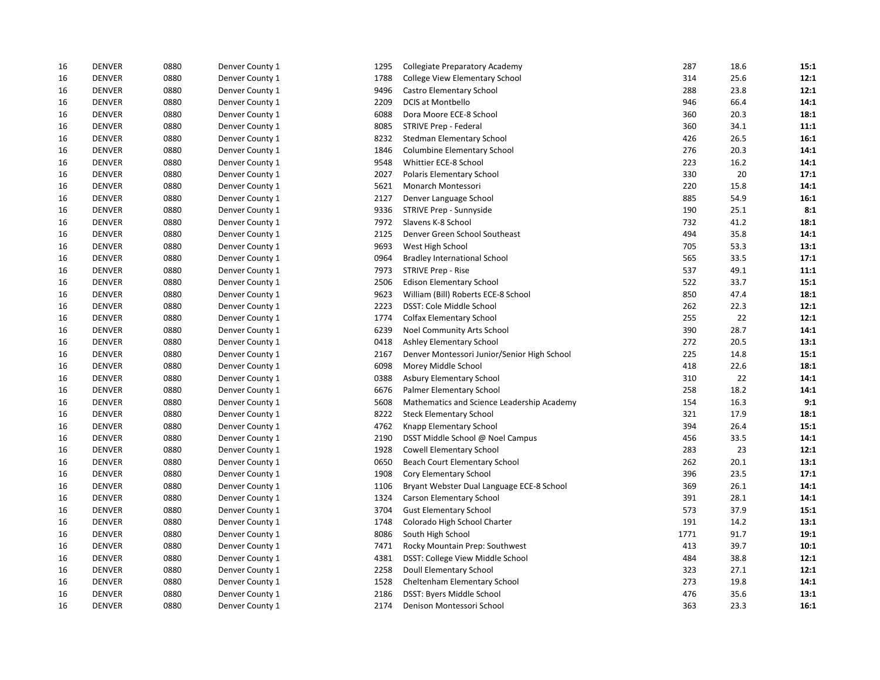| 16 | <b>DENVER</b> | 0880 | Denver County 1 | 1295 | <b>Collegiate Preparatory Academy</b>       | 287  | 18.6 | 15:1 |
|----|---------------|------|-----------------|------|---------------------------------------------|------|------|------|
| 16 | <b>DENVER</b> | 0880 | Denver County 1 | 1788 | College View Elementary School              | 314  | 25.6 | 12:1 |
| 16 | <b>DENVER</b> | 0880 | Denver County 1 | 9496 | Castro Elementary School                    | 288  | 23.8 | 12:1 |
| 16 | <b>DENVER</b> | 0880 | Denver County 1 | 2209 | <b>DCIS at Montbello</b>                    | 946  | 66.4 | 14:1 |
| 16 | <b>DENVER</b> | 0880 | Denver County 1 | 6088 | Dora Moore ECE-8 School                     | 360  | 20.3 | 18:1 |
| 16 | <b>DENVER</b> | 0880 | Denver County 1 | 8085 | STRIVE Prep - Federal                       | 360  | 34.1 | 11:1 |
| 16 | <b>DENVER</b> | 0880 | Denver County 1 | 8232 | Stedman Elementary School                   | 426  | 26.5 | 16:1 |
| 16 | <b>DENVER</b> | 0880 | Denver County 1 | 1846 | <b>Columbine Elementary School</b>          | 276  | 20.3 | 14:1 |
| 16 | <b>DENVER</b> | 0880 | Denver County 1 | 9548 | Whittier ECE-8 School                       | 223  | 16.2 | 14:1 |
| 16 | <b>DENVER</b> | 0880 | Denver County 1 | 2027 | Polaris Elementary School                   | 330  | 20   | 17:1 |
| 16 | <b>DENVER</b> | 0880 | Denver County 1 | 5621 | Monarch Montessori                          | 220  | 15.8 | 14:1 |
| 16 | <b>DENVER</b> | 0880 | Denver County 1 | 2127 | Denver Language School                      | 885  | 54.9 | 16:1 |
| 16 | <b>DENVER</b> | 0880 | Denver County 1 | 9336 | STRIVE Prep - Sunnyside                     | 190  | 25.1 | 8:1  |
| 16 | <b>DENVER</b> | 0880 | Denver County 1 | 7972 | Slavens K-8 School                          | 732  | 41.2 | 18:1 |
| 16 | <b>DENVER</b> | 0880 | Denver County 1 | 2125 | Denver Green School Southeast               | 494  | 35.8 | 14:1 |
| 16 | <b>DENVER</b> | 0880 | Denver County 1 | 9693 | West High School                            | 705  | 53.3 | 13:1 |
| 16 | <b>DENVER</b> | 0880 | Denver County 1 | 0964 | <b>Bradley International School</b>         | 565  | 33.5 | 17:1 |
| 16 | <b>DENVER</b> | 0880 | Denver County 1 | 7973 | <b>STRIVE Prep - Rise</b>                   | 537  | 49.1 | 11:1 |
| 16 | <b>DENVER</b> | 0880 | Denver County 1 | 2506 | <b>Edison Elementary School</b>             | 522  | 33.7 | 15:1 |
| 16 | <b>DENVER</b> | 0880 | Denver County 1 | 9623 | William (Bill) Roberts ECE-8 School         | 850  | 47.4 | 18:1 |
| 16 | <b>DENVER</b> | 0880 | Denver County 1 | 2223 | DSST: Cole Middle School                    | 262  | 22.3 | 12:1 |
| 16 | <b>DENVER</b> | 0880 | Denver County 1 | 1774 | <b>Colfax Elementary School</b>             | 255  | 22   | 12:1 |
| 16 | <b>DENVER</b> | 0880 | Denver County 1 | 6239 | Noel Community Arts School                  | 390  | 28.7 | 14:1 |
| 16 | <b>DENVER</b> | 0880 | Denver County 1 | 0418 | Ashley Elementary School                    | 272  | 20.5 | 13:1 |
| 16 | <b>DENVER</b> | 0880 | Denver County 1 | 2167 | Denver Montessori Junior/Senior High School | 225  | 14.8 | 15:1 |
| 16 | <b>DENVER</b> | 0880 | Denver County 1 | 6098 | Morey Middle School                         | 418  | 22.6 | 18:1 |
| 16 | <b>DENVER</b> | 0880 | Denver County 1 | 0388 | Asbury Elementary School                    | 310  | 22   | 14:1 |
| 16 | <b>DENVER</b> | 0880 | Denver County 1 | 6676 | Palmer Elementary School                    | 258  | 18.2 | 14:1 |
| 16 | <b>DENVER</b> | 0880 | Denver County 1 | 5608 | Mathematics and Science Leadership Academy  | 154  | 16.3 | 9:1  |
| 16 | <b>DENVER</b> | 0880 | Denver County 1 | 8222 | <b>Steck Elementary School</b>              | 321  | 17.9 | 18:1 |
| 16 | <b>DENVER</b> | 0880 | Denver County 1 | 4762 | Knapp Elementary School                     | 394  | 26.4 | 15:1 |
| 16 | <b>DENVER</b> | 0880 | Denver County 1 | 2190 | DSST Middle School @ Noel Campus            | 456  | 33.5 | 14:1 |
| 16 | <b>DENVER</b> | 0880 | Denver County 1 | 1928 | Cowell Elementary School                    | 283  | 23   | 12:1 |
| 16 | <b>DENVER</b> | 0880 | Denver County 1 | 0650 | Beach Court Elementary School               | 262  | 20.1 | 13:1 |
| 16 | <b>DENVER</b> | 0880 | Denver County 1 | 1908 | Cory Elementary School                      | 396  | 23.5 | 17:1 |
| 16 | <b>DENVER</b> | 0880 | Denver County 1 | 1106 | Bryant Webster Dual Language ECE-8 School   | 369  | 26.1 | 14:1 |
| 16 | <b>DENVER</b> | 0880 | Denver County 1 | 1324 | <b>Carson Elementary School</b>             | 391  | 28.1 | 14:1 |
| 16 | <b>DENVER</b> | 0880 | Denver County 1 | 3704 | <b>Gust Elementary School</b>               | 573  | 37.9 | 15:1 |
| 16 | <b>DENVER</b> | 0880 | Denver County 1 | 1748 | Colorado High School Charter                | 191  | 14.2 | 13:1 |
| 16 | <b>DENVER</b> | 0880 | Denver County 1 | 8086 | South High School                           | 1771 | 91.7 | 19:1 |
| 16 | <b>DENVER</b> | 0880 | Denver County 1 | 7471 | Rocky Mountain Prep: Southwest              | 413  | 39.7 | 10:1 |
| 16 | <b>DENVER</b> | 0880 | Denver County 1 | 4381 | DSST: College View Middle School            | 484  | 38.8 | 12:1 |
| 16 | <b>DENVER</b> | 0880 | Denver County 1 | 2258 | Doull Elementary School                     | 323  | 27.1 | 12:1 |
| 16 | <b>DENVER</b> | 0880 | Denver County 1 | 1528 | Cheltenham Elementary School                | 273  | 19.8 | 14:1 |
| 16 | <b>DENVER</b> | 0880 | Denver County 1 | 2186 | DSST: Byers Middle School                   | 476  | 35.6 | 13:1 |
| 16 | <b>DENVER</b> | 0880 | Denver County 1 | 2174 | Denison Montessori School                   | 363  | 23.3 | 16:1 |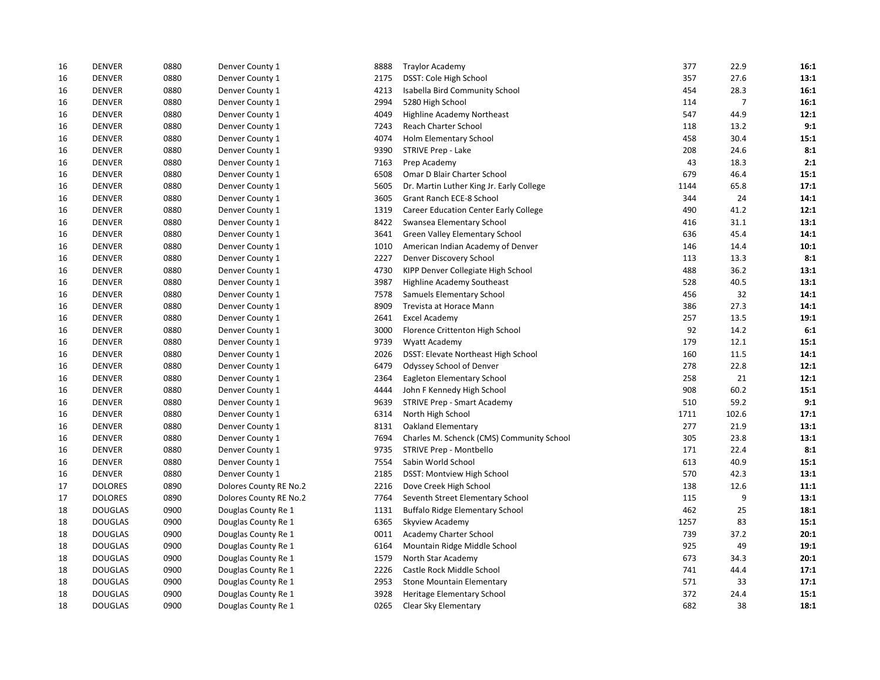| 16 | <b>DENVER</b>  | 0880 | Denver County 1        | 8888 | <b>Traylor Academy</b>                    | 377  | 22.9           | 16:1 |
|----|----------------|------|------------------------|------|-------------------------------------------|------|----------------|------|
| 16 | <b>DENVER</b>  | 0880 | Denver County 1        | 2175 | DSST: Cole High School                    | 357  | 27.6           | 13:1 |
| 16 | <b>DENVER</b>  | 0880 | Denver County 1        | 4213 | Isabella Bird Community School            | 454  | 28.3           | 16:1 |
| 16 | <b>DENVER</b>  | 0880 | Denver County 1        | 2994 | 5280 High School                          | 114  | $\overline{7}$ | 16:1 |
| 16 | <b>DENVER</b>  | 0880 | Denver County 1        | 4049 | <b>Highline Academy Northeast</b>         | 547  | 44.9           | 12:1 |
| 16 | <b>DENVER</b>  | 0880 | Denver County 1        | 7243 | Reach Charter School                      | 118  | 13.2           | 9:1  |
| 16 | <b>DENVER</b>  | 0880 | Denver County 1        | 4074 | Holm Elementary School                    | 458  | 30.4           | 15:1 |
| 16 | <b>DENVER</b>  | 0880 | Denver County 1        | 9390 | <b>STRIVE Prep - Lake</b>                 | 208  | 24.6           | 8:1  |
| 16 | <b>DENVER</b>  | 0880 | Denver County 1        | 7163 | Prep Academy                              | 43   | 18.3           | 2:1  |
| 16 | <b>DENVER</b>  | 0880 | Denver County 1        | 6508 | Omar D Blair Charter School               | 679  | 46.4           | 15:1 |
| 16 | <b>DENVER</b>  | 0880 | Denver County 1        | 5605 | Dr. Martin Luther King Jr. Early College  | 1144 | 65.8           | 17:1 |
| 16 | <b>DENVER</b>  | 0880 | Denver County 1        | 3605 | Grant Ranch ECE-8 School                  | 344  | 24             | 14:1 |
| 16 | <b>DENVER</b>  | 0880 | Denver County 1        | 1319 | Career Education Center Early College     | 490  | 41.2           | 12:1 |
| 16 | <b>DENVER</b>  | 0880 | Denver County 1        | 8422 | Swansea Elementary School                 | 416  | 31.1           | 13:1 |
| 16 | <b>DENVER</b>  | 0880 | Denver County 1        | 3641 | Green Valley Elementary School            | 636  | 45.4           | 14:1 |
| 16 | <b>DENVER</b>  | 0880 | Denver County 1        | 1010 | American Indian Academy of Denver         | 146  | 14.4           | 10:1 |
| 16 | <b>DENVER</b>  | 0880 | Denver County 1        | 2227 | Denver Discovery School                   | 113  | 13.3           | 8:1  |
| 16 | <b>DENVER</b>  | 0880 | Denver County 1        | 4730 | KIPP Denver Collegiate High School        | 488  | 36.2           | 13:1 |
| 16 | <b>DENVER</b>  | 0880 | Denver County 1        | 3987 | <b>Highline Academy Southeast</b>         | 528  | 40.5           | 13:1 |
| 16 | <b>DENVER</b>  | 0880 | Denver County 1        | 7578 | Samuels Elementary School                 | 456  | 32             | 14:1 |
| 16 | <b>DENVER</b>  | 0880 | Denver County 1        | 8909 | Trevista at Horace Mann                   | 386  | 27.3           | 14:1 |
| 16 | <b>DENVER</b>  | 0880 | Denver County 1        | 2641 | <b>Excel Academy</b>                      | 257  | 13.5           | 19:1 |
| 16 | <b>DENVER</b>  | 0880 | Denver County 1        | 3000 | Florence Crittenton High School           | 92   | 14.2           | 6:1  |
| 16 | <b>DENVER</b>  | 0880 | Denver County 1        | 9739 | Wyatt Academy                             | 179  | 12.1           | 15:1 |
| 16 | <b>DENVER</b>  | 0880 | Denver County 1        | 2026 | DSST: Elevate Northeast High School       | 160  | 11.5           | 14:1 |
| 16 | <b>DENVER</b>  | 0880 | Denver County 1        | 6479 | Odyssey School of Denver                  | 278  | 22.8           | 12:1 |
| 16 | <b>DENVER</b>  | 0880 | Denver County 1        | 2364 | Eagleton Elementary School                | 258  | 21             | 12:1 |
| 16 | <b>DENVER</b>  | 0880 | Denver County 1        | 4444 | John F Kennedy High School                | 908  | 60.2           | 15:1 |
| 16 | <b>DENVER</b>  | 0880 | Denver County 1        | 9639 | <b>STRIVE Prep - Smart Academy</b>        | 510  | 59.2           | 9:1  |
| 16 | <b>DENVER</b>  | 0880 | Denver County 1        | 6314 | North High School                         | 1711 | 102.6          | 17:1 |
| 16 | <b>DENVER</b>  | 0880 | Denver County 1        | 8131 | Oakland Elementary                        | 277  | 21.9           | 13:1 |
| 16 | <b>DENVER</b>  | 0880 | Denver County 1        | 7694 | Charles M. Schenck (CMS) Community School | 305  | 23.8           | 13:1 |
| 16 | <b>DENVER</b>  | 0880 | Denver County 1        | 9735 | STRIVE Prep - Montbello                   | 171  | 22.4           | 8:1  |
| 16 | <b>DENVER</b>  | 0880 | Denver County 1        | 7554 | Sabin World School                        | 613  | 40.9           | 15:1 |
| 16 | <b>DENVER</b>  | 0880 | Denver County 1        | 2185 | DSST: Montview High School                | 570  | 42.3           | 13:1 |
| 17 | <b>DOLORES</b> | 0890 | Dolores County RE No.2 | 2216 | Dove Creek High School                    | 138  | 12.6           | 11:1 |
| 17 | <b>DOLORES</b> | 0890 | Dolores County RE No.2 | 7764 | Seventh Street Elementary School          | 115  | 9              | 13:1 |
| 18 | <b>DOUGLAS</b> | 0900 | Douglas County Re 1    | 1131 | <b>Buffalo Ridge Elementary School</b>    | 462  | 25             | 18:1 |
| 18 | <b>DOUGLAS</b> | 0900 | Douglas County Re 1    | 6365 | Skyview Academy                           | 1257 | 83             | 15:1 |
| 18 | <b>DOUGLAS</b> | 0900 | Douglas County Re 1    | 0011 | Academy Charter School                    | 739  | 37.2           | 20:1 |
| 18 | <b>DOUGLAS</b> | 0900 | Douglas County Re 1    | 6164 | Mountain Ridge Middle School              | 925  | 49             | 19:1 |
| 18 | <b>DOUGLAS</b> | 0900 | Douglas County Re 1    | 1579 | North Star Academy                        | 673  | 34.3           | 20:1 |
| 18 | <b>DOUGLAS</b> | 0900 | Douglas County Re 1    | 2226 | Castle Rock Middle School                 | 741  | 44.4           | 17:1 |
| 18 | <b>DOUGLAS</b> | 0900 | Douglas County Re 1    | 2953 | <b>Stone Mountain Elementary</b>          | 571  | 33             | 17:1 |
| 18 | <b>DOUGLAS</b> | 0900 | Douglas County Re 1    | 3928 | Heritage Elementary School                | 372  | 24.4           | 15:1 |
| 18 | <b>DOUGLAS</b> | 0900 | Douglas County Re 1    | 0265 | Clear Sky Elementary                      | 682  | 38             | 18:1 |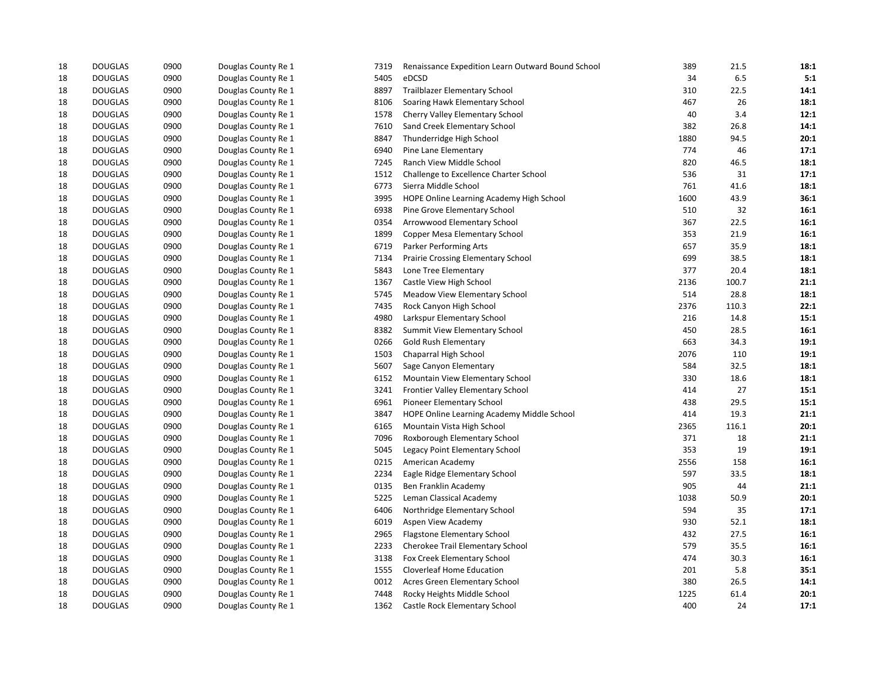| 18 | <b>DOUGLAS</b> | 0900 | Douglas County Re 1 | 7319 | Renaissance Expedition Learn Outward Bound School | 389  | 21.5  | 18:1 |
|----|----------------|------|---------------------|------|---------------------------------------------------|------|-------|------|
| 18 | <b>DOUGLAS</b> | 0900 | Douglas County Re 1 | 5405 | eDCSD                                             | 34   | 6.5   | 5:1  |
| 18 | <b>DOUGLAS</b> | 0900 | Douglas County Re 1 | 8897 | <b>Trailblazer Elementary School</b>              | 310  | 22.5  | 14:1 |
| 18 | <b>DOUGLAS</b> | 0900 | Douglas County Re 1 | 8106 | Soaring Hawk Elementary School                    | 467  | 26    | 18:1 |
| 18 | <b>DOUGLAS</b> | 0900 | Douglas County Re 1 | 1578 | Cherry Valley Elementary School                   | 40   | 3.4   | 12:1 |
| 18 | <b>DOUGLAS</b> | 0900 | Douglas County Re 1 | 7610 | Sand Creek Elementary School                      | 382  | 26.8  | 14:1 |
| 18 | <b>DOUGLAS</b> | 0900 | Douglas County Re 1 | 8847 | Thunderridge High School                          | 1880 | 94.5  | 20:1 |
| 18 | <b>DOUGLAS</b> | 0900 | Douglas County Re 1 | 6940 | Pine Lane Elementary                              | 774  | 46    | 17:1 |
| 18 | <b>DOUGLAS</b> | 0900 | Douglas County Re 1 | 7245 | Ranch View Middle School                          | 820  | 46.5  | 18:1 |
| 18 | <b>DOUGLAS</b> | 0900 | Douglas County Re 1 | 1512 | Challenge to Excellence Charter School            | 536  | 31    | 17:1 |
| 18 | <b>DOUGLAS</b> | 0900 | Douglas County Re 1 | 6773 | Sierra Middle School                              | 761  | 41.6  | 18:1 |
| 18 | <b>DOUGLAS</b> | 0900 | Douglas County Re 1 | 3995 | HOPE Online Learning Academy High School          | 1600 | 43.9  | 36:1 |
| 18 | <b>DOUGLAS</b> | 0900 | Douglas County Re 1 | 6938 | Pine Grove Elementary School                      | 510  | 32    | 16:1 |
| 18 | <b>DOUGLAS</b> | 0900 | Douglas County Re 1 | 0354 | Arrowwood Elementary School                       | 367  | 22.5  | 16:1 |
| 18 | <b>DOUGLAS</b> | 0900 | Douglas County Re 1 | 1899 | Copper Mesa Elementary School                     | 353  | 21.9  | 16:1 |
| 18 | <b>DOUGLAS</b> | 0900 | Douglas County Re 1 | 6719 | Parker Performing Arts                            | 657  | 35.9  | 18:1 |
| 18 | <b>DOUGLAS</b> | 0900 | Douglas County Re 1 | 7134 | Prairie Crossing Elementary School                | 699  | 38.5  | 18:1 |
| 18 | <b>DOUGLAS</b> | 0900 | Douglas County Re 1 | 5843 | Lone Tree Elementary                              | 377  | 20.4  | 18:1 |
| 18 | <b>DOUGLAS</b> | 0900 | Douglas County Re 1 | 1367 | Castle View High School                           | 2136 | 100.7 | 21:1 |
| 18 | <b>DOUGLAS</b> | 0900 | Douglas County Re 1 | 5745 | Meadow View Elementary School                     | 514  | 28.8  | 18:1 |
| 18 | <b>DOUGLAS</b> | 0900 | Douglas County Re 1 | 7435 | Rock Canyon High School                           | 2376 | 110.3 | 22:1 |
| 18 | <b>DOUGLAS</b> | 0900 | Douglas County Re 1 | 4980 | Larkspur Elementary School                        | 216  | 14.8  | 15:1 |
| 18 | <b>DOUGLAS</b> | 0900 | Douglas County Re 1 | 8382 | Summit View Elementary School                     | 450  | 28.5  | 16:1 |
| 18 | <b>DOUGLAS</b> | 0900 | Douglas County Re 1 | 0266 | <b>Gold Rush Elementary</b>                       | 663  | 34.3  | 19:1 |
| 18 | <b>DOUGLAS</b> | 0900 | Douglas County Re 1 | 1503 | Chaparral High School                             | 2076 | 110   | 19:1 |
| 18 | <b>DOUGLAS</b> | 0900 | Douglas County Re 1 | 5607 | Sage Canyon Elementary                            | 584  | 32.5  | 18:1 |
| 18 | <b>DOUGLAS</b> | 0900 | Douglas County Re 1 | 6152 | Mountain View Elementary School                   | 330  | 18.6  | 18:1 |
| 18 | <b>DOUGLAS</b> | 0900 | Douglas County Re 1 | 3241 | Frontier Valley Elementary School                 | 414  | 27    | 15:1 |
| 18 | <b>DOUGLAS</b> | 0900 | Douglas County Re 1 | 6961 | Pioneer Elementary School                         | 438  | 29.5  | 15:1 |
| 18 | <b>DOUGLAS</b> | 0900 | Douglas County Re 1 | 3847 | HOPE Online Learning Academy Middle School        | 414  | 19.3  | 21:1 |
| 18 | <b>DOUGLAS</b> | 0900 | Douglas County Re 1 | 6165 | Mountain Vista High School                        | 2365 | 116.1 | 20:1 |
| 18 | <b>DOUGLAS</b> | 0900 | Douglas County Re 1 | 7096 | Roxborough Elementary School                      | 371  | 18    | 21:1 |
| 18 | <b>DOUGLAS</b> | 0900 | Douglas County Re 1 | 5045 | Legacy Point Elementary School                    | 353  | 19    | 19:1 |
| 18 | <b>DOUGLAS</b> | 0900 | Douglas County Re 1 | 0215 | American Academy                                  | 2556 | 158   | 16:1 |
| 18 | <b>DOUGLAS</b> | 0900 | Douglas County Re 1 | 2234 | Eagle Ridge Elementary School                     | 597  | 33.5  | 18:1 |
| 18 | <b>DOUGLAS</b> | 0900 | Douglas County Re 1 | 0135 | Ben Franklin Academy                              | 905  | 44    | 21:1 |
| 18 | <b>DOUGLAS</b> | 0900 | Douglas County Re 1 | 5225 | Leman Classical Academy                           | 1038 | 50.9  | 20:1 |
| 18 | <b>DOUGLAS</b> | 0900 | Douglas County Re 1 | 6406 | Northridge Elementary School                      | 594  | 35    | 17:1 |
| 18 | <b>DOUGLAS</b> | 0900 | Douglas County Re 1 | 6019 | Aspen View Academy                                | 930  | 52.1  | 18:1 |
| 18 | <b>DOUGLAS</b> | 0900 | Douglas County Re 1 | 2965 | Flagstone Elementary School                       | 432  | 27.5  | 16:1 |
| 18 | <b>DOUGLAS</b> | 0900 | Douglas County Re 1 | 2233 | Cherokee Trail Elementary School                  | 579  | 35.5  | 16:1 |
| 18 | <b>DOUGLAS</b> | 0900 | Douglas County Re 1 | 3138 | Fox Creek Elementary School                       | 474  | 30.3  | 16:1 |
| 18 | <b>DOUGLAS</b> | 0900 | Douglas County Re 1 | 1555 | Cloverleaf Home Education                         | 201  | 5.8   | 35:1 |
| 18 | <b>DOUGLAS</b> | 0900 | Douglas County Re 1 | 0012 | Acres Green Elementary School                     | 380  | 26.5  | 14:1 |
| 18 | <b>DOUGLAS</b> | 0900 | Douglas County Re 1 | 7448 | Rocky Heights Middle School                       | 1225 | 61.4  | 20:1 |
| 18 | <b>DOUGLAS</b> | 0900 | Douglas County Re 1 | 1362 | Castle Rock Elementary School                     | 400  | 24    | 17:1 |
|    |                |      |                     |      |                                                   |      |       |      |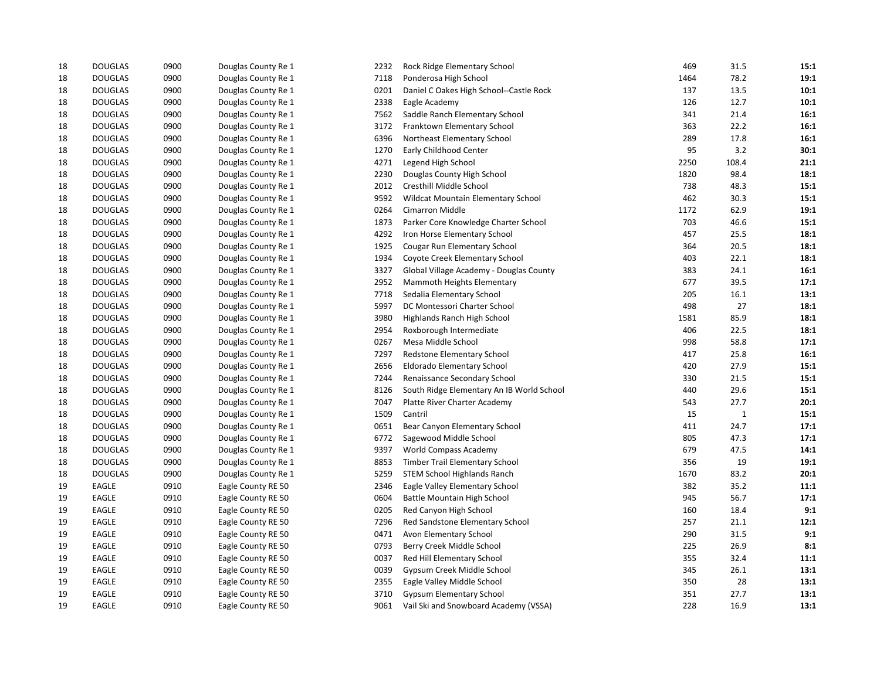| 18 | <b>DOUGLAS</b> | 0900 | Douglas County Re 1 | 2232 | Rock Ridge Elementary School              | 469  | 31.5  | 15:1 |
|----|----------------|------|---------------------|------|-------------------------------------------|------|-------|------|
| 18 | <b>DOUGLAS</b> | 0900 | Douglas County Re 1 | 7118 | Ponderosa High School                     | 1464 | 78.2  | 19:1 |
| 18 | <b>DOUGLAS</b> | 0900 | Douglas County Re 1 | 0201 | Daniel C Oakes High School--Castle Rock   | 137  | 13.5  | 10:1 |
| 18 | <b>DOUGLAS</b> | 0900 | Douglas County Re 1 | 2338 | Eagle Academy                             | 126  | 12.7  | 10:1 |
| 18 | <b>DOUGLAS</b> | 0900 | Douglas County Re 1 | 7562 | Saddle Ranch Elementary School            | 341  | 21.4  | 16:1 |
| 18 | <b>DOUGLAS</b> | 0900 | Douglas County Re 1 | 3172 | Franktown Elementary School               | 363  | 22.2  | 16:1 |
| 18 | <b>DOUGLAS</b> | 0900 | Douglas County Re 1 | 6396 | Northeast Elementary School               | 289  | 17.8  | 16:1 |
| 18 | <b>DOUGLAS</b> | 0900 | Douglas County Re 1 | 1270 | Early Childhood Center                    | 95   | 3.2   | 30:1 |
| 18 | <b>DOUGLAS</b> | 0900 | Douglas County Re 1 | 4271 | Legend High School                        | 2250 | 108.4 | 21:1 |
| 18 | <b>DOUGLAS</b> | 0900 | Douglas County Re 1 | 2230 | Douglas County High School                | 1820 | 98.4  | 18:1 |
| 18 | <b>DOUGLAS</b> | 0900 | Douglas County Re 1 | 2012 | Cresthill Middle School                   | 738  | 48.3  | 15:1 |
| 18 | <b>DOUGLAS</b> | 0900 | Douglas County Re 1 | 9592 | Wildcat Mountain Elementary School        | 462  | 30.3  | 15:1 |
| 18 | <b>DOUGLAS</b> | 0900 | Douglas County Re 1 | 0264 | Cimarron Middle                           | 1172 | 62.9  | 19:1 |
| 18 | <b>DOUGLAS</b> | 0900 | Douglas County Re 1 | 1873 | Parker Core Knowledge Charter School      | 703  | 46.6  | 15:1 |
| 18 | <b>DOUGLAS</b> | 0900 | Douglas County Re 1 | 4292 | Iron Horse Elementary School              | 457  | 25.5  | 18:1 |
| 18 | <b>DOUGLAS</b> | 0900 | Douglas County Re 1 | 1925 | Cougar Run Elementary School              | 364  | 20.5  | 18:1 |
| 18 | <b>DOUGLAS</b> | 0900 | Douglas County Re 1 | 1934 | Coyote Creek Elementary School            | 403  | 22.1  | 18:1 |
| 18 | <b>DOUGLAS</b> | 0900 | Douglas County Re 1 | 3327 | Global Village Academy - Douglas County   | 383  | 24.1  | 16:1 |
| 18 | <b>DOUGLAS</b> | 0900 | Douglas County Re 1 | 2952 | Mammoth Heights Elementary                | 677  | 39.5  | 17:1 |
| 18 | <b>DOUGLAS</b> | 0900 | Douglas County Re 1 | 7718 | Sedalia Elementary School                 | 205  | 16.1  | 13:1 |
| 18 | <b>DOUGLAS</b> | 0900 | Douglas County Re 1 | 5997 | DC Montessori Charter School              | 498  | 27    | 18:1 |
| 18 | <b>DOUGLAS</b> | 0900 | Douglas County Re 1 | 3980 | Highlands Ranch High School               | 1581 | 85.9  | 18:1 |
| 18 | <b>DOUGLAS</b> | 0900 | Douglas County Re 1 | 2954 | Roxborough Intermediate                   | 406  | 22.5  | 18:1 |
| 18 | <b>DOUGLAS</b> | 0900 | Douglas County Re 1 | 0267 | Mesa Middle School                        | 998  | 58.8  | 17:1 |
| 18 | <b>DOUGLAS</b> | 0900 | Douglas County Re 1 | 7297 | Redstone Elementary School                | 417  | 25.8  | 16:1 |
| 18 | <b>DOUGLAS</b> | 0900 | Douglas County Re 1 | 2656 | Eldorado Elementary School                | 420  | 27.9  | 15:1 |
| 18 | <b>DOUGLAS</b> | 0900 | Douglas County Re 1 | 7244 | Renaissance Secondary School              | 330  | 21.5  | 15:1 |
| 18 | <b>DOUGLAS</b> | 0900 | Douglas County Re 1 | 8126 | South Ridge Elementary An IB World School | 440  | 29.6  | 15:1 |
| 18 | <b>DOUGLAS</b> | 0900 | Douglas County Re 1 | 7047 | Platte River Charter Academy              | 543  | 27.7  | 20:1 |
| 18 | <b>DOUGLAS</b> | 0900 | Douglas County Re 1 | 1509 | Cantril                                   | 15   | 1     | 15:1 |
| 18 | <b>DOUGLAS</b> | 0900 | Douglas County Re 1 | 0651 | Bear Canyon Elementary School             | 411  | 24.7  | 17:1 |
| 18 | <b>DOUGLAS</b> | 0900 | Douglas County Re 1 | 6772 | Sagewood Middle School                    | 805  | 47.3  | 17:1 |
| 18 | <b>DOUGLAS</b> | 0900 | Douglas County Re 1 | 9397 | <b>World Compass Academy</b>              | 679  | 47.5  | 14:1 |
| 18 | <b>DOUGLAS</b> | 0900 | Douglas County Re 1 | 8853 | <b>Timber Trail Elementary School</b>     | 356  | 19    | 19:1 |
| 18 | <b>DOUGLAS</b> | 0900 | Douglas County Re 1 | 5259 | <b>STEM School Highlands Ranch</b>        | 1670 | 83.2  | 20:1 |
| 19 | <b>EAGLE</b>   | 0910 | Eagle County RE 50  | 2346 | Eagle Valley Elementary School            | 382  | 35.2  | 11:1 |
| 19 | <b>EAGLE</b>   | 0910 | Eagle County RE 50  | 0604 | Battle Mountain High School               | 945  | 56.7  | 17:1 |
| 19 | EAGLE          | 0910 | Eagle County RE 50  | 0205 | Red Canyon High School                    | 160  | 18.4  | 9:1  |
| 19 | <b>EAGLE</b>   | 0910 | Eagle County RE 50  | 7296 | Red Sandstone Elementary School           | 257  | 21.1  | 12:1 |
| 19 | <b>EAGLE</b>   | 0910 | Eagle County RE 50  | 0471 | Avon Elementary School                    | 290  | 31.5  | 9:1  |
| 19 | EAGLE          | 0910 | Eagle County RE 50  | 0793 | Berry Creek Middle School                 | 225  | 26.9  | 8:1  |
| 19 | <b>EAGLE</b>   | 0910 | Eagle County RE 50  | 0037 | Red Hill Elementary School                | 355  | 32.4  | 11:1 |
| 19 | <b>EAGLE</b>   | 0910 | Eagle County RE 50  | 0039 | Gypsum Creek Middle School                | 345  | 26.1  | 13:1 |
| 19 | EAGLE          | 0910 | Eagle County RE 50  | 2355 | Eagle Valley Middle School                | 350  | 28    | 13:1 |
| 19 | <b>EAGLE</b>   | 0910 | Eagle County RE 50  | 3710 | <b>Gypsum Elementary School</b>           | 351  | 27.7  | 13:1 |
| 19 | <b>EAGLE</b>   | 0910 | Eagle County RE 50  | 9061 | Vail Ski and Snowboard Academy (VSSA)     | 228  | 16.9  | 13:1 |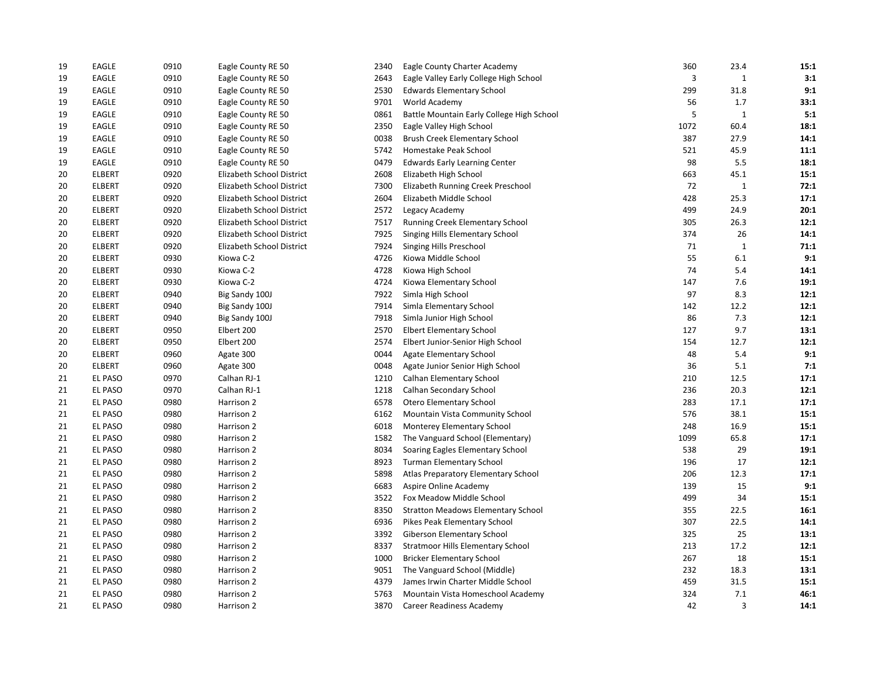| 19 | EAGLE          | 0910 | Eagle County RE 50        | 2340 | Eagle County Charter Academy              | 360  | 23.4         | 15:1 |
|----|----------------|------|---------------------------|------|-------------------------------------------|------|--------------|------|
| 19 | EAGLE          | 0910 | Eagle County RE 50        | 2643 | Eagle Valley Early College High School    | 3    | $\mathbf 1$  | 3:1  |
| 19 | EAGLE          | 0910 | Eagle County RE 50        | 2530 | <b>Edwards Elementary School</b>          | 299  | 31.8         | 9:1  |
| 19 | EAGLE          | 0910 | Eagle County RE 50        | 9701 | World Academy                             | 56   | 1.7          | 33:1 |
| 19 | EAGLE          | 0910 | Eagle County RE 50        | 0861 | Battle Mountain Early College High School | 5    | $\mathbf 1$  | 5:1  |
| 19 | EAGLE          | 0910 | Eagle County RE 50        | 2350 | Eagle Valley High School                  | 1072 | 60.4         | 18:1 |
| 19 | EAGLE          | 0910 | Eagle County RE 50        | 0038 | Brush Creek Elementary School             | 387  | 27.9         | 14:1 |
| 19 | EAGLE          | 0910 | Eagle County RE 50        | 5742 | Homestake Peak School                     | 521  | 45.9         | 11:1 |
| 19 | EAGLE          | 0910 | Eagle County RE 50        | 0479 | <b>Edwards Early Learning Center</b>      | 98   | 5.5          | 18:1 |
| 20 | <b>ELBERT</b>  | 0920 | Elizabeth School District | 2608 | Elizabeth High School                     | 663  | 45.1         | 15:1 |
| 20 | <b>ELBERT</b>  | 0920 | Elizabeth School District | 7300 | Elizabeth Running Creek Preschool         | 72   | 1            | 72:1 |
| 20 | <b>ELBERT</b>  | 0920 | Elizabeth School District | 2604 | Elizabeth Middle School                   | 428  | 25.3         | 17:1 |
| 20 | <b>ELBERT</b>  | 0920 | Elizabeth School District | 2572 | Legacy Academy                            | 499  | 24.9         | 20:1 |
| 20 | <b>ELBERT</b>  | 0920 | Elizabeth School District | 7517 | Running Creek Elementary School           | 305  | 26.3         | 12:1 |
| 20 | <b>ELBERT</b>  | 0920 | Elizabeth School District | 7925 | Singing Hills Elementary School           | 374  | 26           | 14:1 |
| 20 | <b>ELBERT</b>  | 0920 | Elizabeth School District | 7924 | Singing Hills Preschool                   | 71   | $\mathbf{1}$ | 71:1 |
| 20 | <b>ELBERT</b>  | 0930 | Kiowa C-2                 | 4726 | Kiowa Middle School                       | 55   | 6.1          | 9:1  |
| 20 | <b>ELBERT</b>  | 0930 | Kiowa C-2                 | 4728 | Kiowa High School                         | 74   | 5.4          | 14:1 |
| 20 | <b>ELBERT</b>  | 0930 | Kiowa C-2                 | 4724 | Kiowa Elementary School                   | 147  | 7.6          | 19:1 |
| 20 | <b>ELBERT</b>  | 0940 | Big Sandy 100J            | 7922 | Simla High School                         | 97   | 8.3          | 12:1 |
| 20 | <b>ELBERT</b>  | 0940 | Big Sandy 100J            | 7914 | Simla Elementary School                   | 142  | 12.2         | 12:1 |
| 20 | <b>ELBERT</b>  | 0940 | Big Sandy 100J            | 7918 | Simla Junior High School                  | 86   | 7.3          | 12:1 |
| 20 | <b>ELBERT</b>  | 0950 | Elbert 200                | 2570 | <b>Elbert Elementary School</b>           | 127  | 9.7          | 13:1 |
| 20 | <b>ELBERT</b>  | 0950 | Elbert 200                | 2574 | Elbert Junior-Senior High School          | 154  | 12.7         | 12:1 |
| 20 | <b>ELBERT</b>  | 0960 | Agate 300                 | 0044 | Agate Elementary School                   | 48   | 5.4          | 9:1  |
| 20 | <b>ELBERT</b>  | 0960 | Agate 300                 | 0048 | Agate Junior Senior High School           | 36   | 5.1          | 7:1  |
| 21 | <b>EL PASO</b> | 0970 | Calhan RJ-1               | 1210 | Calhan Elementary School                  | 210  | 12.5         | 17:1 |
| 21 | EL PASO        | 0970 | Calhan RJ-1               | 1218 | Calhan Secondary School                   | 236  | 20.3         | 12:1 |
| 21 | <b>EL PASO</b> | 0980 | Harrison 2                | 6578 | <b>Otero Elementary School</b>            | 283  | 17.1         | 17:1 |
| 21 | EL PASO        | 0980 | Harrison 2                | 6162 | Mountain Vista Community School           | 576  | 38.1         | 15:1 |
| 21 | <b>EL PASO</b> | 0980 | Harrison 2                | 6018 | Monterey Elementary School                | 248  | 16.9         | 15:1 |
| 21 | <b>EL PASO</b> | 0980 | Harrison 2                | 1582 | The Vanguard School (Elementary)          | 1099 | 65.8         | 17:1 |
| 21 | <b>EL PASO</b> | 0980 | Harrison 2                | 8034 | Soaring Eagles Elementary School          | 538  | 29           | 19:1 |
| 21 | <b>EL PASO</b> | 0980 | Harrison 2                | 8923 | <b>Turman Elementary School</b>           | 196  | 17           | 12:1 |
| 21 | EL PASO        | 0980 | Harrison 2                | 5898 | Atlas Preparatory Elementary School       | 206  | 12.3         | 17:1 |
| 21 | EL PASO        | 0980 | Harrison 2                | 6683 | Aspire Online Academy                     | 139  | 15           | 9:1  |
| 21 | <b>EL PASO</b> | 0980 | Harrison 2                | 3522 | Fox Meadow Middle School                  | 499  | 34           | 15:1 |
| 21 | <b>EL PASO</b> | 0980 | Harrison 2                | 8350 | <b>Stratton Meadows Elementary School</b> | 355  | 22.5         | 16:1 |
| 21 | EL PASO        | 0980 | Harrison 2                | 6936 | Pikes Peak Elementary School              | 307  | 22.5         | 14:1 |
| 21 | <b>EL PASO</b> | 0980 | Harrison 2                | 3392 | Giberson Elementary School                | 325  | 25           | 13:1 |
| 21 | <b>EL PASO</b> | 0980 | Harrison 2                | 8337 | <b>Stratmoor Hills Elementary School</b>  | 213  | 17.2         | 12:1 |
| 21 | <b>EL PASO</b> | 0980 | Harrison 2                | 1000 | <b>Bricker Elementary School</b>          | 267  | 18           | 15:1 |
| 21 | EL PASO        | 0980 | Harrison 2                | 9051 | The Vanguard School (Middle)              | 232  | 18.3         | 13:1 |
| 21 | <b>EL PASO</b> | 0980 | Harrison 2                | 4379 | James Irwin Charter Middle School         | 459  | 31.5         | 15:1 |
| 21 | EL PASO        | 0980 | Harrison 2                | 5763 | Mountain Vista Homeschool Academy         | 324  | 7.1          | 46:1 |
| 21 | <b>EL PASO</b> | 0980 | Harrison 2                | 3870 | Career Readiness Academy                  | 42   | 3            | 14:1 |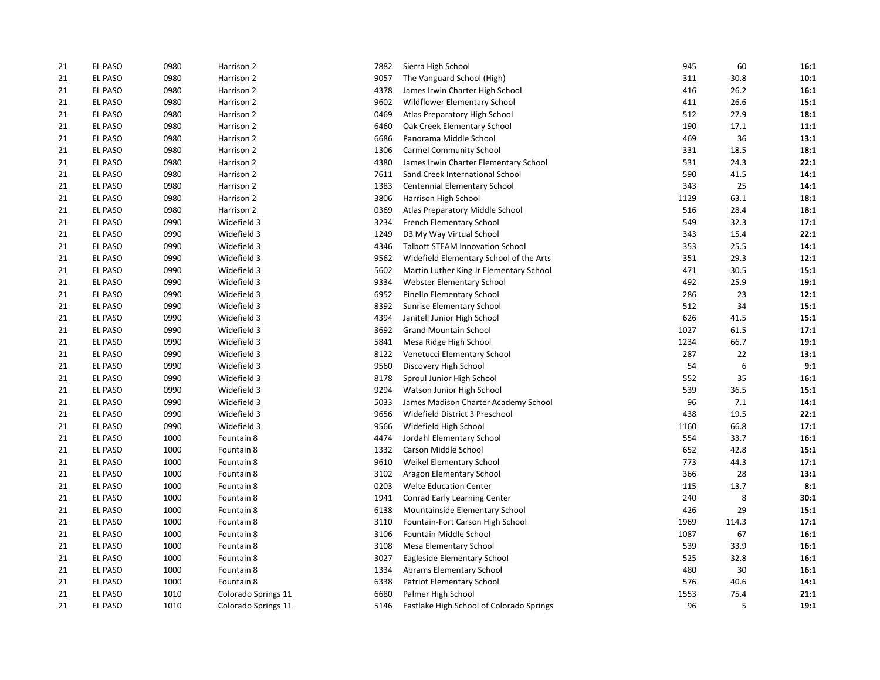| 21 | <b>EL PASO</b> | 0980 | Harrison 2          | 7882 | Sierra High School                       | 945  | 60    | 16:1 |
|----|----------------|------|---------------------|------|------------------------------------------|------|-------|------|
| 21 | EL PASO        | 0980 | Harrison 2          | 9057 | The Vanguard School (High)               | 311  | 30.8  | 10:1 |
| 21 | EL PASO        | 0980 | Harrison 2          | 4378 | James Irwin Charter High School          | 416  | 26.2  | 16:1 |
| 21 | <b>EL PASO</b> | 0980 | Harrison 2          | 9602 | Wildflower Elementary School             | 411  | 26.6  | 15:1 |
| 21 | <b>EL PASO</b> | 0980 | Harrison 2          | 0469 | Atlas Preparatory High School            | 512  | 27.9  | 18:1 |
| 21 | EL PASO        | 0980 | Harrison 2          | 6460 | Oak Creek Elementary School              | 190  | 17.1  | 11:1 |
| 21 | <b>EL PASO</b> | 0980 | Harrison 2          | 6686 | Panorama Middle School                   | 469  | 36    | 13:1 |
| 21 | EL PASO        | 0980 | Harrison 2          | 1306 | <b>Carmel Community School</b>           | 331  | 18.5  | 18:1 |
| 21 | EL PASO        | 0980 | Harrison 2          | 4380 | James Irwin Charter Elementary School    | 531  | 24.3  | 22:1 |
| 21 | EL PASO        | 0980 | Harrison 2          | 7611 | Sand Creek International School          | 590  | 41.5  | 14:1 |
| 21 | EL PASO        | 0980 | Harrison 2          | 1383 | Centennial Elementary School             | 343  | 25    | 14:1 |
| 21 | <b>EL PASO</b> | 0980 | Harrison 2          | 3806 | Harrison High School                     | 1129 | 63.1  | 18:1 |
| 21 | EL PASO        | 0980 | Harrison 2          | 0369 | Atlas Preparatory Middle School          | 516  | 28.4  | 18:1 |
| 21 | EL PASO        | 0990 | Widefield 3         | 3234 | <b>French Elementary School</b>          | 549  | 32.3  | 17:1 |
| 21 | <b>EL PASO</b> | 0990 | Widefield 3         | 1249 | D3 My Way Virtual School                 | 343  | 15.4  | 22:1 |
| 21 | EL PASO        | 0990 | Widefield 3         | 4346 | <b>Talbott STEAM Innovation School</b>   | 353  | 25.5  | 14:1 |
| 21 | EL PASO        | 0990 | Widefield 3         | 9562 | Widefield Elementary School of the Arts  | 351  | 29.3  | 12:1 |
| 21 | EL PASO        | 0990 | Widefield 3         | 5602 | Martin Luther King Jr Elementary School  | 471  | 30.5  | 15:1 |
| 21 | <b>EL PASO</b> | 0990 | Widefield 3         | 9334 | <b>Webster Elementary School</b>         | 492  | 25.9  | 19:1 |
| 21 | EL PASO        | 0990 | Widefield 3         | 6952 | Pinello Elementary School                | 286  | 23    | 12:1 |
| 21 | EL PASO        | 0990 | Widefield 3         | 8392 | Sunrise Elementary School                | 512  | 34    | 15:1 |
| 21 | <b>EL PASO</b> | 0990 | Widefield 3         | 4394 | Janitell Junior High School              | 626  | 41.5  | 15:1 |
| 21 | <b>EL PASO</b> | 0990 | Widefield 3         | 3692 | <b>Grand Mountain School</b>             | 1027 | 61.5  | 17:1 |
| 21 | EL PASO        | 0990 | Widefield 3         | 5841 | Mesa Ridge High School                   | 1234 | 66.7  | 19:1 |
| 21 | <b>EL PASO</b> | 0990 | Widefield 3         | 8122 | Venetucci Elementary School              | 287  | 22    | 13:1 |
| 21 | EL PASO        | 0990 | Widefield 3         | 9560 | Discovery High School                    | 54   | 6     | 9:1  |
| 21 | <b>EL PASO</b> | 0990 | Widefield 3         | 8178 | Sproul Junior High School                | 552  | 35    | 16:1 |
| 21 | EL PASO        | 0990 | Widefield 3         | 9294 | Watson Junior High School                | 539  | 36.5  | 15:1 |
| 21 | <b>EL PASO</b> | 0990 | Widefield 3         | 5033 | James Madison Charter Academy School     | 96   | 7.1   | 14:1 |
| 21 | EL PASO        | 0990 | Widefield 3         | 9656 | Widefield District 3 Preschool           | 438  | 19.5  | 22:1 |
| 21 | <b>EL PASO</b> | 0990 | Widefield 3         | 9566 | Widefield High School                    | 1160 | 66.8  | 17:1 |
| 21 | EL PASO        | 1000 | Fountain 8          | 4474 | Jordahl Elementary School                | 554  | 33.7  | 16:1 |
| 21 | EL PASO        | 1000 | Fountain 8          | 1332 | Carson Middle School                     | 652  | 42.8  | 15:1 |
| 21 | <b>EL PASO</b> | 1000 | Fountain 8          | 9610 | Weikel Elementary School                 | 773  | 44.3  | 17:1 |
| 21 | EL PASO        | 1000 | Fountain 8          | 3102 | Aragon Elementary School                 | 366  | 28    | 13:1 |
| 21 | <b>EL PASO</b> | 1000 | Fountain 8          | 0203 | <b>Welte Education Center</b>            | 115  | 13.7  | 8:1  |
| 21 | EL PASO        | 1000 | Fountain 8          | 1941 | Conrad Early Learning Center             | 240  | 8     | 30:1 |
| 21 | <b>EL PASO</b> | 1000 | Fountain 8          | 6138 | Mountainside Elementary School           | 426  | 29    | 15:1 |
| 21 | EL PASO        | 1000 | Fountain 8          | 3110 | Fountain-Fort Carson High School         | 1969 | 114.3 | 17:1 |
| 21 | <b>EL PASO</b> | 1000 | Fountain 8          | 3106 | Fountain Middle School                   | 1087 | 67    | 16:1 |
| 21 | <b>EL PASO</b> | 1000 | Fountain 8          | 3108 | <b>Mesa Elementary School</b>            | 539  | 33.9  | 16:1 |
| 21 | <b>EL PASO</b> | 1000 | Fountain 8          | 3027 | Eagleside Elementary School              | 525  | 32.8  | 16:1 |
| 21 | EL PASO        | 1000 | Fountain 8          | 1334 | Abrams Elementary School                 | 480  | 30    | 16:1 |
| 21 | EL PASO        | 1000 | Fountain 8          | 6338 | Patriot Elementary School                | 576  | 40.6  | 14:1 |
| 21 | EL PASO        | 1010 | Colorado Springs 11 | 6680 | Palmer High School                       | 1553 | 75.4  | 21:1 |
| 21 | <b>EL PASO</b> | 1010 | Colorado Springs 11 | 5146 | Eastlake High School of Colorado Springs | 96   | 5     | 19:1 |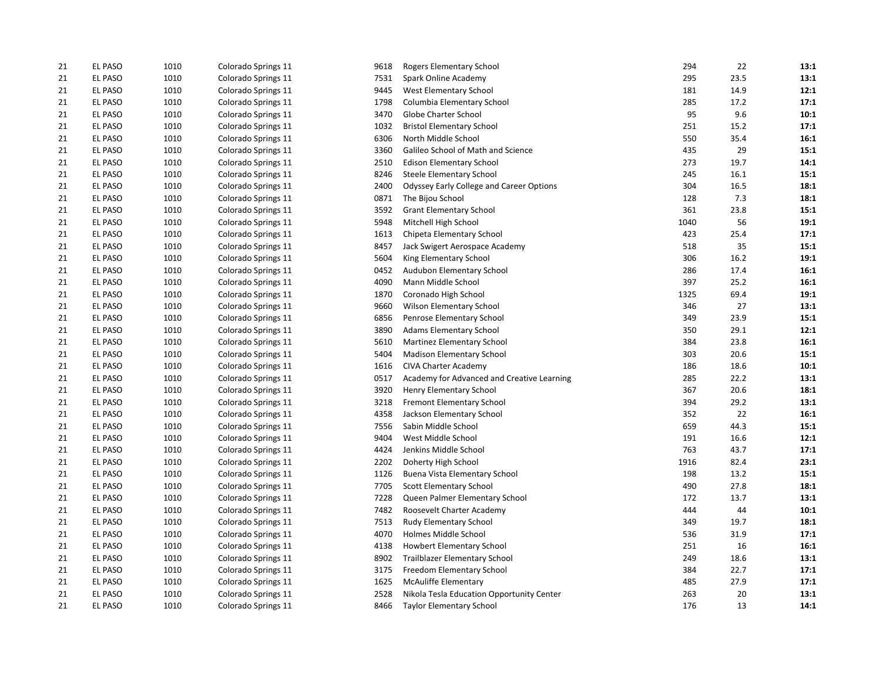| 21 | EL PASO        | 1010 | Colorado Springs 11 | 9618 | Rogers Elementary School                   | 294  | 22   | 13:1 |
|----|----------------|------|---------------------|------|--------------------------------------------|------|------|------|
| 21 | <b>EL PASO</b> | 1010 | Colorado Springs 11 | 7531 | Spark Online Academy                       | 295  | 23.5 | 13:1 |
| 21 | EL PASO        | 1010 | Colorado Springs 11 | 9445 | West Elementary School                     | 181  | 14.9 | 12:1 |
| 21 | <b>EL PASO</b> | 1010 | Colorado Springs 11 | 1798 | Columbia Elementary School                 | 285  | 17.2 | 17:1 |
| 21 | EL PASO        | 1010 | Colorado Springs 11 | 3470 | Globe Charter School                       | 95   | 9.6  | 10:1 |
| 21 | EL PASO        | 1010 | Colorado Springs 11 | 1032 | <b>Bristol Elementary School</b>           | 251  | 15.2 | 17:1 |
| 21 | <b>EL PASO</b> | 1010 | Colorado Springs 11 | 6306 | North Middle School                        | 550  | 35.4 | 16:1 |
| 21 | <b>EL PASO</b> | 1010 | Colorado Springs 11 | 3360 | Galileo School of Math and Science         | 435  | 29   | 15:1 |
| 21 | EL PASO        | 1010 | Colorado Springs 11 | 2510 | <b>Edison Elementary School</b>            | 273  | 19.7 | 14:1 |
| 21 | <b>EL PASO</b> | 1010 | Colorado Springs 11 | 8246 | <b>Steele Elementary School</b>            | 245  | 16.1 | 15:1 |
| 21 | EL PASO        | 1010 | Colorado Springs 11 | 2400 | Odyssey Early College and Career Options   | 304  | 16.5 | 18:1 |
| 21 | <b>EL PASO</b> | 1010 | Colorado Springs 11 | 0871 | The Bijou School                           | 128  | 7.3  | 18:1 |
| 21 | EL PASO        | 1010 | Colorado Springs 11 | 3592 | <b>Grant Elementary School</b>             | 361  | 23.8 | 15:1 |
| 21 | EL PASO        | 1010 | Colorado Springs 11 | 5948 | Mitchell High School                       | 1040 | 56   | 19:1 |
| 21 | <b>EL PASO</b> | 1010 | Colorado Springs 11 | 1613 | Chipeta Elementary School                  | 423  | 25.4 | 17:1 |
| 21 | <b>EL PASO</b> | 1010 | Colorado Springs 11 | 8457 | Jack Swigert Aerospace Academy             | 518  | 35   | 15:1 |
| 21 | <b>EL PASO</b> | 1010 | Colorado Springs 11 | 5604 | King Elementary School                     | 306  | 16.2 | 19:1 |
| 21 | EL PASO        | 1010 | Colorado Springs 11 | 0452 | Audubon Elementary School                  | 286  | 17.4 | 16:1 |
| 21 | EL PASO        | 1010 | Colorado Springs 11 | 4090 | Mann Middle School                         | 397  | 25.2 | 16:1 |
| 21 | <b>EL PASO</b> | 1010 | Colorado Springs 11 | 1870 | Coronado High School                       | 1325 | 69.4 | 19:1 |
| 21 | <b>EL PASO</b> | 1010 | Colorado Springs 11 | 9660 | Wilson Elementary School                   | 346  | 27   | 13:1 |
| 21 | EL PASO        | 1010 | Colorado Springs 11 | 6856 | Penrose Elementary School                  | 349  | 23.9 | 15:1 |
| 21 | EL PASO        | 1010 | Colorado Springs 11 | 3890 | <b>Adams Elementary School</b>             | 350  | 29.1 | 12:1 |
| 21 | EL PASO        | 1010 | Colorado Springs 11 | 5610 | Martinez Elementary School                 | 384  | 23.8 | 16:1 |
| 21 | EL PASO        | 1010 | Colorado Springs 11 | 5404 | <b>Madison Elementary School</b>           | 303  | 20.6 | 15:1 |
| 21 | EL PASO        | 1010 | Colorado Springs 11 | 1616 | <b>CIVA Charter Academy</b>                | 186  | 18.6 | 10:1 |
| 21 | <b>EL PASO</b> | 1010 | Colorado Springs 11 | 0517 | Academy for Advanced and Creative Learning | 285  | 22.2 | 13:1 |
| 21 | EL PASO        | 1010 | Colorado Springs 11 | 3920 | Henry Elementary School                    | 367  | 20.6 | 18:1 |
| 21 | EL PASO        | 1010 | Colorado Springs 11 | 3218 | Fremont Elementary School                  | 394  | 29.2 | 13:1 |
| 21 | EL PASO        | 1010 | Colorado Springs 11 | 4358 | Jackson Elementary School                  | 352  | 22   | 16:1 |
| 21 | <b>EL PASO</b> | 1010 | Colorado Springs 11 | 7556 | Sabin Middle School                        | 659  | 44.3 | 15:1 |
| 21 | EL PASO        | 1010 | Colorado Springs 11 | 9404 | West Middle School                         | 191  | 16.6 | 12:1 |
| 21 | EL PASO        | 1010 | Colorado Springs 11 | 4424 | Jenkins Middle School                      | 763  | 43.7 | 17:1 |
| 21 | EL PASO        | 1010 | Colorado Springs 11 | 2202 | Doherty High School                        | 1916 | 82.4 | 23:1 |
| 21 | <b>EL PASO</b> | 1010 | Colorado Springs 11 | 1126 | Buena Vista Elementary School              | 198  | 13.2 | 15:1 |
| 21 | EL PASO        | 1010 | Colorado Springs 11 | 7705 | Scott Elementary School                    | 490  | 27.8 | 18:1 |
| 21 | <b>EL PASO</b> | 1010 | Colorado Springs 11 | 7228 | Queen Palmer Elementary School             | 172  | 13.7 | 13:1 |
| 21 | EL PASO        | 1010 | Colorado Springs 11 | 7482 | Roosevelt Charter Academy                  | 444  | 44   | 10:1 |
| 21 | <b>EL PASO</b> | 1010 | Colorado Springs 11 | 7513 | Rudy Elementary School                     | 349  | 19.7 | 18:1 |
| 21 | EL PASO        | 1010 | Colorado Springs 11 | 4070 | Holmes Middle School                       | 536  | 31.9 | 17:1 |
| 21 | <b>EL PASO</b> | 1010 | Colorado Springs 11 | 4138 | <b>Howbert Elementary School</b>           | 251  | 16   | 16:1 |
| 21 | EL PASO        | 1010 | Colorado Springs 11 | 8902 | Trailblazer Elementary School              | 249  | 18.6 | 13:1 |
| 21 | EL PASO        | 1010 | Colorado Springs 11 | 3175 | Freedom Elementary School                  | 384  | 22.7 | 17:1 |
| 21 | EL PASO        | 1010 | Colorado Springs 11 | 1625 | <b>McAuliffe Elementary</b>                | 485  | 27.9 | 17:1 |
| 21 | <b>EL PASO</b> | 1010 | Colorado Springs 11 | 2528 | Nikola Tesla Education Opportunity Center  | 263  | 20   | 13:1 |
| 21 | <b>EL PASO</b> | 1010 | Colorado Springs 11 | 8466 | <b>Taylor Elementary School</b>            | 176  | 13   | 14:1 |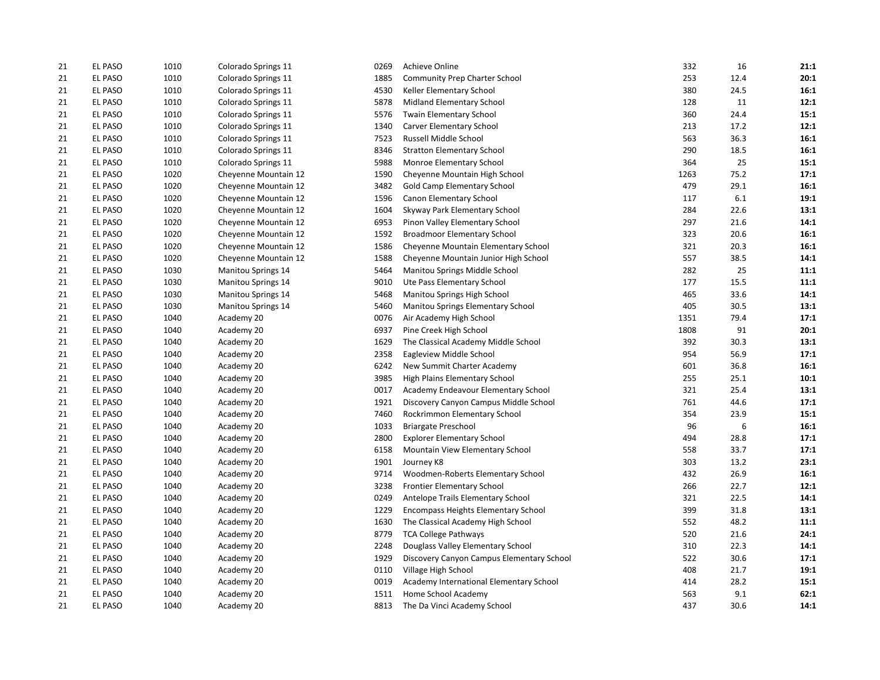| 21 | EL PASO        | 1010 | Colorado Springs 11       | 0269 | Achieve Online                            | 332  | 16   | 21:1 |
|----|----------------|------|---------------------------|------|-------------------------------------------|------|------|------|
| 21 | <b>EL PASO</b> | 1010 | Colorado Springs 11       | 1885 | Community Prep Charter School             | 253  | 12.4 | 20:1 |
| 21 | EL PASO        | 1010 | Colorado Springs 11       | 4530 | Keller Elementary School                  | 380  | 24.5 | 16:1 |
| 21 | <b>EL PASO</b> | 1010 | Colorado Springs 11       | 5878 | Midland Elementary School                 | 128  | 11   | 12:1 |
| 21 | EL PASO        | 1010 | Colorado Springs 11       | 5576 | Twain Elementary School                   | 360  | 24.4 | 15:1 |
| 21 | EL PASO        | 1010 | Colorado Springs 11       | 1340 | Carver Elementary School                  | 213  | 17.2 | 12:1 |
| 21 | <b>EL PASO</b> | 1010 | Colorado Springs 11       | 7523 | Russell Middle School                     | 563  | 36.3 | 16:1 |
| 21 | <b>EL PASO</b> | 1010 | Colorado Springs 11       | 8346 | <b>Stratton Elementary School</b>         | 290  | 18.5 | 16:1 |
| 21 | EL PASO        | 1010 | Colorado Springs 11       | 5988 | Monroe Elementary School                  | 364  | 25   | 15:1 |
| 21 | <b>EL PASO</b> | 1020 | Cheyenne Mountain 12      | 1590 | Cheyenne Mountain High School             | 1263 | 75.2 | 17:1 |
| 21 | EL PASO        | 1020 | Cheyenne Mountain 12      | 3482 | Gold Camp Elementary School               | 479  | 29.1 | 16:1 |
| 21 | <b>EL PASO</b> | 1020 | Cheyenne Mountain 12      | 1596 | Canon Elementary School                   | 117  | 6.1  | 19:1 |
| 21 | EL PASO        | 1020 | Cheyenne Mountain 12      | 1604 | Skyway Park Elementary School             | 284  | 22.6 | 13:1 |
| 21 | EL PASO        | 1020 | Cheyenne Mountain 12      | 6953 | Pinon Valley Elementary School            | 297  | 21.6 | 14:1 |
| 21 | <b>EL PASO</b> | 1020 | Cheyenne Mountain 12      | 1592 | <b>Broadmoor Elementary School</b>        | 323  | 20.6 | 16:1 |
| 21 | <b>EL PASO</b> | 1020 | Cheyenne Mountain 12      | 1586 | Cheyenne Mountain Elementary School       | 321  | 20.3 | 16:1 |
| 21 | <b>EL PASO</b> | 1020 | Cheyenne Mountain 12      | 1588 | Cheyenne Mountain Junior High School      | 557  | 38.5 | 14:1 |
| 21 | EL PASO        | 1030 | <b>Manitou Springs 14</b> | 5464 | Manitou Springs Middle School             | 282  | 25   | 11:1 |
| 21 | <b>EL PASO</b> | 1030 | <b>Manitou Springs 14</b> | 9010 | Ute Pass Elementary School                | 177  | 15.5 | 11:1 |
| 21 | <b>EL PASO</b> | 1030 | <b>Manitou Springs 14</b> | 5468 | Manitou Springs High School               | 465  | 33.6 | 14:1 |
| 21 | <b>EL PASO</b> | 1030 | <b>Manitou Springs 14</b> | 5460 | Manitou Springs Elementary School         | 405  | 30.5 | 13:1 |
| 21 | EL PASO        | 1040 | Academy 20                | 0076 | Air Academy High School                   | 1351 | 79.4 | 17:1 |
| 21 | EL PASO        | 1040 | Academy 20                | 6937 | Pine Creek High School                    | 1808 | 91   | 20:1 |
| 21 | <b>EL PASO</b> | 1040 | Academy 20                | 1629 | The Classical Academy Middle School       | 392  | 30.3 | 13:1 |
| 21 | EL PASO        | 1040 | Academy 20                | 2358 | Eagleview Middle School                   | 954  | 56.9 | 17:1 |
| 21 | EL PASO        | 1040 | Academy 20                | 6242 | New Summit Charter Academy                | 601  | 36.8 | 16:1 |
| 21 | <b>EL PASO</b> | 1040 | Academy 20                | 3985 | High Plains Elementary School             | 255  | 25.1 | 10:1 |
| 21 | <b>EL PASO</b> | 1040 | Academy 20                | 0017 | Academy Endeavour Elementary School       | 321  | 25.4 | 13:1 |
| 21 | EL PASO        | 1040 | Academy 20                | 1921 | Discovery Canyon Campus Middle School     | 761  | 44.6 | 17:1 |
| 21 | EL PASO        | 1040 | Academy 20                | 7460 | Rockrimmon Elementary School              | 354  | 23.9 | 15:1 |
| 21 | <b>EL PASO</b> | 1040 | Academy 20                | 1033 | <b>Briargate Preschool</b>                | 96   | 6    | 16:1 |
| 21 | EL PASO        | 1040 | Academy 20                | 2800 | <b>Explorer Elementary School</b>         | 494  | 28.8 | 17:1 |
| 21 | EL PASO        | 1040 | Academy 20                | 6158 | Mountain View Elementary School           | 558  | 33.7 | 17:1 |
| 21 | EL PASO        | 1040 | Academy 20                | 1901 | Journey K8                                | 303  | 13.2 | 23:1 |
| 21 | <b>EL PASO</b> | 1040 | Academy 20                | 9714 | Woodmen-Roberts Elementary School         | 432  | 26.9 | 16:1 |
| 21 | EL PASO        | 1040 | Academy 20                | 3238 | <b>Frontier Elementary School</b>         | 266  | 22.7 | 12:1 |
| 21 | <b>EL PASO</b> | 1040 | Academy 20                | 0249 | Antelope Trails Elementary School         | 321  | 22.5 | 14:1 |
| 21 | EL PASO        | 1040 | Academy 20                | 1229 | Encompass Heights Elementary School       | 399  | 31.8 | 13:1 |
| 21 | <b>EL PASO</b> | 1040 | Academy 20                | 1630 | The Classical Academy High School         | 552  | 48.2 | 11:1 |
| 21 | EL PASO        | 1040 | Academy 20                | 8779 | <b>TCA College Pathways</b>               | 520  | 21.6 | 24:1 |
| 21 | <b>EL PASO</b> | 1040 | Academy 20                | 2248 | Douglass Valley Elementary School         | 310  | 22.3 | 14:1 |
| 21 | EL PASO        | 1040 | Academy 20                | 1929 | Discovery Canyon Campus Elementary School | 522  | 30.6 | 17:1 |
| 21 | EL PASO        | 1040 | Academy 20                | 0110 | Village High School                       | 408  | 21.7 | 19:1 |
| 21 | EL PASO        | 1040 | Academy 20                | 0019 | Academy International Elementary School   | 414  | 28.2 | 15:1 |
| 21 | <b>EL PASO</b> | 1040 | Academy 20                | 1511 | Home School Academy                       | 563  | 9.1  | 62:1 |
| 21 | EL PASO        | 1040 | Academy 20                | 8813 | The Da Vinci Academy School               | 437  | 30.6 | 14:1 |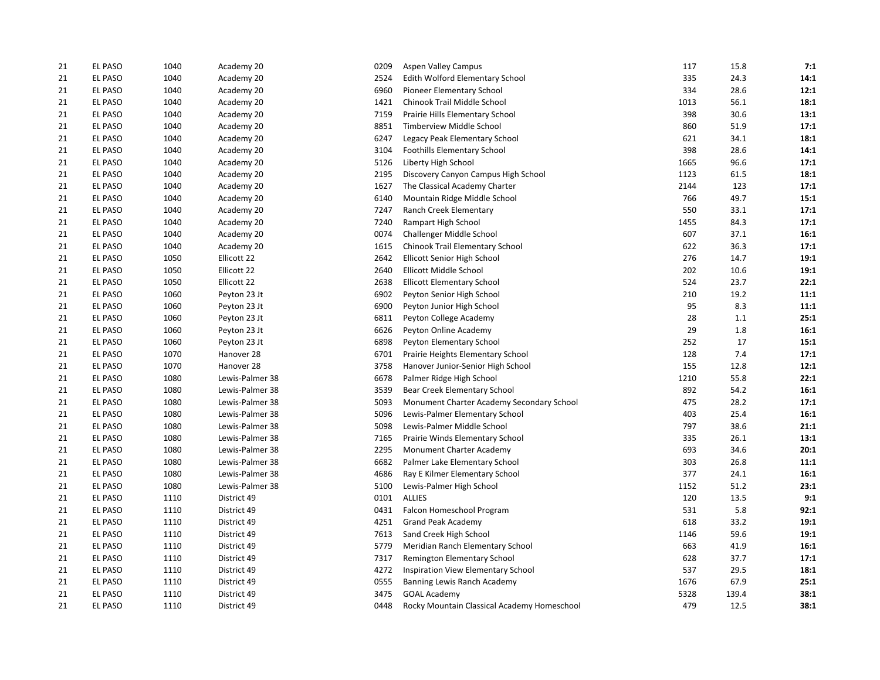| 21 | <b>EL PASO</b> | 1040 | Academy 20      | 0209 | <b>Aspen Valley Campus</b>                  | 117  | 15.8  | 7:1  |
|----|----------------|------|-----------------|------|---------------------------------------------|------|-------|------|
| 21 | EL PASO        | 1040 | Academy 20      | 2524 | Edith Wolford Elementary School             | 335  | 24.3  | 14:1 |
| 21 | EL PASO        | 1040 | Academy 20      | 6960 | Pioneer Elementary School                   | 334  | 28.6  | 12:1 |
| 21 | <b>EL PASO</b> | 1040 | Academy 20      | 1421 | Chinook Trail Middle School                 | 1013 | 56.1  | 18:1 |
| 21 | <b>EL PASO</b> | 1040 | Academy 20      | 7159 | Prairie Hills Elementary School             | 398  | 30.6  | 13:1 |
| 21 | <b>EL PASO</b> | 1040 | Academy 20      | 8851 | Timberview Middle School                    | 860  | 51.9  | 17:1 |
| 21 | <b>EL PASO</b> | 1040 | Academy 20      | 6247 | Legacy Peak Elementary School               | 621  | 34.1  | 18:1 |
| 21 | EL PASO        | 1040 | Academy 20      | 3104 | <b>Foothills Elementary School</b>          | 398  | 28.6  | 14:1 |
| 21 | EL PASO        | 1040 | Academy 20      | 5126 | Liberty High School                         | 1665 | 96.6  | 17:1 |
| 21 | <b>EL PASO</b> | 1040 | Academy 20      | 2195 | Discovery Canyon Campus High School         | 1123 | 61.5  | 18:1 |
| 21 | EL PASO        | 1040 | Academy 20      | 1627 | The Classical Academy Charter               | 2144 | 123   | 17:1 |
| 21 | EL PASO        | 1040 | Academy 20      | 6140 | Mountain Ridge Middle School                | 766  | 49.7  | 15:1 |
| 21 | EL PASO        | 1040 | Academy 20      | 7247 | Ranch Creek Elementary                      | 550  | 33.1  | 17:1 |
| 21 | <b>EL PASO</b> | 1040 | Academy 20      | 7240 | Rampart High School                         | 1455 | 84.3  | 17:1 |
| 21 | <b>EL PASO</b> | 1040 | Academy 20      | 0074 | Challenger Middle School                    | 607  | 37.1  | 16:1 |
| 21 | EL PASO        | 1040 | Academy 20      | 1615 | Chinook Trail Elementary School             | 622  | 36.3  | 17:1 |
| 21 | <b>EL PASO</b> | 1050 | Ellicott 22     | 2642 | <b>Ellicott Senior High School</b>          | 276  | 14.7  | 19:1 |
| 21 | EL PASO        | 1050 | Ellicott 22     | 2640 | Ellicott Middle School                      | 202  | 10.6  | 19:1 |
| 21 | <b>EL PASO</b> | 1050 | Ellicott 22     | 2638 | <b>Ellicott Elementary School</b>           | 524  | 23.7  | 22:1 |
| 21 | EL PASO        | 1060 | Peyton 23 Jt    | 6902 | Peyton Senior High School                   | 210  | 19.2  | 11:1 |
| 21 | EL PASO        | 1060 | Peyton 23 Jt    | 6900 | Peyton Junior High School                   | 95   | 8.3   | 11:1 |
| 21 | <b>EL PASO</b> | 1060 | Peyton 23 Jt    | 6811 | Peyton College Academy                      | 28   | 1.1   | 25:1 |
| 21 | <b>EL PASO</b> | 1060 | Peyton 23 Jt    | 6626 | Peyton Online Academy                       | 29   | 1.8   | 16:1 |
| 21 | EL PASO        | 1060 | Peyton 23 Jt    | 6898 | Peyton Elementary School                    | 252  | 17    | 15:1 |
| 21 | <b>EL PASO</b> | 1070 | Hanover 28      | 6701 | Prairie Heights Elementary School           | 128  | 7.4   | 17:1 |
| 21 | EL PASO        | 1070 | Hanover 28      | 3758 | Hanover Junior-Senior High School           | 155  | 12.8  | 12:1 |
| 21 | <b>EL PASO</b> | 1080 | Lewis-Palmer 38 | 6678 | Palmer Ridge High School                    | 1210 | 55.8  | 22:1 |
| 21 | EL PASO        | 1080 | Lewis-Palmer 38 | 3539 | Bear Creek Elementary School                | 892  | 54.2  | 16:1 |
| 21 | <b>EL PASO</b> | 1080 | Lewis-Palmer 38 | 5093 | Monument Charter Academy Secondary School   | 475  | 28.2  | 17:1 |
| 21 | EL PASO        | 1080 | Lewis-Palmer 38 | 5096 | Lewis-Palmer Elementary School              | 403  | 25.4  | 16:1 |
| 21 | <b>EL PASO</b> | 1080 | Lewis-Palmer 38 | 5098 | Lewis-Palmer Middle School                  | 797  | 38.6  | 21:1 |
| 21 | <b>EL PASO</b> | 1080 | Lewis-Palmer 38 | 7165 | Prairie Winds Elementary School             | 335  | 26.1  | 13:1 |
| 21 | <b>EL PASO</b> | 1080 | Lewis-Palmer 38 | 2295 | Monument Charter Academy                    | 693  | 34.6  | 20:1 |
| 21 | <b>EL PASO</b> | 1080 | Lewis-Palmer 38 | 6682 | Palmer Lake Elementary School               | 303  | 26.8  | 11:1 |
| 21 | EL PASO        | 1080 | Lewis-Palmer 38 | 4686 | Ray E Kilmer Elementary School              | 377  | 24.1  | 16:1 |
| 21 | <b>EL PASO</b> | 1080 | Lewis-Palmer 38 | 5100 | Lewis-Palmer High School                    | 1152 | 51.2  | 23:1 |
| 21 | <b>EL PASO</b> | 1110 | District 49     | 0101 | <b>ALLIES</b>                               | 120  | 13.5  | 9:1  |
| 21 | <b>EL PASO</b> | 1110 | District 49     | 0431 | Falcon Homeschool Program                   | 531  | 5.8   | 92:1 |
| 21 | EL PASO        | 1110 | District 49     | 4251 | <b>Grand Peak Academy</b>                   | 618  | 33.2  | 19:1 |
| 21 | <b>EL PASO</b> | 1110 | District 49     | 7613 | Sand Creek High School                      | 1146 | 59.6  | 19:1 |
| 21 | <b>EL PASO</b> | 1110 | District 49     | 5779 | Meridian Ranch Elementary School            | 663  | 41.9  | 16:1 |
| 21 | <b>EL PASO</b> | 1110 | District 49     | 7317 | Remington Elementary School                 | 628  | 37.7  | 17:1 |
| 21 | EL PASO        | 1110 | District 49     | 4272 | Inspiration View Elementary School          | 537  | 29.5  | 18:1 |
| 21 | <b>EL PASO</b> | 1110 | District 49     | 0555 | Banning Lewis Ranch Academy                 | 1676 | 67.9  | 25:1 |
| 21 | EL PASO        | 1110 | District 49     | 3475 | <b>GOAL Academy</b>                         | 5328 | 139.4 | 38:1 |
| 21 | <b>EL PASO</b> | 1110 | District 49     | 0448 | Rocky Mountain Classical Academy Homeschool | 479  | 12.5  | 38:1 |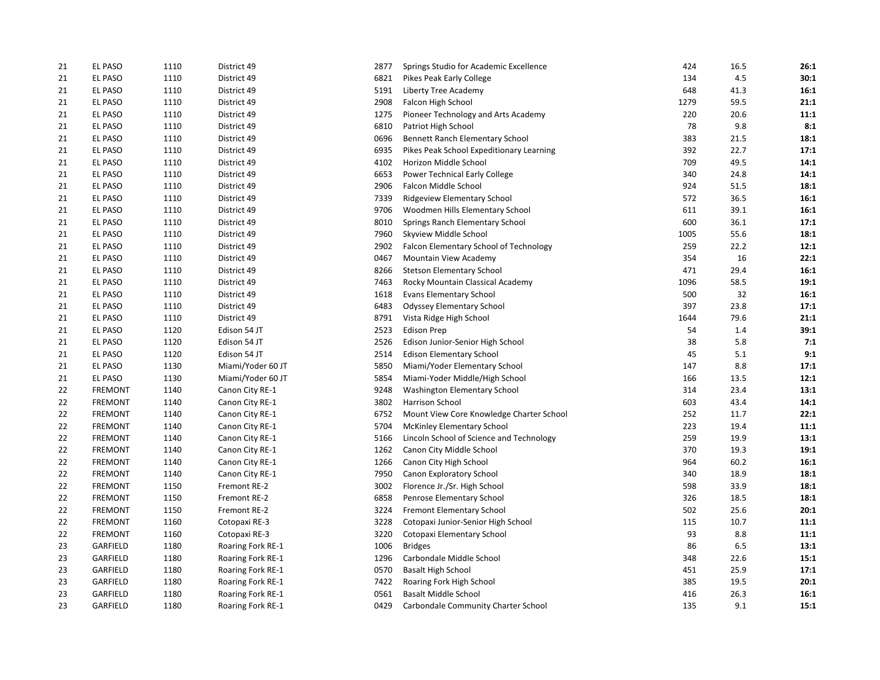| 21 | <b>EL PASO</b>  | 1110 | District 49       | 2877 | Springs Studio for Academic Excellence   | 424  | 16.5 | 26:1 |
|----|-----------------|------|-------------------|------|------------------------------------------|------|------|------|
| 21 | EL PASO         | 1110 | District 49       | 6821 | Pikes Peak Early College                 | 134  | 4.5  | 30:1 |
| 21 | EL PASO         | 1110 | District 49       | 5191 | Liberty Tree Academy                     | 648  | 41.3 | 16:1 |
| 21 | <b>EL PASO</b>  | 1110 | District 49       | 2908 | Falcon High School                       | 1279 | 59.5 | 21:1 |
| 21 | <b>EL PASO</b>  | 1110 | District 49       | 1275 | Pioneer Technology and Arts Academy      | 220  | 20.6 | 11:1 |
| 21 | <b>EL PASO</b>  | 1110 | District 49       | 6810 | Patriot High School                      | 78   | 9.8  | 8:1  |
| 21 | <b>EL PASO</b>  | 1110 | District 49       | 0696 | Bennett Ranch Elementary School          | 383  | 21.5 | 18:1 |
| 21 | EL PASO         | 1110 | District 49       | 6935 | Pikes Peak School Expeditionary Learning | 392  | 22.7 | 17:1 |
| 21 | <b>EL PASO</b>  | 1110 | District 49       | 4102 | Horizon Middle School                    | 709  | 49.5 | 14:1 |
| 21 | EL PASO         | 1110 | District 49       | 6653 | Power Technical Early College            | 340  | 24.8 | 14:1 |
| 21 | <b>EL PASO</b>  | 1110 | District 49       | 2906 | Falcon Middle School                     | 924  | 51.5 | 18:1 |
| 21 | EL PASO         | 1110 | District 49       | 7339 | Ridgeview Elementary School              | 572  | 36.5 | 16:1 |
| 21 | EL PASO         | 1110 | District 49       | 9706 | Woodmen Hills Elementary School          | 611  | 39.1 | 16:1 |
| 21 | EL PASO         | 1110 | District 49       | 8010 | Springs Ranch Elementary School          | 600  | 36.1 | 17:1 |
| 21 | <b>EL PASO</b>  | 1110 | District 49       | 7960 | Skyview Middle School                    | 1005 | 55.6 | 18:1 |
| 21 | EL PASO         | 1110 | District 49       | 2902 | Falcon Elementary School of Technology   | 259  | 22.2 | 12:1 |
| 21 | <b>EL PASO</b>  | 1110 | District 49       | 0467 | Mountain View Academy                    | 354  | 16   | 22:1 |
| 21 | EL PASO         | 1110 | District 49       | 8266 | <b>Stetson Elementary School</b>         | 471  | 29.4 | 16:1 |
| 21 | EL PASO         | 1110 | District 49       | 7463 | Rocky Mountain Classical Academy         | 1096 | 58.5 | 19:1 |
| 21 | <b>EL PASO</b>  | 1110 | District 49       | 1618 | <b>Evans Elementary School</b>           | 500  | 32   | 16:1 |
| 21 | <b>EL PASO</b>  | 1110 | District 49       | 6483 | <b>Odyssey Elementary School</b>         | 397  | 23.8 | 17:1 |
| 21 | <b>EL PASO</b>  | 1110 | District 49       | 8791 | Vista Ridge High School                  | 1644 | 79.6 | 21:1 |
| 21 | <b>EL PASO</b>  | 1120 | Edison 54 JT      | 2523 | <b>Edison Prep</b>                       | 54   | 1.4  | 39:1 |
| 21 | EL PASO         | 1120 | Edison 54 JT      | 2526 | Edison Junior-Senior High School         | 38   | 5.8  | 7:1  |
| 21 | <b>EL PASO</b>  | 1120 | Edison 54 JT      | 2514 | <b>Edison Elementary School</b>          | 45   | 5.1  | 9:1  |
| 21 | <b>EL PASO</b>  | 1130 | Miami/Yoder 60 JT | 5850 | Miami/Yoder Elementary School            | 147  | 8.8  | 17:1 |
| 21 | <b>EL PASO</b>  | 1130 | Miami/Yoder 60 JT | 5854 | Miami-Yoder Middle/High School           | 166  | 13.5 | 12:1 |
| 22 | <b>FREMONT</b>  | 1140 | Canon City RE-1   | 9248 | Washington Elementary School             | 314  | 23.4 | 13:1 |
| 22 | <b>FREMONT</b>  | 1140 | Canon City RE-1   | 3802 | Harrison School                          | 603  | 43.4 | 14:1 |
| 22 | <b>FREMONT</b>  | 1140 | Canon City RE-1   | 6752 | Mount View Core Knowledge Charter School | 252  | 11.7 | 22:1 |
| 22 | <b>FREMONT</b>  | 1140 | Canon City RE-1   | 5704 | McKinley Elementary School               | 223  | 19.4 | 11:1 |
| 22 | <b>FREMONT</b>  | 1140 | Canon City RE-1   | 5166 | Lincoln School of Science and Technology | 259  | 19.9 | 13:1 |
| 22 | <b>FREMONT</b>  | 1140 | Canon City RE-1   | 1262 | Canon City Middle School                 | 370  | 19.3 | 19:1 |
| 22 | <b>FREMONT</b>  | 1140 | Canon City RE-1   | 1266 | Canon City High School                   | 964  | 60.2 | 16:1 |
| 22 | <b>FREMONT</b>  | 1140 | Canon City RE-1   | 7950 | Canon Exploratory School                 | 340  | 18.9 | 18:1 |
| 22 | <b>FREMONT</b>  | 1150 | Fremont RE-2      | 3002 | Florence Jr./Sr. High School             | 598  | 33.9 | 18:1 |
| 22 | <b>FREMONT</b>  | 1150 | Fremont RE-2      | 6858 | Penrose Elementary School                | 326  | 18.5 | 18:1 |
| 22 | <b>FREMONT</b>  | 1150 | Fremont RE-2      | 3224 | <b>Fremont Elementary School</b>         | 502  | 25.6 | 20:1 |
| 22 | <b>FREMONT</b>  | 1160 | Cotopaxi RE-3     | 3228 | Cotopaxi Junior-Senior High School       | 115  | 10.7 | 11:1 |
| 22 | <b>FREMONT</b>  | 1160 | Cotopaxi RE-3     | 3220 | Cotopaxi Elementary School               | 93   | 8.8  | 11:1 |
| 23 | GARFIELD        | 1180 | Roaring Fork RE-1 | 1006 | <b>Bridges</b>                           | 86   | 6.5  | 13:1 |
| 23 | GARFIELD        | 1180 | Roaring Fork RE-1 | 1296 | Carbondale Middle School                 | 348  | 22.6 | 15:1 |
| 23 | GARFIELD        | 1180 | Roaring Fork RE-1 | 0570 | <b>Basalt High School</b>                | 451  | 25.9 | 17:1 |
| 23 | <b>GARFIELD</b> | 1180 | Roaring Fork RE-1 | 7422 | Roaring Fork High School                 | 385  | 19.5 | 20:1 |
| 23 | GARFIELD        | 1180 | Roaring Fork RE-1 | 0561 | <b>Basalt Middle School</b>              | 416  | 26.3 | 16:1 |
| 23 | <b>GARFIELD</b> | 1180 | Roaring Fork RE-1 | 0429 | Carbondale Community Charter School      | 135  | 9.1  | 15:1 |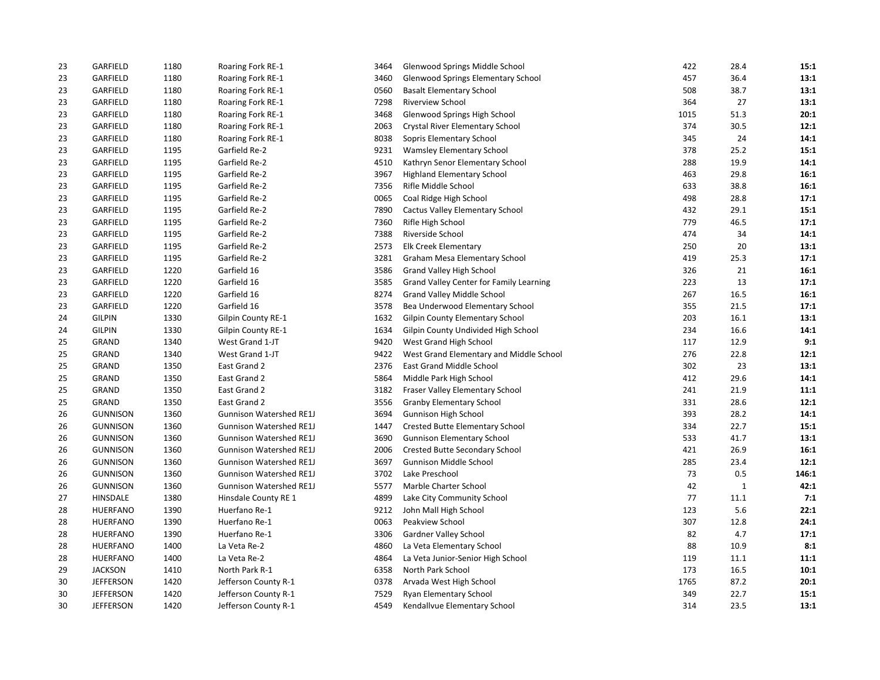| 23 | GARFIELD         | 1180 | Roaring Fork RE-1              | 3464 | Glenwood Springs Middle School          | 422  | 28.4         | 15:1  |
|----|------------------|------|--------------------------------|------|-----------------------------------------|------|--------------|-------|
| 23 | GARFIELD         | 1180 | Roaring Fork RE-1              | 3460 | Glenwood Springs Elementary School      | 457  | 36.4         | 13:1  |
| 23 | GARFIELD         | 1180 | Roaring Fork RE-1              | 0560 | <b>Basalt Elementary School</b>         | 508  | 38.7         | 13:1  |
| 23 | GARFIELD         | 1180 | Roaring Fork RE-1              | 7298 | Riverview School                        | 364  | 27           | 13:1  |
| 23 | GARFIELD         | 1180 | Roaring Fork RE-1              | 3468 | Glenwood Springs High School            | 1015 | 51.3         | 20:1  |
| 23 | GARFIELD         | 1180 | Roaring Fork RE-1              | 2063 | Crystal River Elementary School         | 374  | 30.5         | 12:1  |
| 23 | GARFIELD         | 1180 | Roaring Fork RE-1              | 8038 | Sopris Elementary School                | 345  | 24           | 14:1  |
| 23 | GARFIELD         | 1195 | Garfield Re-2                  | 9231 | Wamsley Elementary School               | 378  | 25.2         | 15:1  |
| 23 | GARFIELD         | 1195 | Garfield Re-2                  | 4510 | Kathryn Senor Elementary School         | 288  | 19.9         | 14:1  |
| 23 | GARFIELD         | 1195 | Garfield Re-2                  | 3967 | <b>Highland Elementary School</b>       | 463  | 29.8         | 16:1  |
| 23 | GARFIELD         | 1195 | Garfield Re-2                  | 7356 | Rifle Middle School                     | 633  | 38.8         | 16:1  |
| 23 | <b>GARFIELD</b>  | 1195 | Garfield Re-2                  | 0065 | Coal Ridge High School                  | 498  | 28.8         | 17:1  |
| 23 | GARFIELD         | 1195 | Garfield Re-2                  | 7890 | <b>Cactus Valley Elementary School</b>  | 432  | 29.1         | 15:1  |
| 23 | GARFIELD         | 1195 | Garfield Re-2                  | 7360 | Rifle High School                       | 779  | 46.5         | 17:1  |
| 23 | GARFIELD         | 1195 | Garfield Re-2                  | 7388 | Riverside School                        | 474  | 34           | 14:1  |
| 23 | GARFIELD         | 1195 | Garfield Re-2                  | 2573 | Elk Creek Elementary                    | 250  | 20           | 13:1  |
| 23 | GARFIELD         | 1195 | Garfield Re-2                  | 3281 | Graham Mesa Elementary School           | 419  | 25.3         | 17:1  |
| 23 | GARFIELD         | 1220 | Garfield 16                    | 3586 | Grand Valley High School                | 326  | 21           | 16:1  |
| 23 | GARFIELD         | 1220 | Garfield 16                    | 3585 | Grand Valley Center for Family Learning | 223  | 13           | 17:1  |
| 23 | GARFIELD         | 1220 | Garfield 16                    | 8274 | <b>Grand Valley Middle School</b>       | 267  | 16.5         | 16:1  |
| 23 | GARFIELD         | 1220 | Garfield 16                    | 3578 | Bea Underwood Elementary School         | 355  | 21.5         | 17:1  |
| 24 | <b>GILPIN</b>    | 1330 | Gilpin County RE-1             | 1632 | <b>Gilpin County Elementary School</b>  | 203  | 16.1         | 13:1  |
| 24 | <b>GILPIN</b>    | 1330 | Gilpin County RE-1             | 1634 | Gilpin County Undivided High School     | 234  | 16.6         | 14:1  |
| 25 | GRAND            | 1340 | West Grand 1-JT                | 9420 | West Grand High School                  | 117  | 12.9         | 9:1   |
| 25 | GRAND            | 1340 | West Grand 1-JT                | 9422 | West Grand Elementary and Middle School | 276  | 22.8         | 12:1  |
| 25 | GRAND            | 1350 | East Grand 2                   | 2376 | East Grand Middle School                | 302  | 23           | 13:1  |
| 25 | GRAND            | 1350 | East Grand 2                   | 5864 | Middle Park High School                 | 412  | 29.6         | 14:1  |
| 25 | GRAND            | 1350 | East Grand 2                   | 3182 | Fraser Valley Elementary School         | 241  | 21.9         | 11:1  |
| 25 | GRAND            | 1350 | East Grand 2                   | 3556 | <b>Granby Elementary School</b>         | 331  | 28.6         | 12:1  |
| 26 | <b>GUNNISON</b>  | 1360 | <b>Gunnison Watershed RE1J</b> | 3694 | Gunnison High School                    | 393  | 28.2         | 14:1  |
| 26 | <b>GUNNISON</b>  | 1360 | <b>Gunnison Watershed RE1J</b> | 1447 | <b>Crested Butte Elementary School</b>  | 334  | 22.7         | 15:1  |
| 26 | <b>GUNNISON</b>  | 1360 | <b>Gunnison Watershed RE1J</b> | 3690 | <b>Gunnison Elementary School</b>       | 533  | 41.7         | 13:1  |
| 26 | <b>GUNNISON</b>  | 1360 | <b>Gunnison Watershed RE1J</b> | 2006 | Crested Butte Secondary School          | 421  | 26.9         | 16:1  |
| 26 | <b>GUNNISON</b>  | 1360 | <b>Gunnison Watershed RE1J</b> | 3697 | Gunnison Middle School                  | 285  | 23.4         | 12:1  |
| 26 | <b>GUNNISON</b>  | 1360 | <b>Gunnison Watershed RE1J</b> | 3702 | Lake Preschool                          | 73   | 0.5          | 146:1 |
| 26 | <b>GUNNISON</b>  | 1360 | <b>Gunnison Watershed RE1J</b> | 5577 | Marble Charter School                   | 42   | $\mathbf{1}$ | 42:1  |
| 27 | HINSDALE         | 1380 | Hinsdale County RE 1           | 4899 | Lake City Community School              | 77   | 11.1         | 7:1   |
| 28 | <b>HUERFANO</b>  | 1390 | Huerfano Re-1                  | 9212 | John Mall High School                   | 123  | 5.6          | 22:1  |
| 28 | <b>HUERFANO</b>  | 1390 | Huerfano Re-1                  | 0063 | Peakview School                         | 307  | 12.8         | 24:1  |
| 28 | HUERFANO         | 1390 | Huerfano Re-1                  | 3306 | Gardner Valley School                   | 82   | 4.7          | 17:1  |
| 28 | <b>HUERFANO</b>  | 1400 | La Veta Re-2                   | 4860 | La Veta Elementary School               | 88   | 10.9         | 8:1   |
| 28 | <b>HUERFANO</b>  | 1400 | La Veta Re-2                   | 4864 | La Veta Junior-Senior High School       | 119  | 11.1         | 11:1  |
| 29 | <b>JACKSON</b>   | 1410 | North Park R-1                 | 6358 | North Park School                       | 173  | 16.5         | 10:1  |
| 30 | <b>JEFFERSON</b> | 1420 | Jefferson County R-1           | 0378 | Arvada West High School                 | 1765 | 87.2         | 20:1  |
| 30 | <b>JEFFERSON</b> | 1420 | Jefferson County R-1           | 7529 | <b>Ryan Elementary School</b>           | 349  | 22.7         | 15:1  |
| 30 | <b>JEFFERSON</b> | 1420 | Jefferson County R-1           | 4549 | Kendallvue Elementary School            | 314  | 23.5         | 13:1  |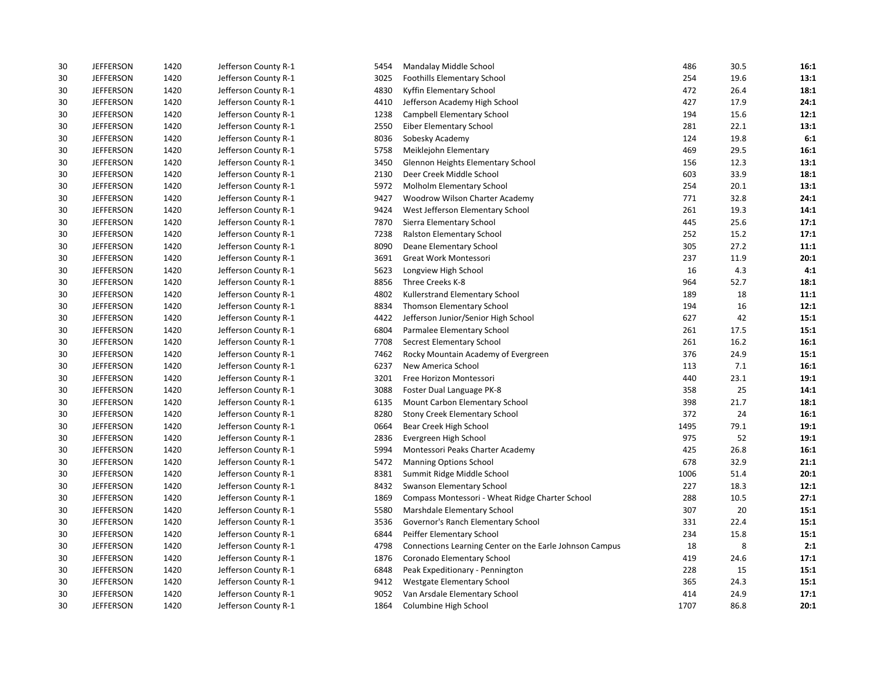| 30 | <b>JEFFERSON</b> | 1420 | Jefferson County R-1 | 5454 | Mandalay Middle School                                  | 486  | 30.5 | 16:1 |
|----|------------------|------|----------------------|------|---------------------------------------------------------|------|------|------|
| 30 | <b>JEFFERSON</b> | 1420 | Jefferson County R-1 | 3025 | <b>Foothills Elementary School</b>                      | 254  | 19.6 | 13:1 |
| 30 | <b>JEFFERSON</b> | 1420 | Jefferson County R-1 | 4830 | Kyffin Elementary School                                | 472  | 26.4 | 18:1 |
| 30 | <b>JEFFERSON</b> | 1420 | Jefferson County R-1 | 4410 | Jefferson Academy High School                           | 427  | 17.9 | 24:1 |
| 30 | <b>JEFFERSON</b> | 1420 | Jefferson County R-1 | 1238 | Campbell Elementary School                              | 194  | 15.6 | 12:1 |
| 30 | <b>JEFFERSON</b> | 1420 | Jefferson County R-1 | 2550 | Eiber Elementary School                                 | 281  | 22.1 | 13:1 |
| 30 | <b>JEFFERSON</b> | 1420 | Jefferson County R-1 | 8036 | Sobesky Academy                                         | 124  | 19.8 | 6:1  |
| 30 | <b>JEFFERSON</b> | 1420 | Jefferson County R-1 | 5758 | Meiklejohn Elementary                                   | 469  | 29.5 | 16:1 |
| 30 | <b>JEFFERSON</b> | 1420 | Jefferson County R-1 | 3450 | <b>Glennon Heights Elementary School</b>                | 156  | 12.3 | 13:1 |
| 30 | <b>JEFFERSON</b> | 1420 | Jefferson County R-1 | 2130 | Deer Creek Middle School                                | 603  | 33.9 | 18:1 |
| 30 | <b>JEFFERSON</b> | 1420 | Jefferson County R-1 | 5972 | Molholm Elementary School                               | 254  | 20.1 | 13:1 |
| 30 | <b>JEFFERSON</b> | 1420 | Jefferson County R-1 | 9427 | Woodrow Wilson Charter Academy                          | 771  | 32.8 | 24:1 |
| 30 | <b>JEFFERSON</b> | 1420 | Jefferson County R-1 | 9424 | West Jefferson Elementary School                        | 261  | 19.3 | 14:1 |
| 30 | <b>JEFFERSON</b> | 1420 | Jefferson County R-1 | 7870 | Sierra Elementary School                                | 445  | 25.6 | 17:1 |
| 30 | <b>JEFFERSON</b> | 1420 | Jefferson County R-1 | 7238 | Ralston Elementary School                               | 252  | 15.2 | 17:1 |
| 30 | <b>JEFFERSON</b> | 1420 | Jefferson County R-1 | 8090 | Deane Elementary School                                 | 305  | 27.2 | 11:1 |
| 30 | <b>JEFFERSON</b> | 1420 | Jefferson County R-1 | 3691 | Great Work Montessori                                   | 237  | 11.9 | 20:1 |
| 30 | <b>JEFFERSON</b> | 1420 | Jefferson County R-1 | 5623 | Longview High School                                    | 16   | 4.3  | 4:1  |
| 30 | <b>JEFFERSON</b> | 1420 | Jefferson County R-1 | 8856 | Three Creeks K-8                                        | 964  | 52.7 | 18:1 |
| 30 | <b>JEFFERSON</b> | 1420 | Jefferson County R-1 | 4802 | Kullerstrand Elementary School                          | 189  | 18   | 11:1 |
| 30 | <b>JEFFERSON</b> | 1420 | Jefferson County R-1 | 8834 | Thomson Elementary School                               | 194  | 16   | 12:1 |
| 30 | <b>JEFFERSON</b> | 1420 | Jefferson County R-1 | 4422 | Jefferson Junior/Senior High School                     | 627  | 42   | 15:1 |
| 30 | <b>JEFFERSON</b> | 1420 | Jefferson County R-1 | 6804 | Parmalee Elementary School                              | 261  | 17.5 | 15:1 |
| 30 | <b>JEFFERSON</b> | 1420 | Jefferson County R-1 | 7708 | Secrest Elementary School                               | 261  | 16.2 | 16:1 |
| 30 | <b>JEFFERSON</b> | 1420 | Jefferson County R-1 | 7462 | Rocky Mountain Academy of Evergreen                     | 376  | 24.9 | 15:1 |
| 30 | <b>JEFFERSON</b> | 1420 | Jefferson County R-1 | 6237 | New America School                                      | 113  | 7.1  | 16:1 |
| 30 | <b>JEFFERSON</b> | 1420 | Jefferson County R-1 | 3201 | Free Horizon Montessori                                 | 440  | 23.1 | 19:1 |
| 30 | <b>JEFFERSON</b> | 1420 | Jefferson County R-1 | 3088 | Foster Dual Language PK-8                               | 358  | 25   | 14:1 |
| 30 | <b>JEFFERSON</b> | 1420 | Jefferson County R-1 | 6135 | Mount Carbon Elementary School                          | 398  | 21.7 | 18:1 |
| 30 | <b>JEFFERSON</b> | 1420 | Jefferson County R-1 | 8280 | Stony Creek Elementary School                           | 372  | 24   | 16:1 |
| 30 | <b>JEFFERSON</b> | 1420 | Jefferson County R-1 | 0664 | Bear Creek High School                                  | 1495 | 79.1 | 19:1 |
| 30 | <b>JEFFERSON</b> | 1420 | Jefferson County R-1 | 2836 | Evergreen High School                                   | 975  | 52   | 19:1 |
| 30 | <b>JEFFERSON</b> | 1420 | Jefferson County R-1 | 5994 | Montessori Peaks Charter Academy                        | 425  | 26.8 | 16:1 |
| 30 | <b>JEFFERSON</b> | 1420 | Jefferson County R-1 | 5472 | <b>Manning Options School</b>                           | 678  | 32.9 | 21:1 |
| 30 | <b>JEFFERSON</b> | 1420 | Jefferson County R-1 | 8381 | Summit Ridge Middle School                              | 1006 | 51.4 | 20:1 |
| 30 | <b>JEFFERSON</b> | 1420 | Jefferson County R-1 | 8432 | Swanson Elementary School                               | 227  | 18.3 | 12:1 |
| 30 | <b>JEFFERSON</b> | 1420 | Jefferson County R-1 | 1869 | Compass Montessori - Wheat Ridge Charter School         | 288  | 10.5 | 27:1 |
| 30 | <b>JEFFERSON</b> | 1420 | Jefferson County R-1 | 5580 | Marshdale Elementary School                             | 307  | 20   | 15:1 |
| 30 | <b>JEFFERSON</b> | 1420 | Jefferson County R-1 | 3536 | Governor's Ranch Elementary School                      | 331  | 22.4 | 15:1 |
| 30 | <b>JEFFERSON</b> | 1420 | Jefferson County R-1 | 6844 | Peiffer Elementary School                               | 234  | 15.8 | 15:1 |
| 30 | <b>JEFFERSON</b> | 1420 | Jefferson County R-1 | 4798 | Connections Learning Center on the Earle Johnson Campus | 18   | 8    | 2:1  |
| 30 | <b>JEFFERSON</b> | 1420 | Jefferson County R-1 | 1876 | Coronado Elementary School                              | 419  | 24.6 | 17:1 |
| 30 | <b>JEFFERSON</b> | 1420 | Jefferson County R-1 | 6848 | Peak Expeditionary - Pennington                         | 228  | 15   | 15:1 |
| 30 | <b>JEFFERSON</b> | 1420 | Jefferson County R-1 | 9412 | Westgate Elementary School                              | 365  | 24.3 | 15:1 |
| 30 | <b>JEFFERSON</b> | 1420 | Jefferson County R-1 | 9052 | Van Arsdale Elementary School                           | 414  | 24.9 | 17:1 |
| 30 | <b>JEFFERSON</b> | 1420 | Jefferson County R-1 | 1864 | Columbine High School                                   | 1707 | 86.8 | 20:1 |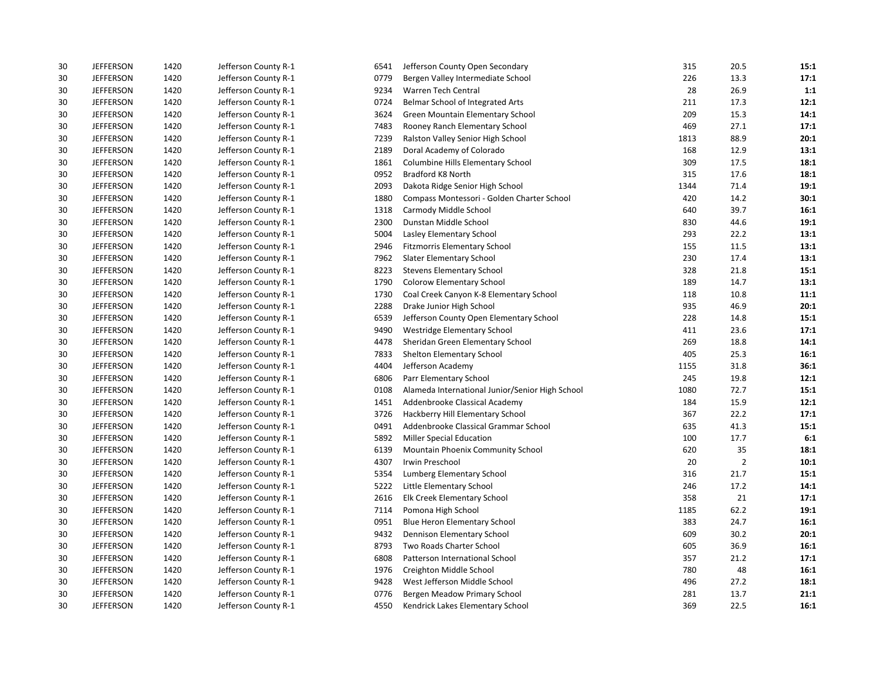| 30 | <b>JEFFERSON</b> | 1420 | Jefferson County R-1 | 6541 | Jefferson County Open Secondary                 | 315  | 20.5           | 15:1 |
|----|------------------|------|----------------------|------|-------------------------------------------------|------|----------------|------|
| 30 | <b>JEFFERSON</b> | 1420 | Jefferson County R-1 | 0779 | Bergen Valley Intermediate School               | 226  | 13.3           | 17:1 |
| 30 | <b>JEFFERSON</b> | 1420 | Jefferson County R-1 | 9234 | Warren Tech Central                             | 28   | 26.9           | 1:1  |
| 30 | <b>JEFFERSON</b> | 1420 | Jefferson County R-1 | 0724 | Belmar School of Integrated Arts                | 211  | 17.3           | 12:1 |
| 30 | <b>JEFFERSON</b> | 1420 | Jefferson County R-1 | 3624 | Green Mountain Elementary School                | 209  | 15.3           | 14:1 |
| 30 | <b>JEFFERSON</b> | 1420 | Jefferson County R-1 | 7483 | Rooney Ranch Elementary School                  | 469  | 27.1           | 17:1 |
| 30 | <b>JEFFERSON</b> | 1420 | Jefferson County R-1 | 7239 | Ralston Valley Senior High School               | 1813 | 88.9           | 20:1 |
| 30 | <b>JEFFERSON</b> | 1420 | Jefferson County R-1 | 2189 | Doral Academy of Colorado                       | 168  | 12.9           | 13:1 |
| 30 | <b>JEFFERSON</b> | 1420 | Jefferson County R-1 | 1861 | Columbine Hills Elementary School               | 309  | 17.5           | 18:1 |
| 30 | <b>JEFFERSON</b> | 1420 | Jefferson County R-1 | 0952 | Bradford K8 North                               | 315  | 17.6           | 18:1 |
| 30 | <b>JEFFERSON</b> | 1420 | Jefferson County R-1 | 2093 | Dakota Ridge Senior High School                 | 1344 | 71.4           | 19:1 |
| 30 | <b>JEFFERSON</b> | 1420 | Jefferson County R-1 | 1880 | Compass Montessori - Golden Charter School      | 420  | 14.2           | 30:1 |
| 30 | <b>JEFFERSON</b> | 1420 | Jefferson County R-1 | 1318 | Carmody Middle School                           | 640  | 39.7           | 16:1 |
| 30 | <b>JEFFERSON</b> | 1420 | Jefferson County R-1 | 2300 | Dunstan Middle School                           | 830  | 44.6           | 19:1 |
| 30 | <b>JEFFERSON</b> | 1420 | Jefferson County R-1 | 5004 | Lasley Elementary School                        | 293  | 22.2           | 13:1 |
| 30 | <b>JEFFERSON</b> | 1420 | Jefferson County R-1 | 2946 | <b>Fitzmorris Elementary School</b>             | 155  | 11.5           | 13:1 |
| 30 | <b>JEFFERSON</b> | 1420 | Jefferson County R-1 | 7962 | <b>Slater Elementary School</b>                 | 230  | 17.4           | 13:1 |
| 30 | <b>JEFFERSON</b> | 1420 | Jefferson County R-1 | 8223 | <b>Stevens Elementary School</b>                | 328  | 21.8           | 15:1 |
| 30 | <b>JEFFERSON</b> | 1420 | Jefferson County R-1 | 1790 | <b>Colorow Elementary School</b>                | 189  | 14.7           | 13:1 |
| 30 | <b>JEFFERSON</b> | 1420 | Jefferson County R-1 | 1730 | Coal Creek Canyon K-8 Elementary School         | 118  | 10.8           | 11:1 |
| 30 | <b>JEFFERSON</b> | 1420 | Jefferson County R-1 | 2288 | Drake Junior High School                        | 935  | 46.9           | 20:1 |
| 30 | <b>JEFFERSON</b> | 1420 | Jefferson County R-1 | 6539 | Jefferson County Open Elementary School         | 228  | 14.8           | 15:1 |
| 30 | <b>JEFFERSON</b> | 1420 | Jefferson County R-1 | 9490 | Westridge Elementary School                     | 411  | 23.6           | 17:1 |
| 30 | <b>JEFFERSON</b> | 1420 | Jefferson County R-1 | 4478 | Sheridan Green Elementary School                | 269  | 18.8           | 14:1 |
| 30 | <b>JEFFERSON</b> | 1420 | Jefferson County R-1 | 7833 | Shelton Elementary School                       | 405  | 25.3           | 16:1 |
| 30 | <b>JEFFERSON</b> | 1420 | Jefferson County R-1 | 4404 | Jefferson Academy                               | 1155 | 31.8           | 36:1 |
| 30 | <b>JEFFERSON</b> | 1420 | Jefferson County R-1 | 6806 | Parr Elementary School                          | 245  | 19.8           | 12:1 |
| 30 | <b>JEFFERSON</b> | 1420 | Jefferson County R-1 | 0108 | Alameda International Junior/Senior High School | 1080 | 72.7           | 15:1 |
| 30 | <b>JEFFERSON</b> | 1420 | Jefferson County R-1 | 1451 | Addenbrooke Classical Academy                   | 184  | 15.9           | 12:1 |
| 30 | <b>JEFFERSON</b> | 1420 | Jefferson County R-1 | 3726 | Hackberry Hill Elementary School                | 367  | 22.2           | 17:1 |
| 30 | <b>JEFFERSON</b> | 1420 | Jefferson County R-1 | 0491 | Addenbrooke Classical Grammar School            | 635  | 41.3           | 15:1 |
| 30 | <b>JEFFERSON</b> | 1420 | Jefferson County R-1 | 5892 | <b>Miller Special Education</b>                 | 100  | 17.7           | 6:1  |
| 30 | <b>JEFFERSON</b> | 1420 | Jefferson County R-1 | 6139 | Mountain Phoenix Community School               | 620  | 35             | 18:1 |
| 30 | <b>JEFFERSON</b> | 1420 | Jefferson County R-1 | 4307 | Irwin Preschool                                 | 20   | $\overline{2}$ | 10:1 |
| 30 | <b>JEFFERSON</b> | 1420 | Jefferson County R-1 | 5354 | Lumberg Elementary School                       | 316  | 21.7           | 15:1 |
| 30 | <b>JEFFERSON</b> | 1420 | Jefferson County R-1 | 5222 | Little Elementary School                        | 246  | 17.2           | 14:1 |
| 30 | <b>JEFFERSON</b> | 1420 | Jefferson County R-1 | 2616 | Elk Creek Elementary School                     | 358  | 21             | 17:1 |
| 30 | <b>JEFFERSON</b> | 1420 | Jefferson County R-1 | 7114 | Pomona High School                              | 1185 | 62.2           | 19:1 |
| 30 | <b>JEFFERSON</b> | 1420 | Jefferson County R-1 | 0951 | <b>Blue Heron Elementary School</b>             | 383  | 24.7           | 16:1 |
| 30 | <b>JEFFERSON</b> | 1420 | Jefferson County R-1 | 9432 | Dennison Elementary School                      | 609  | 30.2           | 20:1 |
| 30 | <b>JEFFERSON</b> | 1420 | Jefferson County R-1 | 8793 | Two Roads Charter School                        | 605  | 36.9           | 16:1 |
| 30 | <b>JEFFERSON</b> | 1420 | Jefferson County R-1 | 6808 | Patterson International School                  | 357  | 21.2           | 17:1 |
| 30 | <b>JEFFERSON</b> | 1420 | Jefferson County R-1 | 1976 | Creighton Middle School                         | 780  | 48             | 16:1 |
| 30 | <b>JEFFERSON</b> | 1420 | Jefferson County R-1 | 9428 | West Jefferson Middle School                    | 496  | 27.2           | 18:1 |
| 30 | <b>JEFFERSON</b> | 1420 | Jefferson County R-1 | 0776 | Bergen Meadow Primary School                    | 281  | 13.7           | 21:1 |
| 30 | <b>JEFFERSON</b> | 1420 | Jefferson County R-1 | 4550 | Kendrick Lakes Elementary School                | 369  | 22.5           | 16:1 |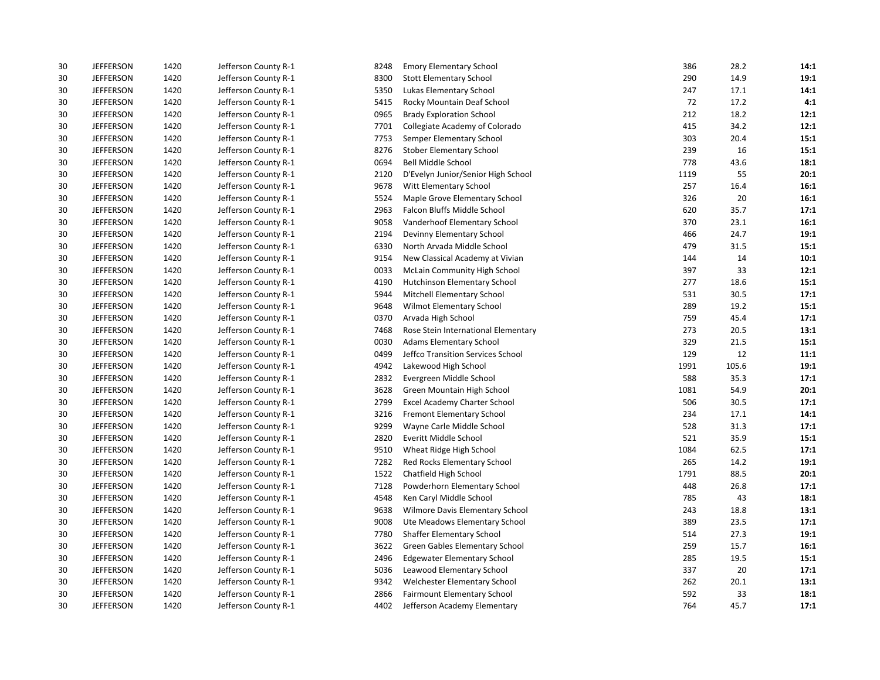| 30 | <b>JEFFERSON</b> | 1420 | Jefferson County R-1 | 8248 | <b>Emory Elementary School</b>      | 386  | 28.2  | 14:1 |
|----|------------------|------|----------------------|------|-------------------------------------|------|-------|------|
| 30 | <b>JEFFERSON</b> | 1420 | Jefferson County R-1 | 8300 | <b>Stott Elementary School</b>      | 290  | 14.9  | 19:1 |
| 30 | <b>JEFFERSON</b> | 1420 | Jefferson County R-1 | 5350 | Lukas Elementary School             | 247  | 17.1  | 14:1 |
| 30 | <b>JEFFERSON</b> | 1420 | Jefferson County R-1 | 5415 | Rocky Mountain Deaf School          | 72   | 17.2  | 4:1  |
| 30 | <b>JEFFERSON</b> | 1420 | Jefferson County R-1 | 0965 | <b>Brady Exploration School</b>     | 212  | 18.2  | 12:1 |
| 30 | <b>JEFFERSON</b> | 1420 | Jefferson County R-1 | 7701 | Collegiate Academy of Colorado      | 415  | 34.2  | 12:1 |
| 30 | <b>JEFFERSON</b> | 1420 | Jefferson County R-1 | 7753 | Semper Elementary School            | 303  | 20.4  | 15:1 |
| 30 | <b>JEFFERSON</b> | 1420 | Jefferson County R-1 | 8276 | Stober Elementary School            | 239  | 16    | 15:1 |
| 30 | <b>JEFFERSON</b> | 1420 | Jefferson County R-1 | 0694 | Bell Middle School                  | 778  | 43.6  | 18:1 |
| 30 | <b>JEFFERSON</b> | 1420 | Jefferson County R-1 | 2120 | D'Evelyn Junior/Senior High School  | 1119 | 55    | 20:1 |
| 30 | <b>JEFFERSON</b> | 1420 | Jefferson County R-1 | 9678 | Witt Elementary School              | 257  | 16.4  | 16:1 |
| 30 | <b>JEFFERSON</b> | 1420 | Jefferson County R-1 | 5524 | Maple Grove Elementary School       | 326  | 20    | 16:1 |
| 30 | <b>JEFFERSON</b> | 1420 | Jefferson County R-1 | 2963 | Falcon Bluffs Middle School         | 620  | 35.7  | 17:1 |
| 30 | <b>JEFFERSON</b> | 1420 | Jefferson County R-1 | 9058 | Vanderhoof Elementary School        | 370  | 23.1  | 16:1 |
| 30 | <b>JEFFERSON</b> | 1420 | Jefferson County R-1 | 2194 | Devinny Elementary School           | 466  | 24.7  | 19:1 |
| 30 | <b>JEFFERSON</b> | 1420 | Jefferson County R-1 | 6330 | North Arvada Middle School          | 479  | 31.5  | 15:1 |
| 30 | <b>JEFFERSON</b> | 1420 | Jefferson County R-1 | 9154 | New Classical Academy at Vivian     | 144  | 14    | 10:1 |
| 30 | <b>JEFFERSON</b> | 1420 | Jefferson County R-1 | 0033 | <b>McLain Community High School</b> | 397  | 33    | 12:1 |
| 30 | <b>JEFFERSON</b> | 1420 | Jefferson County R-1 | 4190 | Hutchinson Elementary School        | 277  | 18.6  | 15:1 |
| 30 | <b>JEFFERSON</b> | 1420 | Jefferson County R-1 | 5944 | Mitchell Elementary School          | 531  | 30.5  | 17:1 |
| 30 | <b>JEFFERSON</b> | 1420 | Jefferson County R-1 | 9648 | Wilmot Elementary School            | 289  | 19.2  | 15:1 |
| 30 | <b>JEFFERSON</b> | 1420 | Jefferson County R-1 | 0370 | Arvada High School                  | 759  | 45.4  | 17:1 |
| 30 | <b>JEFFERSON</b> | 1420 | Jefferson County R-1 | 7468 | Rose Stein International Elementary | 273  | 20.5  | 13:1 |
| 30 | <b>JEFFERSON</b> | 1420 | Jefferson County R-1 | 0030 | <b>Adams Elementary School</b>      | 329  | 21.5  | 15:1 |
| 30 | <b>JEFFERSON</b> | 1420 | Jefferson County R-1 | 0499 | Jeffco Transition Services School   | 129  | 12    | 11:1 |
| 30 | <b>JEFFERSON</b> | 1420 | Jefferson County R-1 | 4942 | Lakewood High School                | 1991 | 105.6 | 19:1 |
| 30 | <b>JEFFERSON</b> | 1420 | Jefferson County R-1 | 2832 | Evergreen Middle School             | 588  | 35.3  | 17:1 |
| 30 | <b>JEFFERSON</b> | 1420 | Jefferson County R-1 | 3628 | Green Mountain High School          | 1081 | 54.9  | 20:1 |
| 30 | <b>JEFFERSON</b> | 1420 | Jefferson County R-1 | 2799 | <b>Excel Academy Charter School</b> | 506  | 30.5  | 17:1 |
| 30 | <b>JEFFERSON</b> | 1420 | Jefferson County R-1 | 3216 | Fremont Elementary School           | 234  | 17.1  | 14:1 |
| 30 | <b>JEFFERSON</b> | 1420 | Jefferson County R-1 | 9299 | Wayne Carle Middle School           | 528  | 31.3  | 17:1 |
| 30 | <b>JEFFERSON</b> | 1420 | Jefferson County R-1 | 2820 | Everitt Middle School               | 521  | 35.9  | 15:1 |
| 30 | <b>JEFFERSON</b> | 1420 | Jefferson County R-1 | 9510 | Wheat Ridge High School             | 1084 | 62.5  | 17:1 |
| 30 | <b>JEFFERSON</b> | 1420 | Jefferson County R-1 | 7282 | Red Rocks Elementary School         | 265  | 14.2  | 19:1 |
| 30 | <b>JEFFERSON</b> | 1420 | Jefferson County R-1 | 1522 | Chatfield High School               | 1791 | 88.5  | 20:1 |
| 30 | <b>JEFFERSON</b> | 1420 | Jefferson County R-1 | 7128 | Powderhorn Elementary School        | 448  | 26.8  | 17:1 |
| 30 | <b>JEFFERSON</b> | 1420 | Jefferson County R-1 | 4548 | Ken Caryl Middle School             | 785  | 43    | 18:1 |
| 30 | <b>JEFFERSON</b> | 1420 | Jefferson County R-1 | 9638 | Wilmore Davis Elementary School     | 243  | 18.8  | 13:1 |
| 30 | <b>JEFFERSON</b> | 1420 | Jefferson County R-1 | 9008 | Ute Meadows Elementary School       | 389  | 23.5  | 17:1 |
| 30 | <b>JEFFERSON</b> | 1420 | Jefferson County R-1 | 7780 | Shaffer Elementary School           | 514  | 27.3  | 19:1 |
| 30 | <b>JEFFERSON</b> | 1420 | Jefferson County R-1 | 3622 | Green Gables Elementary School      | 259  | 15.7  | 16:1 |
| 30 | <b>JEFFERSON</b> | 1420 | Jefferson County R-1 | 2496 | <b>Edgewater Elementary School</b>  | 285  | 19.5  | 15:1 |
| 30 | <b>JEFFERSON</b> | 1420 | Jefferson County R-1 | 5036 | Leawood Elementary School           | 337  | 20    | 17:1 |
| 30 | <b>JEFFERSON</b> | 1420 | Jefferson County R-1 | 9342 | Welchester Elementary School        | 262  | 20.1  | 13:1 |
| 30 | <b>JEFFERSON</b> | 1420 | Jefferson County R-1 | 2866 | <b>Fairmount Elementary School</b>  | 592  | 33    | 18:1 |
| 30 | <b>JEFFERSON</b> | 1420 | Jefferson County R-1 | 4402 | Jefferson Academy Elementary        | 764  | 45.7  | 17:1 |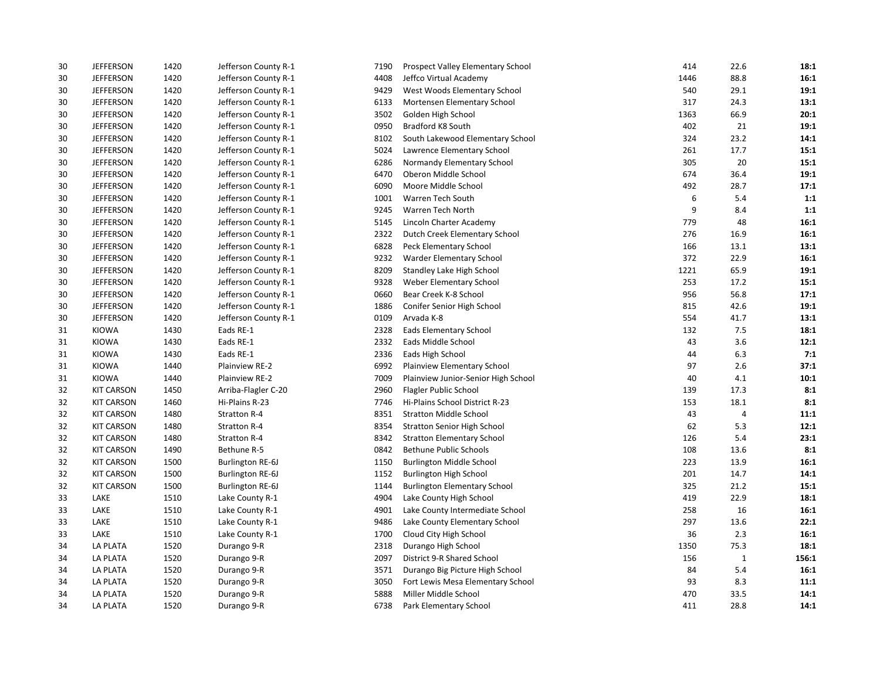| 30 | <b>JEFFERSON</b>  | 1420 | Jefferson County R-1    | 7190 | Prospect Valley Elementary School   | 414  | 22.6         | 18:1  |
|----|-------------------|------|-------------------------|------|-------------------------------------|------|--------------|-------|
| 30 | <b>JEFFERSON</b>  | 1420 | Jefferson County R-1    | 4408 | Jeffco Virtual Academy              | 1446 | 88.8         | 16:1  |
| 30 | <b>JEFFERSON</b>  | 1420 | Jefferson County R-1    | 9429 | West Woods Elementary School        | 540  | 29.1         | 19:1  |
| 30 | <b>JEFFERSON</b>  | 1420 | Jefferson County R-1    | 6133 | Mortensen Elementary School         | 317  | 24.3         | 13:1  |
| 30 | <b>JEFFERSON</b>  | 1420 | Jefferson County R-1    | 3502 | Golden High School                  | 1363 | 66.9         | 20:1  |
| 30 | <b>JEFFERSON</b>  | 1420 | Jefferson County R-1    | 0950 | Bradford K8 South                   | 402  | 21           | 19:1  |
| 30 | <b>JEFFERSON</b>  | 1420 | Jefferson County R-1    | 8102 | South Lakewood Elementary School    | 324  | 23.2         | 14:1  |
| 30 | <b>JEFFERSON</b>  | 1420 | Jefferson County R-1    | 5024 | Lawrence Elementary School          | 261  | 17.7         | 15:1  |
| 30 | <b>JEFFERSON</b>  | 1420 | Jefferson County R-1    | 6286 | Normandy Elementary School          | 305  | 20           | 15:1  |
| 30 | <b>JEFFERSON</b>  | 1420 | Jefferson County R-1    | 6470 | Oberon Middle School                | 674  | 36.4         | 19:1  |
| 30 | <b>JEFFERSON</b>  | 1420 | Jefferson County R-1    | 6090 | Moore Middle School                 | 492  | 28.7         | 17:1  |
| 30 | <b>JEFFERSON</b>  | 1420 | Jefferson County R-1    | 1001 | Warren Tech South                   | 6    | 5.4          | 1:1   |
| 30 | <b>JEFFERSON</b>  | 1420 | Jefferson County R-1    | 9245 | Warren Tech North                   | 9    | 8.4          | 1:1   |
| 30 | <b>JEFFERSON</b>  | 1420 | Jefferson County R-1    | 5145 | Lincoln Charter Academy             | 779  | 48           | 16:1  |
| 30 | <b>JEFFERSON</b>  | 1420 | Jefferson County R-1    | 2322 | Dutch Creek Elementary School       | 276  | 16.9         | 16:1  |
| 30 | <b>JEFFERSON</b>  | 1420 | Jefferson County R-1    | 6828 | Peck Elementary School              | 166  | 13.1         | 13:1  |
| 30 | <b>JEFFERSON</b>  | 1420 | Jefferson County R-1    | 9232 | Warder Elementary School            | 372  | 22.9         | 16:1  |
| 30 | <b>JEFFERSON</b>  | 1420 | Jefferson County R-1    | 8209 | Standley Lake High School           | 1221 | 65.9         | 19:1  |
| 30 | <b>JEFFERSON</b>  | 1420 | Jefferson County R-1    | 9328 | Weber Elementary School             | 253  | 17.2         | 15:1  |
| 30 | <b>JEFFERSON</b>  | 1420 | Jefferson County R-1    | 0660 | Bear Creek K-8 School               | 956  | 56.8         | 17:1  |
| 30 | <b>JEFFERSON</b>  | 1420 | Jefferson County R-1    | 1886 | Conifer Senior High School          | 815  | 42.6         | 19:1  |
| 30 | <b>JEFFERSON</b>  | 1420 | Jefferson County R-1    | 0109 | Arvada K-8                          | 554  | 41.7         | 13:1  |
| 31 | <b>KIOWA</b>      | 1430 | Eads RE-1               | 2328 | Eads Elementary School              | 132  | 7.5          | 18:1  |
| 31 | KIOWA             | 1430 | Eads RE-1               | 2332 | Eads Middle School                  | 43   | 3.6          | 12:1  |
| 31 | <b>KIOWA</b>      | 1430 | Eads RE-1               | 2336 | Eads High School                    | 44   | 6.3          | 7:1   |
| 31 | KIOWA             | 1440 | Plainview RE-2          | 6992 | Plainview Elementary School         | 97   | 2.6          | 37:1  |
| 31 | <b>KIOWA</b>      | 1440 | Plainview RE-2          | 7009 | Plainview Junior-Senior High School | 40   | 4.1          | 10:1  |
| 32 | <b>KIT CARSON</b> | 1450 | Arriba-Flagler C-20     | 2960 | Flagler Public School               | 139  | 17.3         | 8:1   |
| 32 | <b>KIT CARSON</b> | 1460 | Hi-Plains R-23          | 7746 | Hi-Plains School District R-23      | 153  | 18.1         | 8:1   |
| 32 | <b>KIT CARSON</b> | 1480 | Stratton R-4            | 8351 | <b>Stratton Middle School</b>       | 43   | 4            | 11:1  |
| 32 | <b>KIT CARSON</b> | 1480 | Stratton R-4            | 8354 | <b>Stratton Senior High School</b>  | 62   | 5.3          | 12:1  |
| 32 | <b>KIT CARSON</b> | 1480 | Stratton R-4            | 8342 | <b>Stratton Elementary School</b>   | 126  | 5.4          | 23:1  |
| 32 | <b>KIT CARSON</b> | 1490 | Bethune R-5             | 0842 | <b>Bethune Public Schools</b>       | 108  | 13.6         | 8:1   |
| 32 | <b>KIT CARSON</b> | 1500 | <b>Burlington RE-6J</b> | 1150 | <b>Burlington Middle School</b>     | 223  | 13.9         | 16:1  |
| 32 | <b>KIT CARSON</b> | 1500 | <b>Burlington RE-6J</b> | 1152 | <b>Burlington High School</b>       | 201  | 14.7         | 14:1  |
| 32 | <b>KIT CARSON</b> | 1500 | <b>Burlington RE-6J</b> | 1144 | <b>Burlington Elementary School</b> | 325  | 21.2         | 15:1  |
| 33 | LAKE              | 1510 | Lake County R-1         | 4904 | Lake County High School             | 419  | 22.9         | 18:1  |
| 33 | LAKE              | 1510 | Lake County R-1         | 4901 | Lake County Intermediate School     | 258  | 16           | 16:1  |
| 33 | LAKE              | 1510 | Lake County R-1         | 9486 | Lake County Elementary School       | 297  | 13.6         | 22:1  |
| 33 | LAKE              | 1510 | Lake County R-1         | 1700 | Cloud City High School              | 36   | 2.3          | 16:1  |
| 34 | LA PLATA          | 1520 | Durango 9-R             | 2318 | Durango High School                 | 1350 | 75.3         | 18:1  |
| 34 | <b>LA PLATA</b>   | 1520 | Durango 9-R             | 2097 | District 9-R Shared School          | 156  | $\mathbf{1}$ | 156:1 |
| 34 | LA PLATA          | 1520 | Durango 9-R             | 3571 | Durango Big Picture High School     | 84   | 5.4          | 16:1  |
| 34 | LA PLATA          | 1520 | Durango 9-R             | 3050 | Fort Lewis Mesa Elementary School   | 93   | 8.3          | 11:1  |
| 34 | LA PLATA          | 1520 | Durango 9-R             | 5888 | Miller Middle School                | 470  | 33.5         | 14:1  |
| 34 | <b>LA PLATA</b>   | 1520 | Durango 9-R             | 6738 | Park Elementary School              | 411  | 28.8         | 14:1  |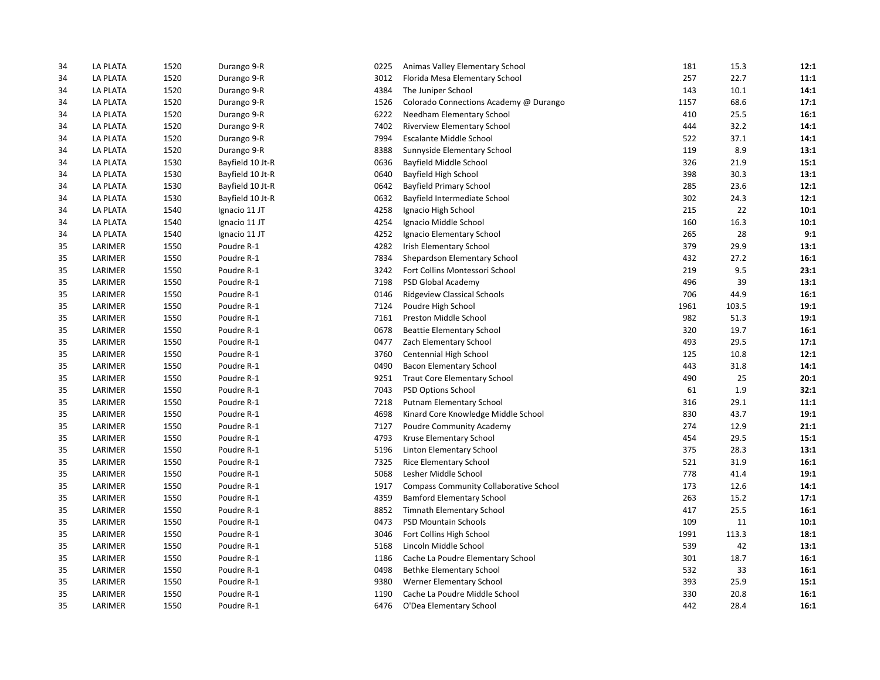| 34 | LA PLATA        | 1520 | Durango 9-R      | 0225 | Animas Valley Elementary School               | 181  | 15.3  | 12:1 |
|----|-----------------|------|------------------|------|-----------------------------------------------|------|-------|------|
| 34 | LA PLATA        | 1520 | Durango 9-R      | 3012 | Florida Mesa Elementary School                | 257  | 22.7  | 11:1 |
| 34 | LA PLATA        | 1520 | Durango 9-R      | 4384 | The Juniper School                            | 143  | 10.1  | 14:1 |
| 34 | <b>LA PLATA</b> | 1520 | Durango 9-R      | 1526 | Colorado Connections Academy @ Durango        | 1157 | 68.6  | 17:1 |
| 34 | LA PLATA        | 1520 | Durango 9-R      | 6222 | Needham Elementary School                     | 410  | 25.5  | 16:1 |
| 34 | <b>LA PLATA</b> | 1520 | Durango 9-R      | 7402 | Riverview Elementary School                   | 444  | 32.2  | 14:1 |
| 34 | LA PLATA        | 1520 | Durango 9-R      | 7994 | <b>Escalante Middle School</b>                | 522  | 37.1  | 14:1 |
| 34 | <b>LA PLATA</b> | 1520 | Durango 9-R      | 8388 | Sunnyside Elementary School                   | 119  | 8.9   | 13:1 |
| 34 | <b>LA PLATA</b> | 1530 | Bayfield 10 Jt-R | 0636 | Bayfield Middle School                        | 326  | 21.9  | 15:1 |
| 34 | LA PLATA        | 1530 | Bayfield 10 Jt-R | 0640 | Bayfield High School                          | 398  | 30.3  | 13:1 |
| 34 | LA PLATA        | 1530 | Bayfield 10 Jt-R | 0642 | <b>Bayfield Primary School</b>                | 285  | 23.6  | 12:1 |
| 34 | <b>LA PLATA</b> | 1530 | Bayfield 10 Jt-R | 0632 | Bayfield Intermediate School                  | 302  | 24.3  | 12:1 |
| 34 | LA PLATA        | 1540 | Ignacio 11 JT    | 4258 | Ignacio High School                           | 215  | 22    | 10:1 |
| 34 | <b>LA PLATA</b> | 1540 | Ignacio 11 JT    | 4254 | Ignacio Middle School                         | 160  | 16.3  | 10:1 |
| 34 | LA PLATA        | 1540 | Ignacio 11 JT    | 4252 | Ignacio Elementary School                     | 265  | 28    | 9:1  |
| 35 | LARIMER         | 1550 | Poudre R-1       | 4282 | <b>Irish Elementary School</b>                | 379  | 29.9  | 13:1 |
| 35 | LARIMER         | 1550 | Poudre R-1       | 7834 | Shepardson Elementary School                  | 432  | 27.2  | 16:1 |
| 35 | LARIMER         | 1550 | Poudre R-1       | 3242 | Fort Collins Montessori School                | 219  | 9.5   | 23:1 |
| 35 | LARIMER         | 1550 | Poudre R-1       | 7198 | PSD Global Academy                            | 496  | 39    | 13:1 |
| 35 | LARIMER         | 1550 | Poudre R-1       | 0146 | <b>Ridgeview Classical Schools</b>            | 706  | 44.9  | 16:1 |
| 35 | LARIMER         | 1550 | Poudre R-1       | 7124 | Poudre High School                            | 1961 | 103.5 | 19:1 |
| 35 | LARIMER         | 1550 | Poudre R-1       | 7161 | Preston Middle School                         | 982  | 51.3  | 19:1 |
| 35 | LARIMER         | 1550 | Poudre R-1       | 0678 | <b>Beattie Elementary School</b>              | 320  | 19.7  | 16:1 |
| 35 | LARIMER         | 1550 | Poudre R-1       | 0477 | Zach Elementary School                        | 493  | 29.5  | 17:1 |
| 35 | LARIMER         | 1550 | Poudre R-1       | 3760 | Centennial High School                        | 125  | 10.8  | 12:1 |
| 35 | LARIMER         | 1550 | Poudre R-1       | 0490 | <b>Bacon Elementary School</b>                | 443  | 31.8  | 14:1 |
| 35 | LARIMER         | 1550 | Poudre R-1       | 9251 | <b>Traut Core Elementary School</b>           | 490  | 25    | 20:1 |
| 35 | LARIMER         | 1550 | Poudre R-1       | 7043 | <b>PSD Options School</b>                     | 61   | 1.9   | 32:1 |
| 35 | LARIMER         | 1550 | Poudre R-1       | 7218 | Putnam Elementary School                      | 316  | 29.1  | 11:1 |
| 35 | LARIMER         | 1550 | Poudre R-1       | 4698 | Kinard Core Knowledge Middle School           | 830  | 43.7  | 19:1 |
| 35 | LARIMER         | 1550 | Poudre R-1       | 7127 | Poudre Community Academy                      | 274  | 12.9  | 21:1 |
| 35 | LARIMER         | 1550 | Poudre R-1       | 4793 | Kruse Elementary School                       | 454  | 29.5  | 15:1 |
| 35 | LARIMER         | 1550 | Poudre R-1       | 5196 | Linton Elementary School                      | 375  | 28.3  | 13:1 |
| 35 | LARIMER         | 1550 | Poudre R-1       | 7325 | Rice Elementary School                        | 521  | 31.9  | 16:1 |
| 35 | LARIMER         | 1550 | Poudre R-1       | 5068 | Lesher Middle School                          | 778  | 41.4  | 19:1 |
| 35 | LARIMER         | 1550 | Poudre R-1       | 1917 | <b>Compass Community Collaborative School</b> | 173  | 12.6  | 14:1 |
| 35 | LARIMER         | 1550 | Poudre R-1       | 4359 | <b>Bamford Elementary School</b>              | 263  | 15.2  | 17:1 |
| 35 | LARIMER         | 1550 | Poudre R-1       | 8852 | Timnath Elementary School                     | 417  | 25.5  | 16:1 |
| 35 | LARIMER         | 1550 | Poudre R-1       | 0473 | <b>PSD Mountain Schools</b>                   | 109  | 11    | 10:1 |
| 35 | LARIMER         | 1550 | Poudre R-1       | 3046 | Fort Collins High School                      | 1991 | 113.3 | 18:1 |
| 35 | LARIMER         | 1550 | Poudre R-1       | 5168 | Lincoln Middle School                         | 539  | 42    | 13:1 |
| 35 | LARIMER         | 1550 | Poudre R-1       | 1186 | Cache La Poudre Elementary School             | 301  | 18.7  | 16:1 |
| 35 | LARIMER         | 1550 | Poudre R-1       | 0498 | Bethke Elementary School                      | 532  | 33    | 16:1 |
| 35 | LARIMER         | 1550 | Poudre R-1       | 9380 | Werner Elementary School                      | 393  | 25.9  | 15:1 |
| 35 | LARIMER         | 1550 | Poudre R-1       | 1190 | Cache La Poudre Middle School                 | 330  | 20.8  | 16:1 |
| 35 | LARIMER         | 1550 | Poudre R-1       | 6476 | O'Dea Elementary School                       | 442  | 28.4  | 16:1 |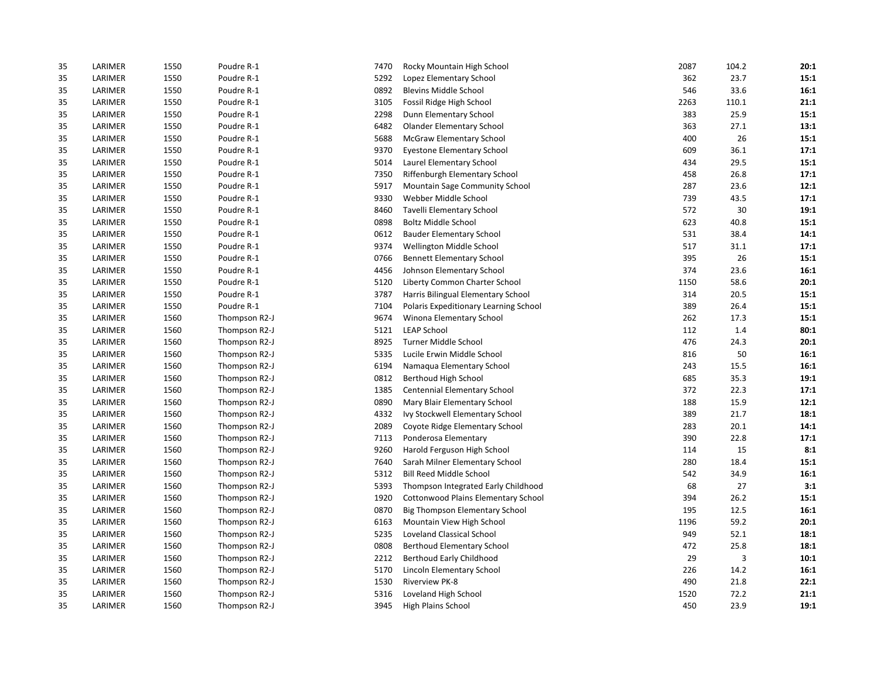| 35 | LARIMER | 1550 | Poudre R-1    | 7470 | Rocky Mountain High School            | 2087 | 104.2 | 20:1 |
|----|---------|------|---------------|------|---------------------------------------|------|-------|------|
| 35 | LARIMER | 1550 | Poudre R-1    | 5292 | Lopez Elementary School               | 362  | 23.7  | 15:1 |
| 35 | LARIMER | 1550 | Poudre R-1    | 0892 | <b>Blevins Middle School</b>          | 546  | 33.6  | 16:1 |
| 35 | LARIMER | 1550 | Poudre R-1    | 3105 | Fossil Ridge High School              | 2263 | 110.1 | 21:1 |
| 35 | LARIMER | 1550 | Poudre R-1    | 2298 | Dunn Elementary School                | 383  | 25.9  | 15:1 |
| 35 | LARIMER | 1550 | Poudre R-1    | 6482 | <b>Olander Elementary School</b>      | 363  | 27.1  | 13:1 |
| 35 | LARIMER | 1550 | Poudre R-1    | 5688 | <b>McGraw Elementary School</b>       | 400  | 26    | 15:1 |
| 35 | LARIMER | 1550 | Poudre R-1    | 9370 | <b>Eyestone Elementary School</b>     | 609  | 36.1  | 17:1 |
| 35 | LARIMER | 1550 | Poudre R-1    | 5014 | Laurel Elementary School              | 434  | 29.5  | 15:1 |
| 35 | LARIMER | 1550 | Poudre R-1    | 7350 | Riffenburgh Elementary School         | 458  | 26.8  | 17:1 |
| 35 | LARIMER | 1550 | Poudre R-1    | 5917 | Mountain Sage Community School        | 287  | 23.6  | 12:1 |
| 35 | LARIMER | 1550 | Poudre R-1    | 9330 | Webber Middle School                  | 739  | 43.5  | 17:1 |
| 35 | LARIMER | 1550 | Poudre R-1    | 8460 | <b>Tavelli Elementary School</b>      | 572  | 30    | 19:1 |
| 35 | LARIMER | 1550 | Poudre R-1    | 0898 | <b>Boltz Middle School</b>            | 623  | 40.8  | 15:1 |
| 35 | LARIMER | 1550 | Poudre R-1    | 0612 | <b>Bauder Elementary School</b>       | 531  | 38.4  | 14:1 |
| 35 | LARIMER | 1550 | Poudre R-1    | 9374 | Wellington Middle School              | 517  | 31.1  | 17:1 |
| 35 | LARIMER | 1550 | Poudre R-1    | 0766 | <b>Bennett Elementary School</b>      | 395  | 26    | 15:1 |
| 35 | LARIMER | 1550 | Poudre R-1    | 4456 | Johnson Elementary School             | 374  | 23.6  | 16:1 |
| 35 | LARIMER | 1550 | Poudre R-1    | 5120 | Liberty Common Charter School         | 1150 | 58.6  | 20:1 |
| 35 | LARIMER | 1550 | Poudre R-1    | 3787 | Harris Bilingual Elementary School    | 314  | 20.5  | 15:1 |
| 35 | LARIMER | 1550 | Poudre R-1    | 7104 | Polaris Expeditionary Learning School | 389  | 26.4  | 15:1 |
| 35 | LARIMER | 1560 | Thompson R2-J | 9674 | Winona Elementary School              | 262  | 17.3  | 15:1 |
| 35 | LARIMER | 1560 | Thompson R2-J | 5121 | <b>LEAP School</b>                    | 112  | 1.4   | 80:1 |
| 35 | LARIMER | 1560 | Thompson R2-J | 8925 | Turner Middle School                  | 476  | 24.3  | 20:1 |
| 35 | LARIMER | 1560 | Thompson R2-J | 5335 | Lucile Erwin Middle School            | 816  | 50    | 16:1 |
| 35 | LARIMER | 1560 | Thompson R2-J | 6194 | Namaqua Elementary School             | 243  | 15.5  | 16:1 |
| 35 | LARIMER | 1560 | Thompson R2-J | 0812 | Berthoud High School                  | 685  | 35.3  | 19:1 |
| 35 | LARIMER | 1560 | Thompson R2-J | 1385 | Centennial Elementary School          | 372  | 22.3  | 17:1 |
| 35 | LARIMER | 1560 | Thompson R2-J | 0890 | Mary Blair Elementary School          | 188  | 15.9  | 12:1 |
| 35 | LARIMER | 1560 | Thompson R2-J | 4332 | Ivy Stockwell Elementary School       | 389  | 21.7  | 18:1 |
| 35 | LARIMER | 1560 | Thompson R2-J | 2089 | Coyote Ridge Elementary School        | 283  | 20.1  | 14:1 |
| 35 | LARIMER | 1560 | Thompson R2-J | 7113 | Ponderosa Elementary                  | 390  | 22.8  | 17:1 |
| 35 | LARIMER | 1560 | Thompson R2-J | 9260 | Harold Ferguson High School           | 114  | 15    | 8:1  |
| 35 | LARIMER | 1560 | Thompson R2-J | 7640 | Sarah Milner Elementary School        | 280  | 18.4  | 15:1 |
| 35 | LARIMER | 1560 | Thompson R2-J | 5312 | <b>Bill Reed Middle School</b>        | 542  | 34.9  | 16:1 |
| 35 | LARIMER | 1560 | Thompson R2-J | 5393 | Thompson Integrated Early Childhood   | 68   | 27    | 3:1  |
| 35 | LARIMER | 1560 | Thompson R2-J | 1920 | Cottonwood Plains Elementary School   | 394  | 26.2  | 15:1 |
| 35 | LARIMER | 1560 | Thompson R2-J | 0870 | Big Thompson Elementary School        | 195  | 12.5  | 16:1 |
| 35 | LARIMER | 1560 | Thompson R2-J | 6163 | Mountain View High School             | 1196 | 59.2  | 20:1 |
| 35 | LARIMER | 1560 | Thompson R2-J | 5235 | Loveland Classical School             | 949  | 52.1  | 18:1 |
| 35 | LARIMER | 1560 | Thompson R2-J | 0808 | <b>Berthoud Elementary School</b>     | 472  | 25.8  | 18:1 |
| 35 | LARIMER | 1560 | Thompson R2-J | 2212 | Berthoud Early Childhood              | 29   | 3     | 10:1 |
| 35 | LARIMER | 1560 | Thompson R2-J | 5170 | Lincoln Elementary School             | 226  | 14.2  | 16:1 |
| 35 | LARIMER | 1560 | Thompson R2-J | 1530 | <b>Riverview PK-8</b>                 | 490  | 21.8  | 22:1 |
| 35 | LARIMER | 1560 | Thompson R2-J | 5316 | Loveland High School                  | 1520 | 72.2  | 21:1 |
| 35 | LARIMER | 1560 | Thompson R2-J | 3945 | High Plains School                    | 450  | 23.9  | 19:1 |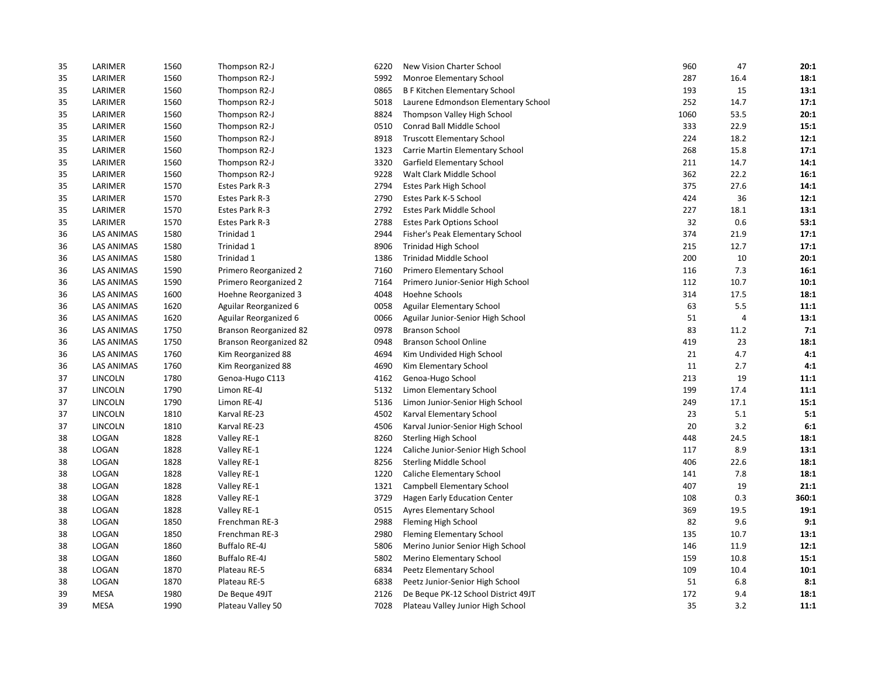| 35 | LARIMER           | 1560 | Thompson R2-J          | 6220 | New Vision Charter School            | 960  | 47   | 20:1  |
|----|-------------------|------|------------------------|------|--------------------------------------|------|------|-------|
| 35 | LARIMER           | 1560 | Thompson R2-J          | 5992 | Monroe Elementary School             | 287  | 16.4 | 18:1  |
| 35 | LARIMER           | 1560 | Thompson R2-J          | 0865 | <b>B F Kitchen Elementary School</b> | 193  | 15   | 13:1  |
| 35 | LARIMER           | 1560 | Thompson R2-J          | 5018 | Laurene Edmondson Elementary School  | 252  | 14.7 | 17:1  |
| 35 | LARIMER           | 1560 | Thompson R2-J          | 8824 | Thompson Valley High School          | 1060 | 53.5 | 20:1  |
| 35 | LARIMER           | 1560 | Thompson R2-J          | 0510 | Conrad Ball Middle School            | 333  | 22.9 | 15:1  |
| 35 | LARIMER           | 1560 | Thompson R2-J          | 8918 | <b>Truscott Elementary School</b>    | 224  | 18.2 | 12:1  |
| 35 | LARIMER           | 1560 | Thompson R2-J          | 1323 | Carrie Martin Elementary School      | 268  | 15.8 | 17:1  |
| 35 | LARIMER           | 1560 | Thompson R2-J          | 3320 | Garfield Elementary School           | 211  | 14.7 | 14:1  |
| 35 | LARIMER           | 1560 | Thompson R2-J          | 9228 | Walt Clark Middle School             | 362  | 22.2 | 16:1  |
| 35 | LARIMER           | 1570 | Estes Park R-3         | 2794 | Estes Park High School               | 375  | 27.6 | 14:1  |
| 35 | LARIMER           | 1570 | Estes Park R-3         | 2790 | Estes Park K-5 School                | 424  | 36   | 12:1  |
| 35 | LARIMER           | 1570 | Estes Park R-3         | 2792 | Estes Park Middle School             | 227  | 18.1 | 13:1  |
| 35 | LARIMER           | 1570 | Estes Park R-3         | 2788 | <b>Estes Park Options School</b>     | 32   | 0.6  | 53:1  |
| 36 | <b>LAS ANIMAS</b> | 1580 | Trinidad 1             | 2944 | Fisher's Peak Elementary School      | 374  | 21.9 | 17:1  |
| 36 | <b>LAS ANIMAS</b> | 1580 | Trinidad 1             | 8906 | <b>Trinidad High School</b>          | 215  | 12.7 | 17:1  |
| 36 | <b>LAS ANIMAS</b> | 1580 | Trinidad 1             | 1386 | Trinidad Middle School               | 200  | 10   | 20:1  |
| 36 | <b>LAS ANIMAS</b> | 1590 | Primero Reorganized 2  | 7160 | Primero Elementary School            | 116  | 7.3  | 16:1  |
| 36 | <b>LAS ANIMAS</b> | 1590 | Primero Reorganized 2  | 7164 | Primero Junior-Senior High School    | 112  | 10.7 | 10:1  |
| 36 | <b>LAS ANIMAS</b> | 1600 | Hoehne Reorganized 3   | 4048 | Hoehne Schools                       | 314  | 17.5 | 18:1  |
| 36 | <b>LAS ANIMAS</b> | 1620 | Aguilar Reorganized 6  | 0058 | Aguilar Elementary School            | 63   | 5.5  | 11:1  |
| 36 | <b>LAS ANIMAS</b> | 1620 | Aguilar Reorganized 6  | 0066 | Aguilar Junior-Senior High School    | 51   | 4    | 13:1  |
| 36 | LAS ANIMAS        | 1750 | Branson Reorganized 82 | 0978 | <b>Branson School</b>                | 83   | 11.2 | 7:1   |
| 36 | <b>LAS ANIMAS</b> | 1750 | Branson Reorganized 82 | 0948 | <b>Branson School Online</b>         | 419  | 23   | 18:1  |
| 36 | <b>LAS ANIMAS</b> | 1760 | Kim Reorganized 88     | 4694 | Kim Undivided High School            | 21   | 4.7  | 4:1   |
| 36 | <b>LAS ANIMAS</b> | 1760 | Kim Reorganized 88     | 4690 | Kim Elementary School                | 11   | 2.7  | 4:1   |
| 37 | LINCOLN           | 1780 | Genoa-Hugo C113        | 4162 | Genoa-Hugo School                    | 213  | 19   | 11:1  |
| 37 | LINCOLN           | 1790 | Limon RE-4J            | 5132 | Limon Elementary School              | 199  | 17.4 | 11:1  |
| 37 | LINCOLN           | 1790 | Limon RE-4J            | 5136 | Limon Junior-Senior High School      | 249  | 17.1 | 15:1  |
| 37 | LINCOLN           | 1810 | Karval RE-23           | 4502 | Karval Elementary School             | 23   | 5.1  | 5:1   |
| 37 | LINCOLN           | 1810 | Karval RE-23           | 4506 | Karval Junior-Senior High School     | 20   | 3.2  | 6:1   |
| 38 | LOGAN             | 1828 | Valley RE-1            | 8260 | Sterling High School                 | 448  | 24.5 | 18:1  |
| 38 | LOGAN             | 1828 | Valley RE-1            | 1224 | Caliche Junior-Senior High School    | 117  | 8.9  | 13:1  |
| 38 | LOGAN             | 1828 | Valley RE-1            | 8256 | Sterling Middle School               | 406  | 22.6 | 18:1  |
| 38 | LOGAN             | 1828 | Valley RE-1            | 1220 | Caliche Elementary School            | 141  | 7.8  | 18:1  |
| 38 | LOGAN             | 1828 | Valley RE-1            | 1321 | Campbell Elementary School           | 407  | 19   | 21:1  |
| 38 | LOGAN             | 1828 | Valley RE-1            | 3729 | <b>Hagen Early Education Center</b>  | 108  | 0.3  | 360:1 |
| 38 | LOGAN             | 1828 | Valley RE-1            | 0515 | Ayres Elementary School              | 369  | 19.5 | 19:1  |
| 38 | LOGAN             | 1850 | Frenchman RE-3         | 2988 | Fleming High School                  | 82   | 9.6  | 9:1   |
| 38 | LOGAN             | 1850 | Frenchman RE-3         | 2980 | <b>Fleming Elementary School</b>     | 135  | 10.7 | 13:1  |
| 38 | LOGAN             | 1860 | <b>Buffalo RE-4J</b>   | 5806 | Merino Junior Senior High School     | 146  | 11.9 | 12:1  |
| 38 | LOGAN             | 1860 | <b>Buffalo RE-4J</b>   | 5802 | Merino Elementary School             | 159  | 10.8 | 15:1  |
| 38 | LOGAN             | 1870 | Plateau RE-5           | 6834 | Peetz Elementary School              | 109  | 10.4 | 10:1  |
| 38 | LOGAN             | 1870 | Plateau RE-5           | 6838 | Peetz Junior-Senior High School      | 51   | 6.8  | 8:1   |
| 39 | <b>MESA</b>       | 1980 | De Beque 49JT          | 2126 | De Beque PK-12 School District 49JT  | 172  | 9.4  | 18:1  |
| 39 | <b>MESA</b>       | 1990 | Plateau Valley 50      | 7028 | Plateau Valley Junior High School    | 35   | 3.2  | 11:1  |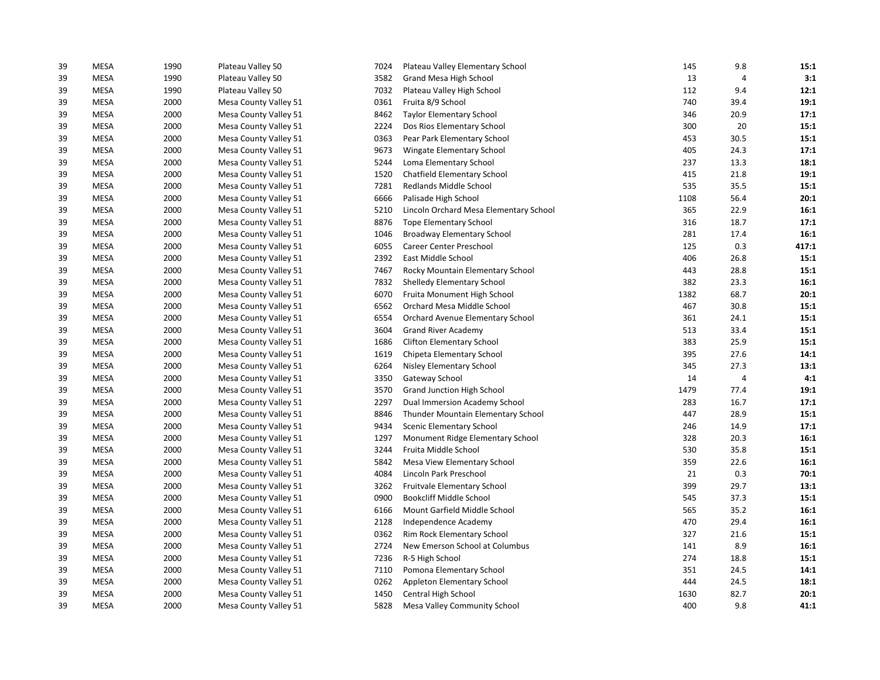| 39 | <b>MESA</b> | 1990 | Plateau Valley 50     | 7024 | Plateau Valley Elementary School       | 145  | 9.8  | 15:1  |
|----|-------------|------|-----------------------|------|----------------------------------------|------|------|-------|
| 39 | <b>MESA</b> | 1990 | Plateau Valley 50     | 3582 | Grand Mesa High School                 | 13   | 4    | 3:1   |
| 39 | <b>MESA</b> | 1990 | Plateau Valley 50     | 7032 | Plateau Valley High School             | 112  | 9.4  | 12:1  |
| 39 | <b>MESA</b> | 2000 | Mesa County Valley 51 | 0361 | Fruita 8/9 School                      | 740  | 39.4 | 19:1  |
| 39 | <b>MESA</b> | 2000 | Mesa County Valley 51 | 8462 | <b>Taylor Elementary School</b>        | 346  | 20.9 | 17:1  |
| 39 | <b>MESA</b> | 2000 | Mesa County Valley 51 | 2224 | Dos Rios Elementary School             | 300  | 20   | 15:1  |
| 39 | <b>MESA</b> | 2000 | Mesa County Valley 51 | 0363 | Pear Park Elementary School            | 453  | 30.5 | 15:1  |
| 39 | <b>MESA</b> | 2000 | Mesa County Valley 51 | 9673 | Wingate Elementary School              | 405  | 24.3 | 17:1  |
| 39 | <b>MESA</b> | 2000 | Mesa County Valley 51 | 5244 | Loma Elementary School                 | 237  | 13.3 | 18:1  |
| 39 | <b>MESA</b> | 2000 | Mesa County Valley 51 | 1520 | Chatfield Elementary School            | 415  | 21.8 | 19:1  |
| 39 | <b>MESA</b> | 2000 | Mesa County Valley 51 | 7281 | Redlands Middle School                 | 535  | 35.5 | 15:1  |
| 39 | <b>MESA</b> | 2000 | Mesa County Valley 51 | 6666 | Palisade High School                   | 1108 | 56.4 | 20:1  |
| 39 | <b>MESA</b> | 2000 | Mesa County Valley 51 | 5210 | Lincoln Orchard Mesa Elementary School | 365  | 22.9 | 16:1  |
| 39 | <b>MESA</b> | 2000 | Mesa County Valley 51 | 8876 | <b>Tope Elementary School</b>          | 316  | 18.7 | 17:1  |
| 39 | <b>MESA</b> | 2000 | Mesa County Valley 51 | 1046 | Broadway Elementary School             | 281  | 17.4 | 16:1  |
| 39 | <b>MESA</b> | 2000 | Mesa County Valley 51 | 6055 | Career Center Preschool                | 125  | 0.3  | 417:1 |
| 39 | <b>MESA</b> | 2000 | Mesa County Valley 51 | 2392 | East Middle School                     | 406  | 26.8 | 15:1  |
| 39 | <b>MESA</b> | 2000 | Mesa County Valley 51 | 7467 | Rocky Mountain Elementary School       | 443  | 28.8 | 15:1  |
| 39 | <b>MESA</b> | 2000 | Mesa County Valley 51 | 7832 | Shelledy Elementary School             | 382  | 23.3 | 16:1  |
| 39 | <b>MESA</b> | 2000 | Mesa County Valley 51 | 6070 | Fruita Monument High School            | 1382 | 68.7 | 20:1  |
| 39 | <b>MESA</b> | 2000 | Mesa County Valley 51 | 6562 | Orchard Mesa Middle School             | 467  | 30.8 | 15:1  |
| 39 | <b>MESA</b> | 2000 | Mesa County Valley 51 | 6554 | Orchard Avenue Elementary School       | 361  | 24.1 | 15:1  |
| 39 | <b>MESA</b> | 2000 | Mesa County Valley 51 | 3604 | <b>Grand River Academy</b>             | 513  | 33.4 | 15:1  |
| 39 | <b>MESA</b> | 2000 | Mesa County Valley 51 | 1686 | <b>Clifton Elementary School</b>       | 383  | 25.9 | 15:1  |
| 39 | <b>MESA</b> | 2000 | Mesa County Valley 51 | 1619 | Chipeta Elementary School              | 395  | 27.6 | 14:1  |
| 39 | <b>MESA</b> | 2000 | Mesa County Valley 51 | 6264 | <b>Nisley Elementary School</b>        | 345  | 27.3 | 13:1  |
| 39 | <b>MESA</b> | 2000 | Mesa County Valley 51 | 3350 | Gateway School                         | 14   | 4    | 4:1   |
| 39 | <b>MESA</b> | 2000 | Mesa County Valley 51 | 3570 | Grand Junction High School             | 1479 | 77.4 | 19:1  |
| 39 | <b>MESA</b> | 2000 | Mesa County Valley 51 | 2297 | Dual Immersion Academy School          | 283  | 16.7 | 17:1  |
| 39 | <b>MESA</b> | 2000 | Mesa County Valley 51 | 8846 | Thunder Mountain Elementary School     | 447  | 28.9 | 15:1  |
| 39 | <b>MESA</b> | 2000 | Mesa County Valley 51 | 9434 | Scenic Elementary School               | 246  | 14.9 | 17:1  |
| 39 | <b>MESA</b> | 2000 | Mesa County Valley 51 | 1297 | Monument Ridge Elementary School       | 328  | 20.3 | 16:1  |
| 39 | <b>MESA</b> | 2000 | Mesa County Valley 51 | 3244 | Fruita Middle School                   | 530  | 35.8 | 15:1  |
| 39 | <b>MESA</b> | 2000 | Mesa County Valley 51 | 5842 | Mesa View Elementary School            | 359  | 22.6 | 16:1  |
| 39 | <b>MESA</b> | 2000 | Mesa County Valley 51 | 4084 | Lincoln Park Preschool                 | 21   | 0.3  | 70:1  |
| 39 | <b>MESA</b> | 2000 | Mesa County Valley 51 | 3262 | Fruitvale Elementary School            | 399  | 29.7 | 13:1  |
| 39 | <b>MESA</b> | 2000 | Mesa County Valley 51 | 0900 | <b>Bookcliff Middle School</b>         | 545  | 37.3 | 15:1  |
| 39 | <b>MESA</b> | 2000 | Mesa County Valley 51 | 6166 | Mount Garfield Middle School           | 565  | 35.2 | 16:1  |
| 39 | <b>MESA</b> | 2000 | Mesa County Valley 51 | 2128 | Independence Academy                   | 470  | 29.4 | 16:1  |
| 39 | <b>MESA</b> | 2000 | Mesa County Valley 51 | 0362 | Rim Rock Elementary School             | 327  | 21.6 | 15:1  |
| 39 | <b>MESA</b> | 2000 | Mesa County Valley 51 | 2724 | New Emerson School at Columbus         | 141  | 8.9  | 16:1  |
| 39 | <b>MESA</b> | 2000 | Mesa County Valley 51 | 7236 | R-5 High School                        | 274  | 18.8 | 15:1  |
| 39 | <b>MESA</b> | 2000 | Mesa County Valley 51 | 7110 | Pomona Elementary School               | 351  | 24.5 | 14:1  |
| 39 | <b>MESA</b> | 2000 | Mesa County Valley 51 | 0262 | Appleton Elementary School             | 444  | 24.5 | 18:1  |
| 39 | <b>MESA</b> | 2000 | Mesa County Valley 51 | 1450 | Central High School                    | 1630 | 82.7 | 20:1  |
| 39 | <b>MESA</b> | 2000 | Mesa County Valley 51 | 5828 | <b>Mesa Valley Community School</b>    | 400  | 9.8  | 41:1  |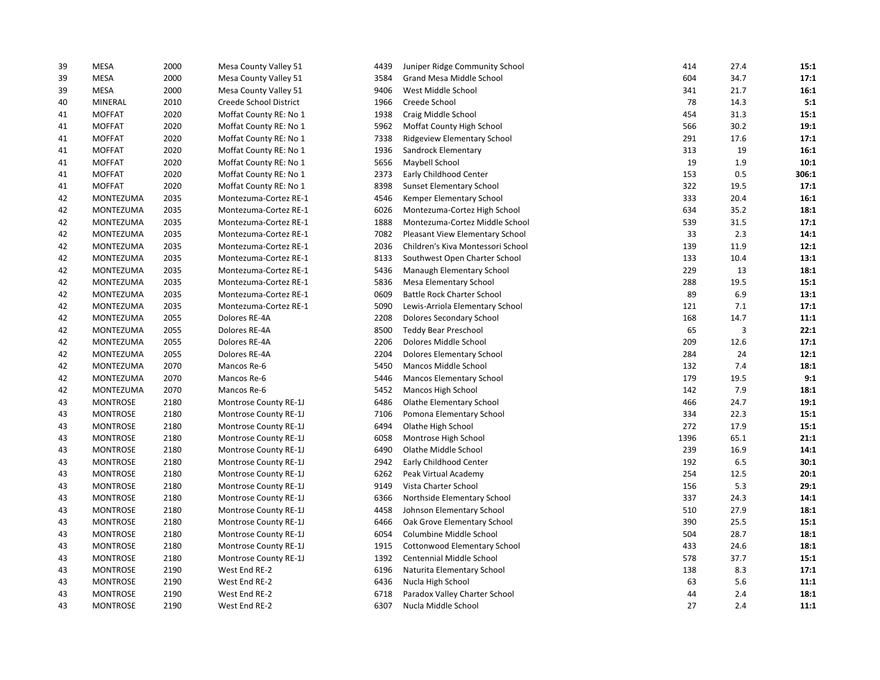| 39 | MESA             | 2000 | Mesa County Valley 51  | 4439 | Juniper Ridge Community School    | 414  | 27.4 | 15:1  |
|----|------------------|------|------------------------|------|-----------------------------------|------|------|-------|
| 39 | <b>MESA</b>      | 2000 | Mesa County Valley 51  | 3584 | Grand Mesa Middle School          | 604  | 34.7 | 17:1  |
| 39 | MESA             | 2000 | Mesa County Valley 51  | 9406 | West Middle School                | 341  | 21.7 | 16:1  |
| 40 | <b>MINERAL</b>   | 2010 | Creede School District | 1966 | Creede School                     | 78   | 14.3 | 5:1   |
| 41 | <b>MOFFAT</b>    | 2020 | Moffat County RE: No 1 | 1938 | Craig Middle School               | 454  | 31.3 | 15:1  |
| 41 | <b>MOFFAT</b>    | 2020 | Moffat County RE: No 1 | 5962 | Moffat County High School         | 566  | 30.2 | 19:1  |
| 41 | <b>MOFFAT</b>    | 2020 | Moffat County RE: No 1 | 7338 | Ridgeview Elementary School       | 291  | 17.6 | 17:1  |
| 41 | <b>MOFFAT</b>    | 2020 | Moffat County RE: No 1 | 1936 | Sandrock Elementary               | 313  | 19   | 16:1  |
| 41 | <b>MOFFAT</b>    | 2020 | Moffat County RE: No 1 | 5656 | Maybell School                    | 19   | 1.9  | 10:1  |
| 41 | <b>MOFFAT</b>    | 2020 | Moffat County RE: No 1 | 2373 | Early Childhood Center            | 153  | 0.5  | 306:1 |
| 41 | <b>MOFFAT</b>    | 2020 | Moffat County RE: No 1 | 8398 | Sunset Elementary School          | 322  | 19.5 | 17:1  |
| 42 | MONTEZUMA        | 2035 | Montezuma-Cortez RE-1  | 4546 | Kemper Elementary School          | 333  | 20.4 | 16:1  |
| 42 | MONTEZUMA        | 2035 | Montezuma-Cortez RE-1  | 6026 | Montezuma-Cortez High School      | 634  | 35.2 | 18:1  |
| 42 | MONTEZUMA        | 2035 | Montezuma-Cortez RE-1  | 1888 | Montezuma-Cortez Middle School    | 539  | 31.5 | 17:1  |
| 42 | MONTEZUMA        | 2035 | Montezuma-Cortez RE-1  | 7082 | Pleasant View Elementary School   | 33   | 2.3  | 14:1  |
| 42 | MONTEZUMA        | 2035 | Montezuma-Cortez RE-1  | 2036 | Children's Kiva Montessori School | 139  | 11.9 | 12:1  |
| 42 | <b>MONTEZUMA</b> | 2035 | Montezuma-Cortez RE-1  | 8133 | Southwest Open Charter School     | 133  | 10.4 | 13:1  |
| 42 | MONTEZUMA        | 2035 | Montezuma-Cortez RE-1  | 5436 | Manaugh Elementary School         | 229  | 13   | 18:1  |
| 42 | MONTEZUMA        | 2035 | Montezuma-Cortez RE-1  | 5836 | <b>Mesa Elementary School</b>     | 288  | 19.5 | 15:1  |
| 42 | MONTEZUMA        | 2035 | Montezuma-Cortez RE-1  | 0609 | <b>Battle Rock Charter School</b> | 89   | 6.9  | 13:1  |
| 42 | MONTEZUMA        | 2035 | Montezuma-Cortez RE-1  | 5090 | Lewis-Arriola Elementary School   | 121  | 7.1  | 17:1  |
| 42 | MONTEZUMA        | 2055 | Dolores RE-4A          | 2208 | Dolores Secondary School          | 168  | 14.7 | 11:1  |
| 42 | <b>MONTEZUMA</b> | 2055 | Dolores RE-4A          | 8500 | Teddy Bear Preschool              | 65   | 3    | 22:1  |
| 42 | MONTEZUMA        | 2055 | Dolores RE-4A          | 2206 | Dolores Middle School             | 209  | 12.6 | 17:1  |
| 42 | MONTEZUMA        | 2055 | Dolores RE-4A          | 2204 | Dolores Elementary School         | 284  | 24   | 12:1  |
| 42 | MONTEZUMA        | 2070 | Mancos Re-6            | 5450 | <b>Mancos Middle School</b>       | 132  | 7.4  | 18:1  |
| 42 | MONTEZUMA        | 2070 | Mancos Re-6            | 5446 | <b>Mancos Elementary School</b>   | 179  | 19.5 | 9:1   |
| 42 | MONTEZUMA        | 2070 | Mancos Re-6            | 5452 | Mancos High School                | 142  | 7.9  | 18:1  |
| 43 | <b>MONTROSE</b>  | 2180 | Montrose County RE-1J  | 6486 | <b>Olathe Elementary School</b>   | 466  | 24.7 | 19:1  |
| 43 | <b>MONTROSE</b>  | 2180 | Montrose County RE-1J  | 7106 | Pomona Elementary School          | 334  | 22.3 | 15:1  |
| 43 | <b>MONTROSE</b>  | 2180 | Montrose County RE-1J  | 6494 | Olathe High School                | 272  | 17.9 | 15:1  |
| 43 | <b>MONTROSE</b>  | 2180 | Montrose County RE-1J  | 6058 | Montrose High School              | 1396 | 65.1 | 21:1  |
| 43 | <b>MONTROSE</b>  | 2180 | Montrose County RE-1J  | 6490 | Olathe Middle School              | 239  | 16.9 | 14:1  |
| 43 | <b>MONTROSE</b>  | 2180 | Montrose County RE-1J  | 2942 | Early Childhood Center            | 192  | 6.5  | 30:1  |
| 43 | <b>MONTROSE</b>  | 2180 | Montrose County RE-1J  | 6262 | Peak Virtual Academy              | 254  | 12.5 | 20:1  |
| 43 | <b>MONTROSE</b>  | 2180 | Montrose County RE-1J  | 9149 | Vista Charter School              | 156  | 5.3  | 29:1  |
| 43 | <b>MONTROSE</b>  | 2180 | Montrose County RE-1J  | 6366 | Northside Elementary School       | 337  | 24.3 | 14:1  |
| 43 | <b>MONTROSE</b>  | 2180 | Montrose County RE-1J  | 4458 | Johnson Elementary School         | 510  | 27.9 | 18:1  |
| 43 | <b>MONTROSE</b>  | 2180 | Montrose County RE-1J  | 6466 | Oak Grove Elementary School       | 390  | 25.5 | 15:1  |
| 43 | <b>MONTROSE</b>  | 2180 | Montrose County RE-1J  | 6054 | Columbine Middle School           | 504  | 28.7 | 18:1  |
| 43 | <b>MONTROSE</b>  | 2180 | Montrose County RE-1J  | 1915 | Cottonwood Elementary School      | 433  | 24.6 | 18:1  |
| 43 | <b>MONTROSE</b>  | 2180 | Montrose County RE-1J  | 1392 | Centennial Middle School          | 578  | 37.7 | 15:1  |
| 43 | <b>MONTROSE</b>  | 2190 | West End RE-2          | 6196 | Naturita Elementary School        | 138  | 8.3  | 17:1  |
| 43 | <b>MONTROSE</b>  | 2190 | West End RE-2          | 6436 | Nucla High School                 | 63   | 5.6  | 11:1  |
| 43 | <b>MONTROSE</b>  | 2190 | West End RE-2          | 6718 | Paradox Valley Charter School     | 44   | 2.4  | 18:1  |
| 43 | <b>MONTROSE</b>  | 2190 | West End RE-2          | 6307 | Nucla Middle School               | 27   | 2.4  | 11:1  |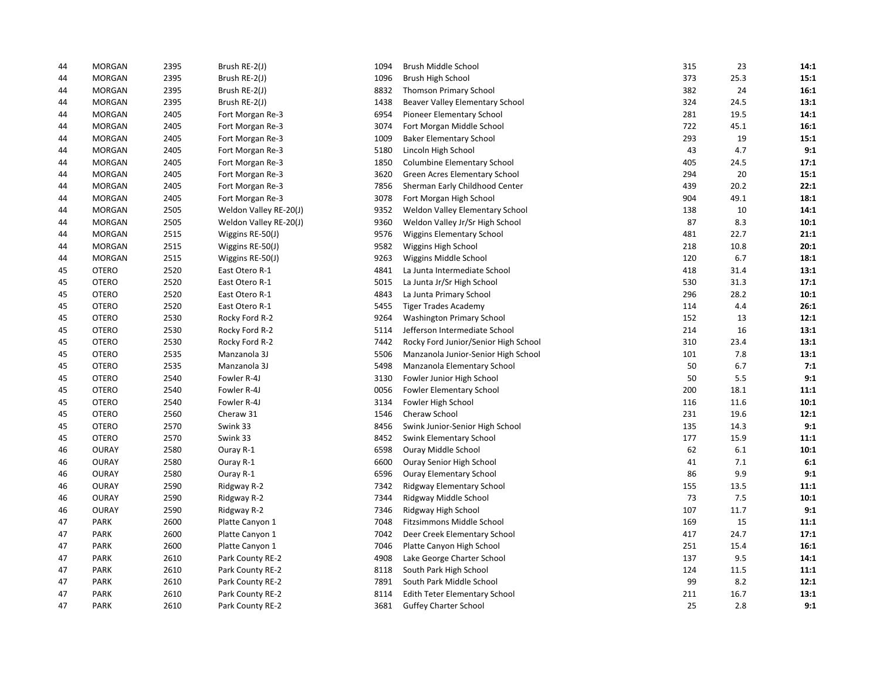| 44 | <b>MORGAN</b> | 2395 | Brush RE-2(J)          | 1094 | Brush Middle School                  | 315 | 23   | 14:1 |
|----|---------------|------|------------------------|------|--------------------------------------|-----|------|------|
| 44 | <b>MORGAN</b> | 2395 | Brush RE-2(J)          | 1096 | Brush High School                    | 373 | 25.3 | 15:1 |
| 44 | <b>MORGAN</b> | 2395 | Brush RE-2(J)          | 8832 | <b>Thomson Primary School</b>        | 382 | 24   | 16:1 |
| 44 | <b>MORGAN</b> | 2395 | Brush RE-2(J)          | 1438 | Beaver Valley Elementary School      | 324 | 24.5 | 13:1 |
| 44 | <b>MORGAN</b> | 2405 | Fort Morgan Re-3       | 6954 | Pioneer Elementary School            | 281 | 19.5 | 14:1 |
| 44 | <b>MORGAN</b> | 2405 | Fort Morgan Re-3       | 3074 | Fort Morgan Middle School            | 722 | 45.1 | 16:1 |
| 44 | <b>MORGAN</b> | 2405 | Fort Morgan Re-3       | 1009 | <b>Baker Elementary School</b>       | 293 | 19   | 15:1 |
| 44 | <b>MORGAN</b> | 2405 | Fort Morgan Re-3       | 5180 | Lincoln High School                  | 43  | 4.7  | 9:1  |
| 44 | <b>MORGAN</b> | 2405 | Fort Morgan Re-3       | 1850 | <b>Columbine Elementary School</b>   | 405 | 24.5 | 17:1 |
| 44 | <b>MORGAN</b> | 2405 | Fort Morgan Re-3       | 3620 | Green Acres Elementary School        | 294 | 20   | 15:1 |
| 44 | <b>MORGAN</b> | 2405 | Fort Morgan Re-3       | 7856 | Sherman Early Childhood Center       | 439 | 20.2 | 22:1 |
| 44 | <b>MORGAN</b> | 2405 | Fort Morgan Re-3       | 3078 | Fort Morgan High School              | 904 | 49.1 | 18:1 |
| 44 | <b>MORGAN</b> | 2505 | Weldon Valley RE-20(J) | 9352 | Weldon Valley Elementary School      | 138 | 10   | 14:1 |
| 44 | <b>MORGAN</b> | 2505 | Weldon Valley RE-20(J) | 9360 | Weldon Valley Jr/Sr High School      | 87  | 8.3  | 10:1 |
| 44 | <b>MORGAN</b> | 2515 | Wiggins RE-50(J)       | 9576 | Wiggins Elementary School            | 481 | 22.7 | 21:1 |
| 44 | <b>MORGAN</b> | 2515 | Wiggins RE-50(J)       | 9582 | Wiggins High School                  | 218 | 10.8 | 20:1 |
| 44 | <b>MORGAN</b> | 2515 | Wiggins RE-50(J)       | 9263 | Wiggins Middle School                | 120 | 6.7  | 18:1 |
| 45 | <b>OTERO</b>  | 2520 | East Otero R-1         | 4841 | La Junta Intermediate School         | 418 | 31.4 | 13:1 |
| 45 | <b>OTERO</b>  | 2520 | East Otero R-1         | 5015 | La Junta Jr/Sr High School           | 530 | 31.3 | 17:1 |
| 45 | <b>OTERO</b>  | 2520 | East Otero R-1         | 4843 | La Junta Primary School              | 296 | 28.2 | 10:1 |
| 45 | <b>OTERO</b>  | 2520 | East Otero R-1         | 5455 | <b>Tiger Trades Academy</b>          | 114 | 4.4  | 26:1 |
| 45 | <b>OTERO</b>  | 2530 | Rocky Ford R-2         | 9264 | <b>Washington Primary School</b>     | 152 | 13   | 12:1 |
| 45 | <b>OTERO</b>  | 2530 | Rocky Ford R-2         | 5114 | Jefferson Intermediate School        | 214 | 16   | 13:1 |
| 45 | <b>OTERO</b>  | 2530 | Rocky Ford R-2         | 7442 | Rocky Ford Junior/Senior High School | 310 | 23.4 | 13:1 |
| 45 | <b>OTERO</b>  | 2535 | Manzanola 3J           | 5506 | Manzanola Junior-Senior High School  | 101 | 7.8  | 13:1 |
| 45 | <b>OTERO</b>  | 2535 | Manzanola 3J           | 5498 | Manzanola Elementary School          | 50  | 6.7  | 7:1  |
| 45 | <b>OTERO</b>  | 2540 | Fowler R-4J            | 3130 | Fowler Junior High School            | 50  | 5.5  | 9:1  |
| 45 | <b>OTERO</b>  | 2540 | Fowler R-4J            | 0056 | Fowler Elementary School             | 200 | 18.1 | 11:1 |
| 45 | <b>OTERO</b>  | 2540 | Fowler R-4J            | 3134 | Fowler High School                   | 116 | 11.6 | 10:1 |
| 45 | <b>OTERO</b>  | 2560 | Cheraw 31              | 1546 | Cheraw School                        | 231 | 19.6 | 12:1 |
| 45 | <b>OTERO</b>  | 2570 | Swink 33               | 8456 | Swink Junior-Senior High School      | 135 | 14.3 | 9:1  |
| 45 | <b>OTERO</b>  | 2570 | Swink 33               | 8452 | Swink Elementary School              | 177 | 15.9 | 11:1 |
| 46 | <b>OURAY</b>  | 2580 | Ouray R-1              | 6598 | Ouray Middle School                  | 62  | 6.1  | 10:1 |
| 46 | <b>OURAY</b>  | 2580 | Ouray R-1              | 6600 | Ouray Senior High School             | 41  | 7.1  | 6:1  |
| 46 | <b>OURAY</b>  | 2580 | Ouray R-1              | 6596 | <b>Ouray Elementary School</b>       | 86  | 9.9  | 9:1  |
| 46 | <b>OURAY</b>  | 2590 | Ridgway R-2            | 7342 | Ridgway Elementary School            | 155 | 13.5 | 11:1 |
| 46 | <b>OURAY</b>  | 2590 | Ridgway R-2            | 7344 | Ridgway Middle School                | 73  | 7.5  | 10:1 |
| 46 | <b>OURAY</b>  | 2590 | Ridgway R-2            | 7346 | Ridgway High School                  | 107 | 11.7 | 9:1  |
| 47 | <b>PARK</b>   | 2600 | Platte Canyon 1        | 7048 | Fitzsimmons Middle School            | 169 | 15   | 11:1 |
| 47 | <b>PARK</b>   | 2600 | Platte Canyon 1        | 7042 | Deer Creek Elementary School         | 417 | 24.7 | 17:1 |
| 47 | <b>PARK</b>   | 2600 | Platte Canyon 1        | 7046 | Platte Canyon High School            | 251 | 15.4 | 16:1 |
| 47 | <b>PARK</b>   | 2610 | Park County RE-2       | 4908 | Lake George Charter School           | 137 | 9.5  | 14:1 |
| 47 | <b>PARK</b>   | 2610 | Park County RE-2       | 8118 | South Park High School               | 124 | 11.5 | 11:1 |
| 47 | <b>PARK</b>   | 2610 | Park County RE-2       | 7891 | South Park Middle School             | 99  | 8.2  | 12:1 |
| 47 | <b>PARK</b>   | 2610 | Park County RE-2       | 8114 | Edith Teter Elementary School        | 211 | 16.7 | 13:1 |
| 47 | <b>PARK</b>   | 2610 | Park County RE-2       | 3681 | <b>Guffey Charter School</b>         | 25  | 2.8  | 9:1  |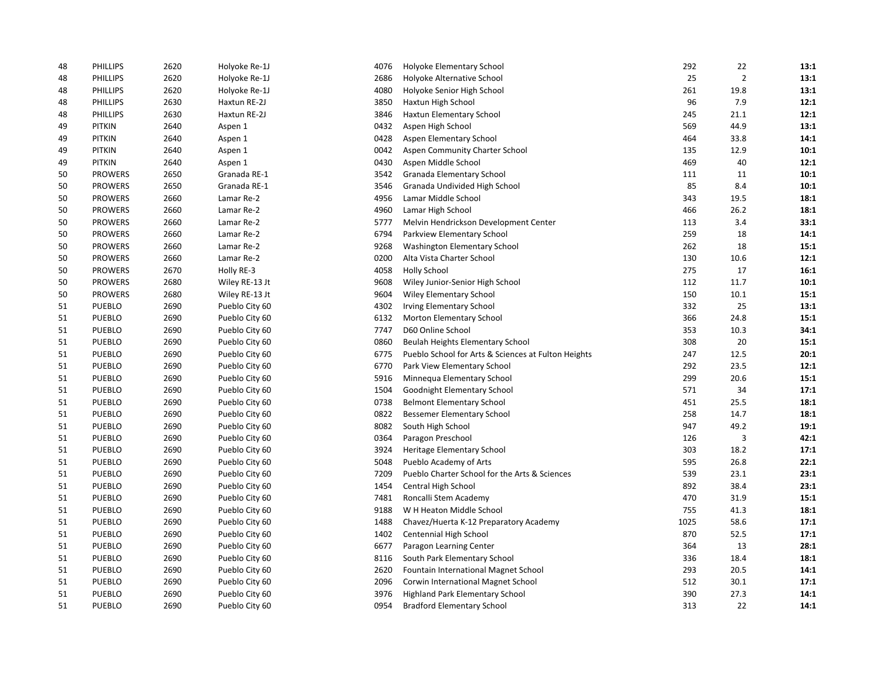| 48 | <b>PHILLIPS</b> | 2620 | Holyoke Re-1J  | 4076 | Holyoke Elementary School                           | 292  | 22             | 13:1 |
|----|-----------------|------|----------------|------|-----------------------------------------------------|------|----------------|------|
| 48 | PHILLIPS        | 2620 | Holyoke Re-1J  | 2686 | Holyoke Alternative School                          | 25   | $\overline{2}$ | 13:1 |
| 48 | <b>PHILLIPS</b> | 2620 | Holyoke Re-1J  | 4080 | Holyoke Senior High School                          | 261  | 19.8           | 13:1 |
| 48 | <b>PHILLIPS</b> | 2630 | Haxtun RE-2J   | 3850 | Haxtun High School                                  | 96   | 7.9            | 12:1 |
| 48 | <b>PHILLIPS</b> | 2630 | Haxtun RE-2J   | 3846 | Haxtun Elementary School                            | 245  | 21.1           | 12:1 |
| 49 | <b>PITKIN</b>   | 2640 | Aspen 1        | 0432 | Aspen High School                                   | 569  | 44.9           | 13:1 |
| 49 | <b>PITKIN</b>   | 2640 | Aspen 1        | 0428 | Aspen Elementary School                             | 464  | 33.8           | 14:1 |
| 49 | <b>PITKIN</b>   | 2640 | Aspen 1        | 0042 | Aspen Community Charter School                      | 135  | 12.9           | 10:1 |
| 49 | <b>PITKIN</b>   | 2640 | Aspen 1        | 0430 | Aspen Middle School                                 | 469  | 40             | 12:1 |
| 50 | <b>PROWERS</b>  | 2650 | Granada RE-1   | 3542 | Granada Elementary School                           | 111  | 11             | 10:1 |
| 50 | <b>PROWERS</b>  | 2650 | Granada RE-1   | 3546 | Granada Undivided High School                       | 85   | 8.4            | 10:1 |
| 50 | <b>PROWERS</b>  | 2660 | Lamar Re-2     | 4956 | Lamar Middle School                                 | 343  | 19.5           | 18:1 |
| 50 | <b>PROWERS</b>  | 2660 | Lamar Re-2     | 4960 | Lamar High School                                   | 466  | 26.2           | 18:1 |
| 50 | <b>PROWERS</b>  | 2660 | Lamar Re-2     | 5777 | Melvin Hendrickson Development Center               | 113  | 3.4            | 33:1 |
| 50 | <b>PROWERS</b>  | 2660 | Lamar Re-2     | 6794 | Parkview Elementary School                          | 259  | 18             | 14:1 |
| 50 | <b>PROWERS</b>  | 2660 | Lamar Re-2     | 9268 | Washington Elementary School                        | 262  | 18             | 15:1 |
| 50 | <b>PROWERS</b>  | 2660 | Lamar Re-2     | 0200 | Alta Vista Charter School                           | 130  | 10.6           | 12:1 |
| 50 | <b>PROWERS</b>  | 2670 | Holly RE-3     | 4058 | <b>Holly School</b>                                 | 275  | 17             | 16:1 |
| 50 | <b>PROWERS</b>  | 2680 | Wiley RE-13 Jt | 9608 | Wiley Junior-Senior High School                     | 112  | 11.7           | 10:1 |
| 50 | <b>PROWERS</b>  | 2680 | Wiley RE-13 Jt | 9604 | <b>Wiley Elementary School</b>                      | 150  | 10.1           | 15:1 |
| 51 | <b>PUEBLO</b>   | 2690 | Pueblo City 60 | 4302 | <b>Irving Elementary School</b>                     | 332  | 25             | 13:1 |
| 51 | <b>PUEBLO</b>   | 2690 | Pueblo City 60 | 6132 | Morton Elementary School                            | 366  | 24.8           | 15:1 |
| 51 | <b>PUEBLO</b>   | 2690 | Pueblo City 60 | 7747 | D60 Online School                                   | 353  | 10.3           | 34:1 |
| 51 | <b>PUEBLO</b>   | 2690 | Pueblo City 60 | 0860 | Beulah Heights Elementary School                    | 308  | 20             | 15:1 |
| 51 | <b>PUEBLO</b>   | 2690 | Pueblo City 60 | 6775 | Pueblo School for Arts & Sciences at Fulton Heights | 247  | 12.5           | 20:1 |
| 51 | <b>PUEBLO</b>   | 2690 | Pueblo City 60 | 6770 | Park View Elementary School                         | 292  | 23.5           | 12:1 |
| 51 | <b>PUEBLO</b>   | 2690 | Pueblo City 60 | 5916 | Minnequa Elementary School                          | 299  | 20.6           | 15:1 |
| 51 | <b>PUEBLO</b>   | 2690 | Pueblo City 60 | 1504 | Goodnight Elementary School                         | 571  | 34             | 17:1 |
| 51 | <b>PUEBLO</b>   | 2690 | Pueblo City 60 | 0738 | <b>Belmont Elementary School</b>                    | 451  | 25.5           | 18:1 |
| 51 | <b>PUEBLO</b>   | 2690 | Pueblo City 60 | 0822 | <b>Bessemer Elementary School</b>                   | 258  | 14.7           | 18:1 |
| 51 | <b>PUEBLO</b>   | 2690 | Pueblo City 60 | 8082 | South High School                                   | 947  | 49.2           | 19:1 |
| 51 | PUEBLO          | 2690 | Pueblo City 60 | 0364 | Paragon Preschool                                   | 126  | 3              | 42:1 |
| 51 | <b>PUEBLO</b>   | 2690 | Pueblo City 60 | 3924 | Heritage Elementary School                          | 303  | 18.2           | 17:1 |
| 51 | PUEBLO          | 2690 | Pueblo City 60 | 5048 | Pueblo Academy of Arts                              | 595  | 26.8           | 22:1 |
| 51 | <b>PUEBLO</b>   | 2690 | Pueblo City 60 | 7209 | Pueblo Charter School for the Arts & Sciences       | 539  | 23.1           | 23:1 |
| 51 | <b>PUEBLO</b>   | 2690 | Pueblo City 60 | 1454 | Central High School                                 | 892  | 38.4           | 23:1 |
| 51 | <b>PUEBLO</b>   | 2690 | Pueblo City 60 | 7481 | Roncalli Stem Academy                               | 470  | 31.9           | 15:1 |
| 51 | <b>PUEBLO</b>   | 2690 | Pueblo City 60 | 9188 | W H Heaton Middle School                            | 755  | 41.3           | 18:1 |
| 51 | <b>PUEBLO</b>   | 2690 | Pueblo City 60 | 1488 | Chavez/Huerta K-12 Preparatory Academy              | 1025 | 58.6           | 17:1 |
| 51 | PUEBLO          | 2690 | Pueblo City 60 | 1402 | Centennial High School                              | 870  | 52.5           | 17:1 |
| 51 | <b>PUEBLO</b>   | 2690 | Pueblo City 60 | 6677 | Paragon Learning Center                             | 364  | 13             | 28:1 |
| 51 | <b>PUEBLO</b>   | 2690 | Pueblo City 60 | 8116 | South Park Elementary School                        | 336  | 18.4           | 18:1 |
| 51 | PUEBLO          | 2690 | Pueblo City 60 | 2620 | Fountain International Magnet School                | 293  | 20.5           | 14:1 |
| 51 | PUEBLO          | 2690 | Pueblo City 60 | 2096 | Corwin International Magnet School                  | 512  | 30.1           | 17:1 |
| 51 | <b>PUEBLO</b>   | 2690 | Pueblo City 60 | 3976 | <b>Highland Park Elementary School</b>              | 390  | 27.3           | 14:1 |
| 51 | <b>PUEBLO</b>   | 2690 | Pueblo City 60 | 0954 | <b>Bradford Elementary School</b>                   | 313  | 22             | 14:1 |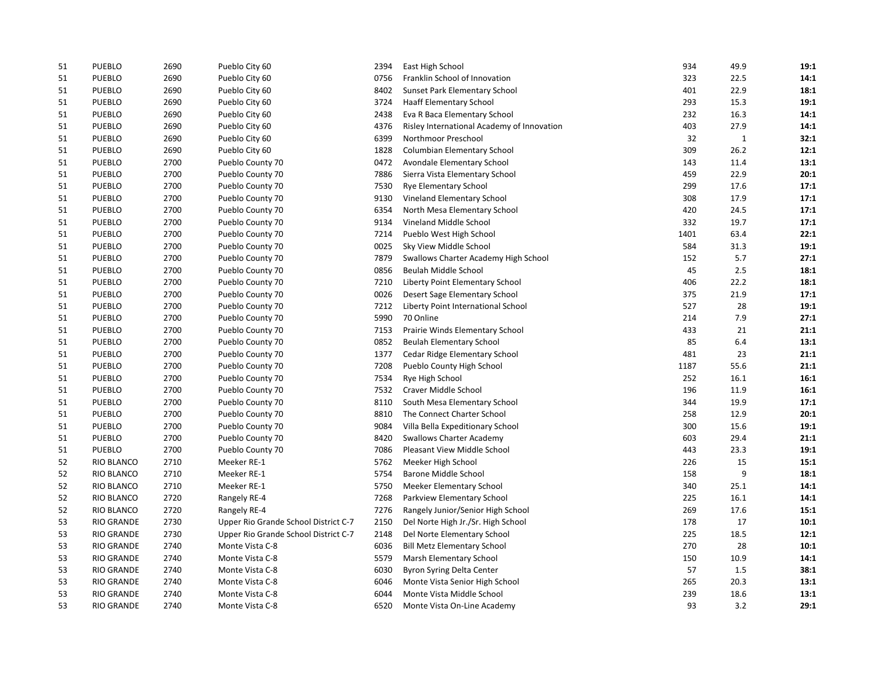| 51 | PUEBLO            | 2690 | Pueblo City 60                       | 2394 | East High School                           | 934  | 49.9        | 19:1 |
|----|-------------------|------|--------------------------------------|------|--------------------------------------------|------|-------------|------|
| 51 | <b>PUEBLO</b>     | 2690 | Pueblo City 60                       | 0756 | Franklin School of Innovation              | 323  | 22.5        | 14:1 |
| 51 | <b>PUEBLO</b>     | 2690 | Pueblo City 60                       | 8402 | Sunset Park Elementary School              | 401  | 22.9        | 18:1 |
| 51 | <b>PUEBLO</b>     | 2690 | Pueblo City 60                       | 3724 | <b>Haaff Elementary School</b>             | 293  | 15.3        | 19:1 |
| 51 | <b>PUEBLO</b>     | 2690 | Pueblo City 60                       | 2438 | Eva R Baca Elementary School               | 232  | 16.3        | 14:1 |
| 51 | <b>PUEBLO</b>     | 2690 | Pueblo City 60                       | 4376 | Risley International Academy of Innovation | 403  | 27.9        | 14:1 |
| 51 | <b>PUEBLO</b>     | 2690 | Pueblo City 60                       | 6399 | Northmoor Preschool                        | 32   | $\mathbf 1$ | 32:1 |
| 51 | <b>PUEBLO</b>     | 2690 | Pueblo City 60                       | 1828 | Columbian Elementary School                | 309  | 26.2        | 12:1 |
| 51 | <b>PUEBLO</b>     | 2700 | Pueblo County 70                     | 0472 | Avondale Elementary School                 | 143  | 11.4        | 13:1 |
| 51 | <b>PUEBLO</b>     | 2700 | Pueblo County 70                     | 7886 | Sierra Vista Elementary School             | 459  | 22.9        | 20:1 |
| 51 | <b>PUEBLO</b>     | 2700 | Pueblo County 70                     | 7530 | <b>Rye Elementary School</b>               | 299  | 17.6        | 17:1 |
| 51 | <b>PUEBLO</b>     | 2700 | Pueblo County 70                     | 9130 | Vineland Elementary School                 | 308  | 17.9        | 17:1 |
| 51 | <b>PUEBLO</b>     | 2700 | Pueblo County 70                     | 6354 | North Mesa Elementary School               | 420  | 24.5        | 17:1 |
| 51 | <b>PUEBLO</b>     | 2700 | Pueblo County 70                     | 9134 | Vineland Middle School                     | 332  | 19.7        | 17:1 |
| 51 | <b>PUEBLO</b>     | 2700 | Pueblo County 70                     | 7214 | Pueblo West High School                    | 1401 | 63.4        | 22:1 |
| 51 | PUEBLO            | 2700 | Pueblo County 70                     | 0025 | Sky View Middle School                     | 584  | 31.3        | 19:1 |
| 51 | <b>PUEBLO</b>     | 2700 | Pueblo County 70                     | 7879 | Swallows Charter Academy High School       | 152  | 5.7         | 27:1 |
| 51 | PUEBLO            | 2700 | Pueblo County 70                     | 0856 | Beulah Middle School                       | 45   | 2.5         | 18:1 |
| 51 | <b>PUEBLO</b>     | 2700 | Pueblo County 70                     | 7210 | Liberty Point Elementary School            | 406  | 22.2        | 18:1 |
| 51 | <b>PUEBLO</b>     | 2700 | Pueblo County 70                     | 0026 | Desert Sage Elementary School              | 375  | 21.9        | 17:1 |
| 51 | <b>PUEBLO</b>     | 2700 | Pueblo County 70                     | 7212 | Liberty Point International School         | 527  | 28          | 19:1 |
| 51 | <b>PUEBLO</b>     | 2700 | Pueblo County 70                     | 5990 | 70 Online                                  | 214  | 7.9         | 27:1 |
| 51 | <b>PUEBLO</b>     | 2700 | Pueblo County 70                     | 7153 | Prairie Winds Elementary School            | 433  | 21          | 21:1 |
| 51 | PUEBLO            | 2700 | Pueblo County 70                     | 0852 | <b>Beulah Elementary School</b>            | 85   | 6.4         | 13:1 |
| 51 | <b>PUEBLO</b>     | 2700 | Pueblo County 70                     | 1377 | Cedar Ridge Elementary School              | 481  | 23          | 21:1 |
| 51 | <b>PUEBLO</b>     | 2700 | Pueblo County 70                     | 7208 | Pueblo County High School                  | 1187 | 55.6        | 21:1 |
| 51 | PUEBLO            | 2700 | Pueblo County 70                     | 7534 | Rye High School                            | 252  | 16.1        | 16:1 |
| 51 | <b>PUEBLO</b>     | 2700 | Pueblo County 70                     | 7532 | Craver Middle School                       | 196  | 11.9        | 16:1 |
| 51 | PUEBLO            | 2700 | Pueblo County 70                     | 8110 | South Mesa Elementary School               | 344  | 19.9        | 17:1 |
| 51 | <b>PUEBLO</b>     | 2700 | Pueblo County 70                     | 8810 | The Connect Charter School                 | 258  | 12.9        | 20:1 |
| 51 | <b>PUEBLO</b>     | 2700 | Pueblo County 70                     | 9084 | Villa Bella Expeditionary School           | 300  | 15.6        | 19:1 |
| 51 | <b>PUEBLO</b>     | 2700 | Pueblo County 70                     | 8420 | <b>Swallows Charter Academy</b>            | 603  | 29.4        | 21:1 |
| 51 | <b>PUEBLO</b>     | 2700 | Pueblo County 70                     | 7086 | Pleasant View Middle School                | 443  | 23.3        | 19:1 |
| 52 | <b>RIO BLANCO</b> | 2710 | Meeker RE-1                          | 5762 | Meeker High School                         | 226  | 15          | 15:1 |
| 52 | RIO BLANCO        | 2710 | Meeker RE-1                          | 5754 | Barone Middle School                       | 158  | 9           | 18:1 |
| 52 | <b>RIO BLANCO</b> | 2710 | Meeker RE-1                          | 5750 | <b>Meeker Elementary School</b>            | 340  | 25.1        | 14:1 |
| 52 | <b>RIO BLANCO</b> | 2720 | Rangely RE-4                         | 7268 | Parkview Elementary School                 | 225  | 16.1        | 14:1 |
| 52 | <b>RIO BLANCO</b> | 2720 | Rangely RE-4                         | 7276 | Rangely Junior/Senior High School          | 269  | 17.6        | 15:1 |
| 53 | <b>RIO GRANDE</b> | 2730 | Upper Rio Grande School District C-7 | 2150 | Del Norte High Jr./Sr. High School         | 178  | 17          | 10:1 |
| 53 | RIO GRANDE        | 2730 | Upper Rio Grande School District C-7 | 2148 | Del Norte Elementary School                | 225  | 18.5        | 12:1 |
| 53 | RIO GRANDE        | 2740 | Monte Vista C-8                      | 6036 | <b>Bill Metz Elementary School</b>         | 270  | 28          | 10:1 |
| 53 | <b>RIO GRANDE</b> | 2740 | Monte Vista C-8                      | 5579 | Marsh Elementary School                    | 150  | 10.9        | 14:1 |
| 53 | RIO GRANDE        | 2740 | Monte Vista C-8                      | 6030 | Byron Syring Delta Center                  | 57   | 1.5         | 38:1 |
| 53 | RIO GRANDE        | 2740 | Monte Vista C-8                      | 6046 | Monte Vista Senior High School             | 265  | 20.3        | 13:1 |
| 53 | <b>RIO GRANDE</b> | 2740 | Monte Vista C-8                      | 6044 | Monte Vista Middle School                  | 239  | 18.6        | 13:1 |
| 53 | <b>RIO GRANDE</b> | 2740 | Monte Vista C-8                      | 6520 | Monte Vista On-Line Academy                | 93   | 3.2         | 29:1 |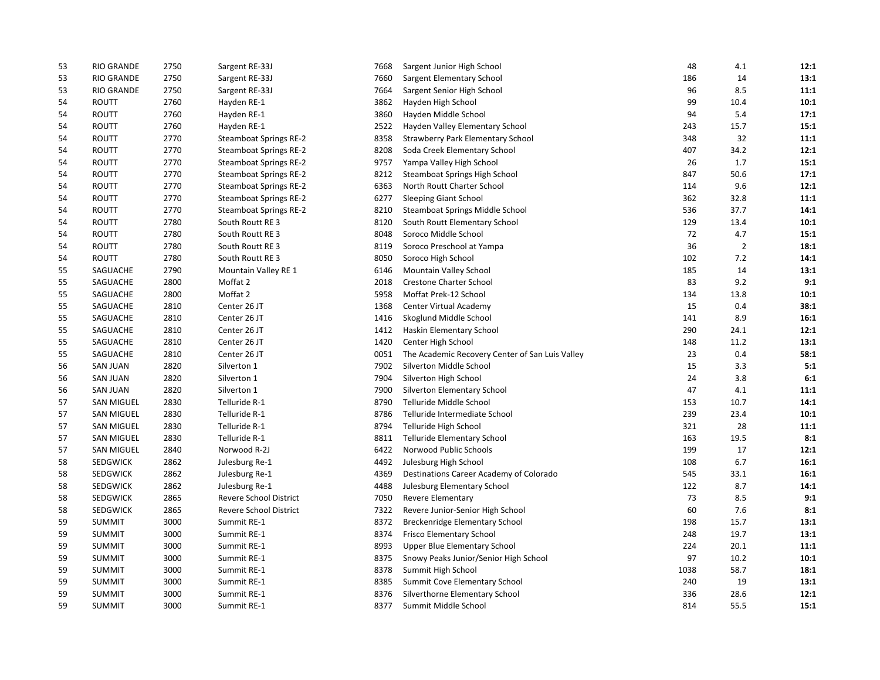| 53 | RIO GRANDE        | 2750 | Sargent RE-33J                | 7668 | Sargent Junior High School                      | 48   | 4.1            | 12:1 |
|----|-------------------|------|-------------------------------|------|-------------------------------------------------|------|----------------|------|
| 53 | <b>RIO GRANDE</b> | 2750 | Sargent RE-33J                | 7660 | Sargent Elementary School                       | 186  | 14             | 13:1 |
| 53 | RIO GRANDE        | 2750 | Sargent RE-33J                | 7664 | Sargent Senior High School                      | 96   | 8.5            | 11:1 |
| 54 | ROUTT             | 2760 | Hayden RE-1                   | 3862 | Hayden High School                              | 99   | 10.4           | 10:1 |
| 54 | <b>ROUTT</b>      | 2760 | Hayden RE-1                   | 3860 | Hayden Middle School                            | 94   | 5.4            | 17:1 |
| 54 | <b>ROUTT</b>      | 2760 | Hayden RE-1                   | 2522 | Hayden Valley Elementary School                 | 243  | 15.7           | 15:1 |
| 54 | <b>ROUTT</b>      | 2770 | <b>Steamboat Springs RE-2</b> | 8358 | <b>Strawberry Park Elementary School</b>        | 348  | 32             | 11:1 |
| 54 | <b>ROUTT</b>      | 2770 | <b>Steamboat Springs RE-2</b> | 8208 | Soda Creek Elementary School                    | 407  | 34.2           | 12:1 |
| 54 | <b>ROUTT</b>      | 2770 | <b>Steamboat Springs RE-2</b> | 9757 | Yampa Valley High School                        | 26   | 1.7            | 15:1 |
| 54 | <b>ROUTT</b>      | 2770 | <b>Steamboat Springs RE-2</b> | 8212 | Steamboat Springs High School                   | 847  | 50.6           | 17:1 |
| 54 | <b>ROUTT</b>      | 2770 | <b>Steamboat Springs RE-2</b> | 6363 | North Routt Charter School                      | 114  | 9.6            | 12:1 |
| 54 | <b>ROUTT</b>      | 2770 | <b>Steamboat Springs RE-2</b> | 6277 | <b>Sleeping Giant School</b>                    | 362  | 32.8           | 11:1 |
| 54 | <b>ROUTT</b>      | 2770 | <b>Steamboat Springs RE-2</b> | 8210 | Steamboat Springs Middle School                 | 536  | 37.7           | 14:1 |
| 54 | <b>ROUTT</b>      | 2780 | South Routt RE 3              | 8120 | South Routt Elementary School                   | 129  | 13.4           | 10:1 |
| 54 | <b>ROUTT</b>      | 2780 | South Routt RE 3              | 8048 | Soroco Middle School                            | 72   | 4.7            | 15:1 |
| 54 | <b>ROUTT</b>      | 2780 | South Routt RE 3              | 8119 | Soroco Preschool at Yampa                       | 36   | $\overline{2}$ | 18:1 |
| 54 | <b>ROUTT</b>      | 2780 | South Routt RE 3              | 8050 | Soroco High School                              | 102  | 7.2            | 14:1 |
| 55 | SAGUACHE          | 2790 | Mountain Valley RE 1          | 6146 | Mountain Valley School                          | 185  | 14             | 13:1 |
| 55 | SAGUACHE          | 2800 | Moffat 2                      | 2018 | Crestone Charter School                         | 83   | 9.2            | 9:1  |
| 55 | SAGUACHE          | 2800 | Moffat 2                      | 5958 | Moffat Prek-12 School                           | 134  | 13.8           | 10:1 |
| 55 | SAGUACHE          | 2810 | Center 26 JT                  | 1368 | Center Virtual Academy                          | 15   | 0.4            | 38:1 |
| 55 | SAGUACHE          | 2810 | Center 26 JT                  | 1416 | Skoglund Middle School                          | 141  | 8.9            | 16:1 |
| 55 | SAGUACHE          | 2810 | Center 26 JT                  | 1412 | Haskin Elementary School                        | 290  | 24.1           | 12:1 |
| 55 | SAGUACHE          | 2810 | Center 26 JT                  | 1420 | Center High School                              | 148  | 11.2           | 13:1 |
| 55 | SAGUACHE          | 2810 | Center 26 JT                  | 0051 | The Academic Recovery Center of San Luis Valley | 23   | 0.4            | 58:1 |
| 56 | <b>SAN JUAN</b>   | 2820 | Silverton 1                   | 7902 | Silverton Middle School                         | 15   | 3.3            | 5:1  |
| 56 | <b>SAN JUAN</b>   | 2820 | Silverton 1                   | 7904 | Silverton High School                           | 24   | 3.8            | 6:1  |
| 56 | <b>SAN JUAN</b>   | 2820 | Silverton 1                   | 7900 | Silverton Elementary School                     | 47   | 4.1            | 11:1 |
| 57 | <b>SAN MIGUEL</b> | 2830 | Telluride R-1                 | 8790 | Telluride Middle School                         | 153  | 10.7           | 14:1 |
| 57 | <b>SAN MIGUEL</b> | 2830 | Telluride R-1                 | 8786 | Telluride Intermediate School                   | 239  | 23.4           | 10:1 |
| 57 | <b>SAN MIGUEL</b> | 2830 | Telluride R-1                 | 8794 | Telluride High School                           | 321  | 28             | 11:1 |
| 57 | <b>SAN MIGUEL</b> | 2830 | Telluride R-1                 | 8811 | Telluride Elementary School                     | 163  | 19.5           | 8:1  |
| 57 | <b>SAN MIGUEL</b> | 2840 | Norwood R-2J                  | 6422 | Norwood Public Schools                          | 199  | 17             | 12:1 |
| 58 | SEDGWICK          | 2862 | Julesburg Re-1                | 4492 | Julesburg High School                           | 108  | 6.7            | 16:1 |
| 58 | SEDGWICK          | 2862 | Julesburg Re-1                | 4369 | Destinations Career Academy of Colorado         | 545  | 33.1           | 16:1 |
| 58 | SEDGWICK          | 2862 | Julesburg Re-1                | 4488 | Julesburg Elementary School                     | 122  | 8.7            | 14:1 |
| 58 | <b>SEDGWICK</b>   | 2865 | <b>Revere School District</b> | 7050 | Revere Elementary                               | 73   | 8.5            | 9:1  |
| 58 | SEDGWICK          | 2865 | Revere School District        | 7322 | Revere Junior-Senior High School                | 60   | 7.6            | 8:1  |
| 59 | <b>SUMMIT</b>     | 3000 | Summit RE-1                   | 8372 | Breckenridge Elementary School                  | 198  | 15.7           | 13:1 |
| 59 | <b>SUMMIT</b>     | 3000 | Summit RE-1                   | 8374 | Frisco Elementary School                        | 248  | 19.7           | 13:1 |
| 59 | <b>SUMMIT</b>     | 3000 | Summit RE-1                   | 8993 | <b>Upper Blue Elementary School</b>             | 224  | 20.1           | 11:1 |
| 59 | SUMMIT            | 3000 | Summit RE-1                   | 8375 | Snowy Peaks Junior/Senior High School           | 97   | 10.2           | 10:1 |
| 59 | <b>SUMMIT</b>     | 3000 | Summit RE-1                   | 8378 | Summit High School                              | 1038 | 58.7           | 18:1 |
| 59 | <b>SUMMIT</b>     | 3000 | Summit RE-1                   | 8385 | Summit Cove Elementary School                   | 240  | 19             | 13:1 |
| 59 | <b>SUMMIT</b>     | 3000 | Summit RE-1                   | 8376 | Silverthorne Elementary School                  | 336  | 28.6           | 12:1 |
| 59 | <b>SUMMIT</b>     | 3000 | Summit RE-1                   | 8377 | Summit Middle School                            | 814  | 55.5           | 15:1 |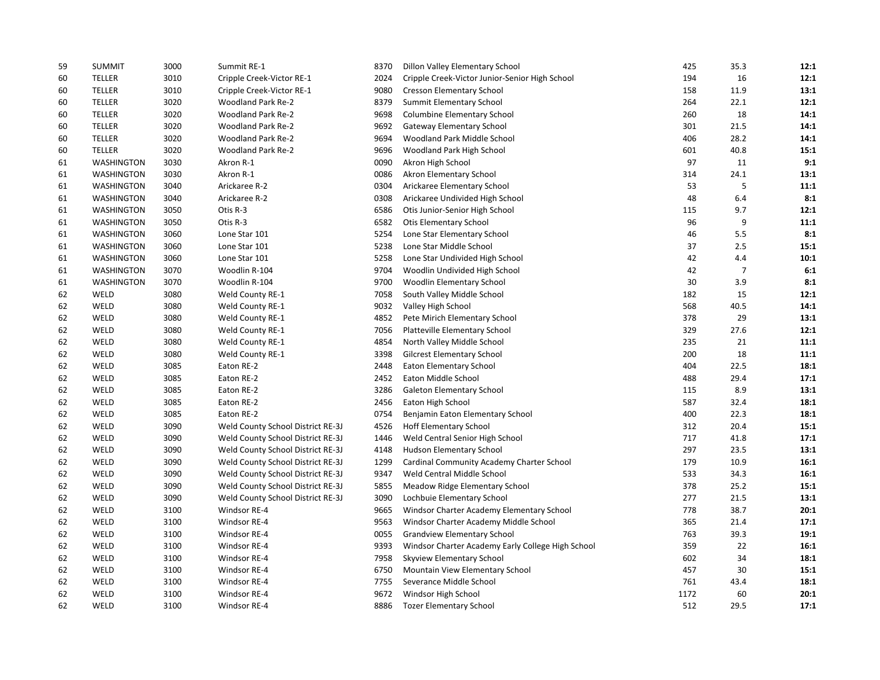| 59 | <b>SUMMIT</b>     | 3000 | Summit RE-1                       | 8370 | Dillon Valley Elementary School                   | 425  | 35.3           | 12:1 |
|----|-------------------|------|-----------------------------------|------|---------------------------------------------------|------|----------------|------|
| 60 | TELLER            | 3010 | Cripple Creek-Victor RE-1         | 2024 | Cripple Creek-Victor Junior-Senior High School    | 194  | 16             | 12:1 |
| 60 | TELLER            | 3010 | Cripple Creek-Victor RE-1         | 9080 | <b>Cresson Elementary School</b>                  | 158  | 11.9           | 13:1 |
| 60 | <b>TELLER</b>     | 3020 | Woodland Park Re-2                | 8379 | Summit Elementary School                          | 264  | 22.1           | 12:1 |
| 60 | <b>TELLER</b>     | 3020 | Woodland Park Re-2                | 9698 | Columbine Elementary School                       | 260  | 18             | 14:1 |
| 60 | <b>TELLER</b>     | 3020 | Woodland Park Re-2                | 9692 | <b>Gateway Elementary School</b>                  | 301  | 21.5           | 14:1 |
| 60 | <b>TELLER</b>     | 3020 | Woodland Park Re-2                | 9694 | Woodland Park Middle School                       | 406  | 28.2           | 14:1 |
| 60 | TELLER            | 3020 | Woodland Park Re-2                | 9696 | Woodland Park High School                         | 601  | 40.8           | 15:1 |
| 61 | <b>WASHINGTON</b> | 3030 | Akron R-1                         | 0090 | Akron High School                                 | 97   | 11             | 9:1  |
| 61 | WASHINGTON        | 3030 | Akron R-1                         | 0086 | Akron Elementary School                           | 314  | 24.1           | 13:1 |
| 61 | WASHINGTON        | 3040 | Arickaree R-2                     | 0304 | Arickaree Elementary School                       | 53   | 5              | 11:1 |
| 61 | <b>WASHINGTON</b> | 3040 | Arickaree R-2                     | 0308 | Arickaree Undivided High School                   | 48   | 6.4            | 8:1  |
| 61 | WASHINGTON        | 3050 | Otis R-3                          | 6586 | Otis Junior-Senior High School                    | 115  | 9.7            | 12:1 |
| 61 | <b>WASHINGTON</b> | 3050 | Otis R-3                          | 6582 | <b>Otis Elementary School</b>                     | 96   | 9              | 11:1 |
| 61 | WASHINGTON        | 3060 | Lone Star 101                     | 5254 | Lone Star Elementary School                       | 46   | 5.5            | 8:1  |
| 61 | <b>WASHINGTON</b> | 3060 | Lone Star 101                     | 5238 | Lone Star Middle School                           | 37   | 2.5            | 15:1 |
| 61 | <b>WASHINGTON</b> | 3060 | Lone Star 101                     | 5258 | Lone Star Undivided High School                   | 42   | 4.4            | 10:1 |
| 61 | WASHINGTON        | 3070 | Woodlin R-104                     | 9704 | Woodlin Undivided High School                     | 42   | $\overline{7}$ | 6:1  |
| 61 | WASHINGTON        | 3070 | Woodlin R-104                     | 9700 | Woodlin Elementary School                         | 30   | 3.9            | 8:1  |
| 62 | WELD              | 3080 | Weld County RE-1                  | 7058 | South Valley Middle School                        | 182  | 15             | 12:1 |
| 62 | WELD              | 3080 | Weld County RE-1                  | 9032 | Valley High School                                | 568  | 40.5           | 14:1 |
| 62 | WELD              | 3080 | Weld County RE-1                  | 4852 | Pete Mirich Elementary School                     | 378  | 29             | 13:1 |
| 62 | WELD              | 3080 | Weld County RE-1                  | 7056 | Platteville Elementary School                     | 329  | 27.6           | 12:1 |
| 62 | WELD              | 3080 | Weld County RE-1                  | 4854 | North Valley Middle School                        | 235  | 21             | 11:1 |
| 62 | WELD              | 3080 | Weld County RE-1                  | 3398 | <b>Gilcrest Elementary School</b>                 | 200  | 18             | 11:1 |
| 62 | WELD              | 3085 | Eaton RE-2                        | 2448 | <b>Eaton Elementary School</b>                    | 404  | 22.5           | 18:1 |
| 62 | WELD              | 3085 | Eaton RE-2                        | 2452 | Eaton Middle School                               | 488  | 29.4           | 17:1 |
| 62 | WELD              | 3085 | Eaton RE-2                        | 3286 | Galeton Elementary School                         | 115  | 8.9            | 13:1 |
| 62 | WELD              | 3085 | Eaton RE-2                        | 2456 | Eaton High School                                 | 587  | 32.4           | 18:1 |
| 62 | WELD              | 3085 | Eaton RE-2                        | 0754 | Benjamin Eaton Elementary School                  | 400  | 22.3           | 18:1 |
| 62 | WELD              | 3090 | Weld County School District RE-3J | 4526 | <b>Hoff Elementary School</b>                     | 312  | 20.4           | 15:1 |
| 62 | WELD              | 3090 | Weld County School District RE-3J | 1446 | Weld Central Senior High School                   | 717  | 41.8           | 17:1 |
| 62 | WELD              | 3090 | Weld County School District RE-3J | 4148 | Hudson Elementary School                          | 297  | 23.5           | 13:1 |
| 62 | WELD              | 3090 | Weld County School District RE-3J | 1299 | Cardinal Community Academy Charter School         | 179  | 10.9           | 16:1 |
| 62 | WELD              | 3090 | Weld County School District RE-3J | 9347 | Weld Central Middle School                        | 533  | 34.3           | 16:1 |
| 62 | WELD              | 3090 | Weld County School District RE-3J | 5855 | Meadow Ridge Elementary School                    | 378  | 25.2           | 15:1 |
| 62 | WELD              | 3090 | Weld County School District RE-3J | 3090 | Lochbuie Elementary School                        | 277  | 21.5           | 13:1 |
| 62 | WELD              | 3100 | Windsor RE-4                      | 9665 | Windsor Charter Academy Elementary School         | 778  | 38.7           | 20:1 |
| 62 | WELD              | 3100 | Windsor RE-4                      | 9563 | Windsor Charter Academy Middle School             | 365  | 21.4           | 17:1 |
| 62 | WELD              | 3100 | Windsor RE-4                      | 0055 | <b>Grandview Elementary School</b>                | 763  | 39.3           | 19:1 |
| 62 | WELD              | 3100 | Windsor RE-4                      | 9393 | Windsor Charter Academy Early College High School | 359  | 22             | 16:1 |
| 62 | WELD              | 3100 | Windsor RE-4                      | 7958 | Skyview Elementary School                         | 602  | 34             | 18:1 |
| 62 | WELD              | 3100 | Windsor RE-4                      | 6750 | Mountain View Elementary School                   | 457  | 30             | 15:1 |
| 62 | WELD              | 3100 | Windsor RE-4                      | 7755 | Severance Middle School                           | 761  | 43.4           | 18:1 |
| 62 | WELD              | 3100 | Windsor RE-4                      | 9672 | Windsor High School                               | 1172 | 60             | 20:1 |
| 62 | WELD              | 3100 | Windsor RE-4                      | 8886 | <b>Tozer Elementary School</b>                    | 512  | 29.5           | 17:1 |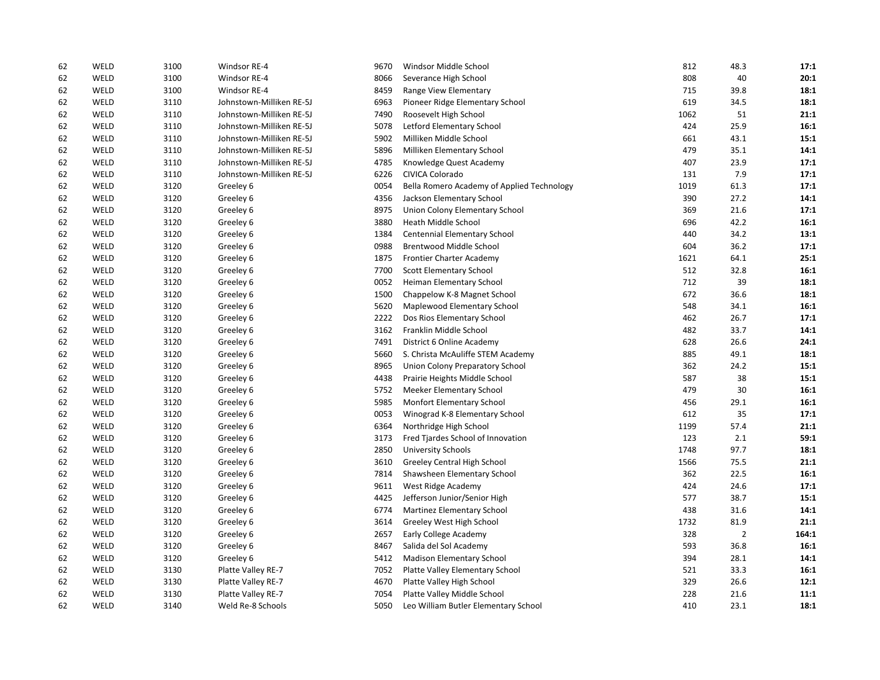| 62 | WELD | 3100 | Windsor RE-4             | 9670 | Windsor Middle School                      | 812  | 48.3           | 17:1  |
|----|------|------|--------------------------|------|--------------------------------------------|------|----------------|-------|
| 62 | WELD | 3100 | Windsor RE-4             | 8066 | Severance High School                      | 808  | 40             | 20:1  |
| 62 | WELD | 3100 | Windsor RE-4             | 8459 | Range View Elementary                      | 715  | 39.8           | 18:1  |
| 62 | WELD | 3110 | Johnstown-Milliken RE-5J | 6963 | Pioneer Ridge Elementary School            | 619  | 34.5           | 18:1  |
| 62 | WELD | 3110 | Johnstown-Milliken RE-5J | 7490 | Roosevelt High School                      | 1062 | 51             | 21:1  |
| 62 | WELD | 3110 | Johnstown-Milliken RE-5J | 5078 | Letford Elementary School                  | 424  | 25.9           | 16:1  |
| 62 | WELD | 3110 | Johnstown-Milliken RE-5J | 5902 | Milliken Middle School                     | 661  | 43.1           | 15:1  |
| 62 | WELD | 3110 | Johnstown-Milliken RE-5J | 5896 | Milliken Elementary School                 | 479  | 35.1           | 14:1  |
| 62 | WELD | 3110 | Johnstown-Milliken RE-5J | 4785 | Knowledge Quest Academy                    | 407  | 23.9           | 17:1  |
| 62 | WELD | 3110 | Johnstown-Milliken RE-5J | 6226 | CIVICA Colorado                            | 131  | 7.9            | 17:1  |
| 62 | WELD | 3120 | Greeley 6                | 0054 | Bella Romero Academy of Applied Technology | 1019 | 61.3           | 17:1  |
| 62 | WELD | 3120 | Greeley 6                | 4356 | Jackson Elementary School                  | 390  | 27.2           | 14:1  |
| 62 | WELD | 3120 | Greeley 6                | 8975 | Union Colony Elementary School             | 369  | 21.6           | 17:1  |
| 62 | WELD | 3120 | Greeley 6                | 3880 | Heath Middle School                        | 696  | 42.2           | 16:1  |
| 62 | WELD | 3120 | Greeley 6                | 1384 | Centennial Elementary School               | 440  | 34.2           | 13:1  |
| 62 | WELD | 3120 | Greeley 6                | 0988 | Brentwood Middle School                    | 604  | 36.2           | 17:1  |
| 62 | WELD | 3120 | Greeley 6                | 1875 | Frontier Charter Academy                   | 1621 | 64.1           | 25:1  |
| 62 | WELD | 3120 | Greeley 6                | 7700 | Scott Elementary School                    | 512  | 32.8           | 16:1  |
| 62 | WELD | 3120 | Greeley 6                | 0052 | Heiman Elementary School                   | 712  | 39             | 18:1  |
| 62 | WELD | 3120 | Greeley 6                | 1500 | Chappelow K-8 Magnet School                | 672  | 36.6           | 18:1  |
| 62 | WELD | 3120 | Greeley 6                | 5620 | Maplewood Elementary School                | 548  | 34.1           | 16:1  |
| 62 | WELD | 3120 | Greeley 6                | 2222 | Dos Rios Elementary School                 | 462  | 26.7           | 17:1  |
| 62 | WELD | 3120 | Greeley 6                | 3162 | Franklin Middle School                     | 482  | 33.7           | 14:1  |
| 62 | WELD | 3120 | Greeley 6                | 7491 | District 6 Online Academy                  | 628  | 26.6           | 24:1  |
| 62 | WELD | 3120 | Greeley 6                | 5660 | S. Christa McAuliffe STEM Academy          | 885  | 49.1           | 18:1  |
| 62 | WELD | 3120 | Greeley 6                | 8965 | Union Colony Preparatory School            | 362  | 24.2           | 15:1  |
| 62 | WELD | 3120 | Greeley 6                | 4438 | Prairie Heights Middle School              | 587  | 38             | 15:1  |
| 62 | WELD | 3120 | Greeley 6                | 5752 | Meeker Elementary School                   | 479  | 30             | 16:1  |
| 62 | WELD | 3120 | Greeley 6                | 5985 | Monfort Elementary School                  | 456  | 29.1           | 16:1  |
| 62 | WELD | 3120 | Greeley 6                | 0053 | Winograd K-8 Elementary School             | 612  | 35             | 17:1  |
| 62 | WELD | 3120 | Greeley 6                | 6364 | Northridge High School                     | 1199 | 57.4           | 21:1  |
| 62 | WELD | 3120 | Greeley 6                | 3173 | Fred Tjardes School of Innovation          | 123  | 2.1            | 59:1  |
| 62 | WELD | 3120 | Greeley 6                | 2850 | University Schools                         | 1748 | 97.7           | 18:1  |
| 62 | WELD | 3120 | Greeley 6                | 3610 | Greeley Central High School                | 1566 | 75.5           | 21:1  |
| 62 | WELD | 3120 | Greeley 6                | 7814 | Shawsheen Elementary School                | 362  | 22.5           | 16:1  |
| 62 | WELD | 3120 | Greeley 6                | 9611 | West Ridge Academy                         | 424  | 24.6           | 17:1  |
| 62 | WELD | 3120 | Greeley 6                | 4425 | Jefferson Junior/Senior High               | 577  | 38.7           | 15:1  |
| 62 | WELD | 3120 | Greeley 6                | 6774 | Martinez Elementary School                 | 438  | 31.6           | 14:1  |
| 62 | WELD | 3120 | Greeley 6                | 3614 | Greeley West High School                   | 1732 | 81.9           | 21:1  |
| 62 | WELD | 3120 | Greeley 6                | 2657 | Early College Academy                      | 328  | $\overline{2}$ | 164:1 |
| 62 | WELD | 3120 | Greeley 6                | 8467 | Salida del Sol Academy                     | 593  | 36.8           | 16:1  |
| 62 | WELD | 3120 | Greeley 6                | 5412 | <b>Madison Elementary School</b>           | 394  | 28.1           | 14:1  |
| 62 | WELD | 3130 | Platte Valley RE-7       | 7052 | Platte Valley Elementary School            | 521  | 33.3           | 16:1  |
| 62 | WELD | 3130 | Platte Valley RE-7       | 4670 | Platte Valley High School                  | 329  | 26.6           | 12:1  |
| 62 | WELD | 3130 | Platte Valley RE-7       | 7054 | Platte Valley Middle School                | 228  | 21.6           | 11:1  |
| 62 | WELD | 3140 | Weld Re-8 Schools        | 5050 | Leo William Butler Elementary School       | 410  | 23.1           | 18:1  |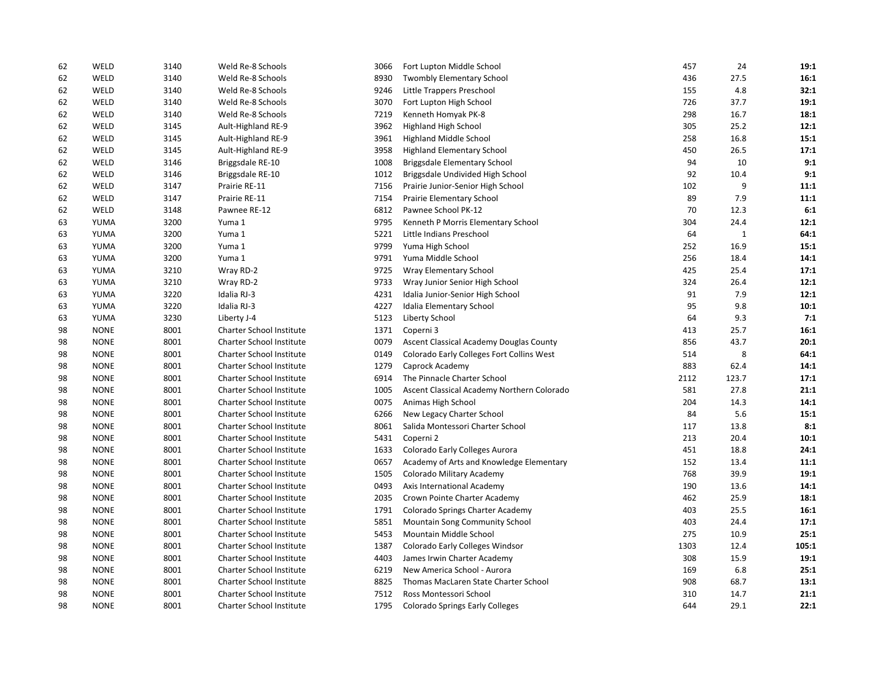| 62 | WELD        | 3140 | Weld Re-8 Schools               | 3066 | Fort Lupton Middle School                  | 457  | 24           | 19:1  |
|----|-------------|------|---------------------------------|------|--------------------------------------------|------|--------------|-------|
| 62 | WELD        | 3140 | Weld Re-8 Schools               | 8930 | Twombly Elementary School                  | 436  | 27.5         | 16:1  |
| 62 | WELD        | 3140 | Weld Re-8 Schools               | 9246 | Little Trappers Preschool                  | 155  | 4.8          | 32:1  |
| 62 | WELD        | 3140 | Weld Re-8 Schools               | 3070 | Fort Lupton High School                    | 726  | 37.7         | 19:1  |
| 62 | WELD        | 3140 | Weld Re-8 Schools               | 7219 | Kenneth Homyak PK-8                        | 298  | 16.7         | 18:1  |
| 62 | WELD        | 3145 | Ault-Highland RE-9              | 3962 | Highland High School                       | 305  | 25.2         | 12:1  |
| 62 | WELD        | 3145 | Ault-Highland RE-9              | 3961 | <b>Highland Middle School</b>              | 258  | 16.8         | 15:1  |
| 62 | WELD        | 3145 | Ault-Highland RE-9              | 3958 | Highland Elementary School                 | 450  | 26.5         | 17:1  |
| 62 | WELD        | 3146 | Briggsdale RE-10                | 1008 | Briggsdale Elementary School               | 94   | 10           | 9:1   |
| 62 | WELD        | 3146 | Briggsdale RE-10                | 1012 | Briggsdale Undivided High School           | 92   | 10.4         | 9:1   |
| 62 | WELD        | 3147 | Prairie RE-11                   | 7156 | Prairie Junior-Senior High School          | 102  | 9            | 11:1  |
| 62 | WELD        | 3147 | Prairie RE-11                   | 7154 | Prairie Elementary School                  | 89   | 7.9          | 11:1  |
| 62 | WELD        | 3148 | Pawnee RE-12                    | 6812 | Pawnee School PK-12                        | 70   | 12.3         | 6:1   |
| 63 | YUMA        | 3200 | Yuma 1                          | 9795 | Kenneth P Morris Elementary School         | 304  | 24.4         | 12:1  |
| 63 | YUMA        | 3200 | Yuma 1                          | 5221 | Little Indians Preschool                   | 64   | $\mathbf{1}$ | 64:1  |
| 63 | YUMA        | 3200 | Yuma 1                          | 9799 | Yuma High School                           | 252  | 16.9         | 15:1  |
| 63 | YUMA        | 3200 | Yuma 1                          | 9791 | Yuma Middle School                         | 256  | 18.4         | 14:1  |
| 63 | YUMA        | 3210 | Wray RD-2                       | 9725 | Wray Elementary School                     | 425  | 25.4         | 17:1  |
| 63 | YUMA        | 3210 | Wray RD-2                       | 9733 | Wray Junior Senior High School             | 324  | 26.4         | 12:1  |
| 63 | YUMA        | 3220 | Idalia RJ-3                     | 4231 | Idalia Junior-Senior High School           | 91   | 7.9          | 12:1  |
| 63 | YUMA        | 3220 | Idalia RJ-3                     | 4227 | Idalia Elementary School                   | 95   | 9.8          | 10:1  |
| 63 | YUMA        | 3230 | Liberty J-4                     | 5123 | Liberty School                             | 64   | 9.3          | 7:1   |
| 98 | <b>NONE</b> | 8001 | Charter School Institute        | 1371 | Coperni 3                                  | 413  | 25.7         | 16:1  |
| 98 | <b>NONE</b> | 8001 | Charter School Institute        | 0079 | Ascent Classical Academy Douglas County    | 856  | 43.7         | 20:1  |
| 98 | <b>NONE</b> | 8001 | <b>Charter School Institute</b> | 0149 | Colorado Early Colleges Fort Collins West  | 514  | 8            | 64:1  |
| 98 | <b>NONE</b> | 8001 | Charter School Institute        | 1279 | Caprock Academy                            | 883  | 62.4         | 14:1  |
| 98 | <b>NONE</b> | 8001 | Charter School Institute        | 6914 | The Pinnacle Charter School                | 2112 | 123.7        | 17:1  |
| 98 | <b>NONE</b> | 8001 | Charter School Institute        | 1005 | Ascent Classical Academy Northern Colorado | 581  | 27.8         | 21:1  |
| 98 | <b>NONE</b> | 8001 | Charter School Institute        | 0075 | Animas High School                         | 204  | 14.3         | 14:1  |
| 98 | <b>NONE</b> | 8001 | Charter School Institute        | 6266 | New Legacy Charter School                  | 84   | 5.6          | 15:1  |
| 98 | <b>NONE</b> | 8001 | <b>Charter School Institute</b> | 8061 | Salida Montessori Charter School           | 117  | 13.8         | 8:1   |
| 98 | <b>NONE</b> | 8001 | Charter School Institute        | 5431 | Coperni 2                                  | 213  | 20.4         | 10:1  |
| 98 | <b>NONE</b> | 8001 | <b>Charter School Institute</b> | 1633 | Colorado Early Colleges Aurora             | 451  | 18.8         | 24:1  |
| 98 | <b>NONE</b> | 8001 | Charter School Institute        | 0657 | Academy of Arts and Knowledge Elementary   | 152  | 13.4         | 11:1  |
| 98 | <b>NONE</b> | 8001 | Charter School Institute        | 1505 | Colorado Military Academy                  | 768  | 39.9         | 19:1  |
| 98 | <b>NONE</b> | 8001 | Charter School Institute        | 0493 | Axis International Academy                 | 190  | 13.6         | 14:1  |
| 98 | <b>NONE</b> | 8001 | Charter School Institute        | 2035 | Crown Pointe Charter Academy               | 462  | 25.9         | 18:1  |
| 98 | <b>NONE</b> | 8001 | Charter School Institute        | 1791 | Colorado Springs Charter Academy           | 403  | 25.5         | 16:1  |
| 98 | <b>NONE</b> | 8001 | Charter School Institute        | 5851 | Mountain Song Community School             | 403  | 24.4         | 17:1  |
| 98 | <b>NONE</b> | 8001 | <b>Charter School Institute</b> | 5453 | Mountain Middle School                     | 275  | 10.9         | 25:1  |
| 98 | <b>NONE</b> | 8001 | <b>Charter School Institute</b> | 1387 | Colorado Early Colleges Windsor            | 1303 | 12.4         | 105:1 |
| 98 | <b>NONE</b> | 8001 | Charter School Institute        | 4403 | James Irwin Charter Academy                | 308  | 15.9         | 19:1  |
| 98 | <b>NONE</b> | 8001 | Charter School Institute        | 6219 | New America School - Aurora                | 169  | 6.8          | 25:1  |
| 98 | <b>NONE</b> | 8001 | <b>Charter School Institute</b> | 8825 | Thomas MacLaren State Charter School       | 908  | 68.7         | 13:1  |
| 98 | <b>NONE</b> | 8001 | <b>Charter School Institute</b> | 7512 | Ross Montessori School                     | 310  | 14.7         | 21:1  |
| 98 | <b>NONE</b> | 8001 | <b>Charter School Institute</b> | 1795 | <b>Colorado Springs Early Colleges</b>     | 644  | 29.1         | 22:1  |